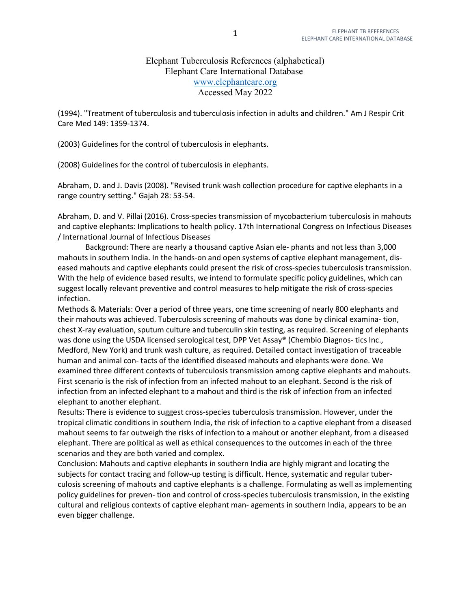# Elephant Tuberculosis References (alphabetical) Elephant Care International Database www.elephantcare.org Accessed May 2022

(1994). "Treatment of tuberculosis and tuberculosis infection in adults and children." Am J Respir Crit Care Med 149: 1359-1374.

(2003) Guidelines for the control of tuberculosis in elephants.

(2008) Guidelines for the control of tuberculosis in elephants.

Abraham, D. and J. Davis (2008). "Revised trunk wash collection procedure for captive elephants in a range country setting." Gajah 28: 53-54.

Abraham, D. and V. Pillai (2016). Cross-species transmission of mycobacterium tuberculosis in mahouts and captive elephants: Implications to health policy. 17th International Congress on Infectious Diseases / International Journal of Infectious Diseases

 Background: There are nearly a thousand captive Asian ele- phants and not less than 3,000 mahouts in southern India. In the hands-on and open systems of captive elephant management, diseased mahouts and captive elephants could present the risk of cross-species tuberculosis transmission. With the help of evidence based results, we intend to formulate specific policy guidelines, which can suggest locally relevant preventive and control measures to help mitigate the risk of cross-species infection.

Methods & Materials: Over a period of three years, one time screening of nearly 800 elephants and their mahouts was achieved. Tuberculosis screening of mahouts was done by clinical examina- tion, chest X-ray evaluation, sputum culture and tuberculin skin testing, as required. Screening of elephants was done using the USDA licensed serological test, DPP Vet Assay® (Chembio Diagnos- tics Inc., Medford, New York) and trunk wash culture, as required. Detailed contact investigation of traceable human and animal con- tacts of the identified diseased mahouts and elephants were done. We examined three different contexts of tuberculosis transmission among captive elephants and mahouts. First scenario is the risk of infection from an infected mahout to an elephant. Second is the risk of infection from an infected elephant to a mahout and third is the risk of infection from an infected elephant to another elephant.

Results: There is evidence to suggest cross-species tuberculosis transmission. However, under the tropical climatic conditions in southern India, the risk of infection to a captive elephant from a diseased mahout seems to far outweigh the risks of infection to a mahout or another elephant, from a diseased elephant. There are political as well as ethical consequences to the outcomes in each of the three scenarios and they are both varied and complex.

Conclusion: Mahouts and captive elephants in southern India are highly migrant and locating the subjects for contact tracing and follow-up testing is difficult. Hence, systematic and regular tuberculosis screening of mahouts and captive elephants is a challenge. Formulating as well as implementing policy guidelines for preven- tion and control of cross-species tuberculosis transmission, in the existing cultural and religious contexts of captive elephant man- agements in southern India, appears to be an even bigger challenge.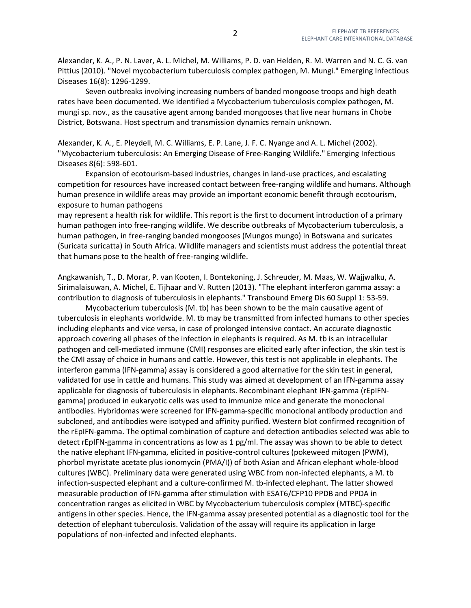Alexander, K. A., P. N. Laver, A. L. Michel, M. Williams, P. D. van Helden, R. M. Warren and N. C. G. van Pittius (2010). "Novel mycobacterium tuberculosis complex pathogen, M. Mungi." Emerging Infectious Diseases 16(8): 1296-1299.

 Seven outbreaks involving increasing numbers of banded mongoose troops and high death rates have been documented. We identified a Mycobacterium tuberculosis complex pathogen, M. mungi sp. nov., as the causative agent among banded mongooses that live near humans in Chobe District, Botswana. Host spectrum and transmission dynamics remain unknown.

Alexander, K. A., E. Pleydell, M. C. Williams, E. P. Lane, J. F. C. Nyange and A. L. Michel (2002). "Mycobacterium tuberculosis: An Emerging Disease of Free-Ranging Wildlife." Emerging Infectious Diseases 8(6): 598-601.

 Expansion of ecotourism-based industries, changes in land-use practices, and escalating competition for resources have increased contact between free-ranging wildlife and humans. Although human presence in wildlife areas may provide an important economic benefit through ecotourism, exposure to human pathogens

may represent a health risk for wildlife. This report is the first to document introduction of a primary human pathogen into free-ranging wildlife. We describe outbreaks of Mycobacterium tuberculosis, a human pathogen, in free-ranging banded mongooses (Mungos mungo) in Botswana and suricates (Suricata suricatta) in South Africa. Wildlife managers and scientists must address the potential threat that humans pose to the health of free-ranging wildlife.

Angkawanish, T., D. Morar, P. van Kooten, I. Bontekoning, J. Schreuder, M. Maas, W. Wajjwalku, A. Sirimalaisuwan, A. Michel, E. Tijhaar and V. Rutten (2013). "The elephant interferon gamma assay: a contribution to diagnosis of tuberculosis in elephants." Transbound Emerg Dis 60 Suppl 1: 53-59.

 Mycobacterium tuberculosis (M. tb) has been shown to be the main causative agent of tuberculosis in elephants worldwide. M. tb may be transmitted from infected humans to other species including elephants and vice versa, in case of prolonged intensive contact. An accurate diagnostic approach covering all phases of the infection in elephants is required. As M. tb is an intracellular pathogen and cell-mediated immune (CMI) responses are elicited early after infection, the skin test is the CMI assay of choice in humans and cattle. However, this test is not applicable in elephants. The interferon gamma (IFN-gamma) assay is considered a good alternative for the skin test in general, validated for use in cattle and humans. This study was aimed at development of an IFN-gamma assay applicable for diagnosis of tuberculosis in elephants. Recombinant elephant IFN-gamma (rEpIFNgamma) produced in eukaryotic cells was used to immunize mice and generate the monoclonal antibodies. Hybridomas were screened for IFN-gamma-specific monoclonal antibody production and subcloned, and antibodies were isotyped and affinity purified. Western blot confirmed recognition of the rEpIFN-gamma. The optimal combination of capture and detection antibodies selected was able to detect rEpIFN-gamma in concentrations as low as 1 pg/ml. The assay was shown to be able to detect the native elephant IFN-gamma, elicited in positive-control cultures (pokeweed mitogen (PWM), phorbol myristate acetate plus ionomycin (PMA/I)) of both Asian and African elephant whole-blood cultures (WBC). Preliminary data were generated using WBC from non-infected elephants, a M. tb infection-suspected elephant and a culture-confirmed M. tb-infected elephant. The latter showed measurable production of IFN-gamma after stimulation with ESAT6/CFP10 PPDB and PPDA in concentration ranges as elicited in WBC by Mycobacterium tuberculosis complex (MTBC)-specific antigens in other species. Hence, the IFN-gamma assay presented potential as a diagnostic tool for the detection of elephant tuberculosis. Validation of the assay will require its application in large populations of non-infected and infected elephants.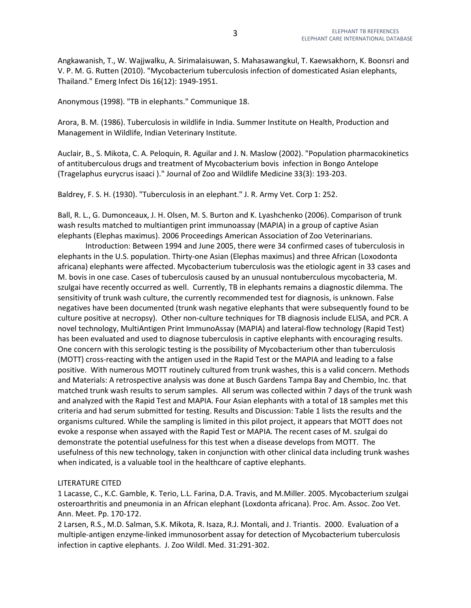Angkawanish, T., W. Wajjwalku, A. Sirimalaisuwan, S. Mahasawangkul, T. Kaewsakhorn, K. Boonsri and V. P. M. G. Rutten (2010). "Mycobacterium tuberculosis infection of domesticated Asian elephants, Thailand." Emerg Infect Dis 16(12): 1949-1951.

Anonymous (1998). "TB in elephants." Communique 18.

Arora, B. M. (1986). Tuberculosis in wildlife in India. Summer Institute on Health, Production and Management in Wildlife, Indian Veterinary Institute.

Auclair, B., S. Mikota, C. A. Peloquin, R. Aguilar and J. N. Maslow (2002). "Population pharmacokinetics of antituberculous drugs and treatment of Mycobacterium bovis infection in Bongo Antelope (Tragelaphus eurycrus isaaci )." Journal of Zoo and Wildlife Medicine 33(3): 193-203.

Baldrey, F. S. H. (1930). "Tuberculosis in an elephant." J. R. Army Vet. Corp 1: 252.

Ball, R. L., G. Dumonceaux, J. H. Olsen, M. S. Burton and K. Lyashchenko (2006). Comparison of trunk wash results matched to multiantigen print immunoassay (MAPIA) in a group of captive Asian elephants (Elephas maximus). 2006 Proceedings American Association of Zoo Veterinarians.

 Introduction: Between 1994 and June 2005, there were 34 confirmed cases of tuberculosis in elephants in the U.S. population. Thirty-one Asian (Elephas maximus) and three African (Loxodonta africana) elephants were affected. Mycobacterium tuberculosis was the etiologic agent in 33 cases and M. bovis in one case. Cases of tuberculosis caused by an unusual nontuberculous mycobacteria, M. szulgai have recently occurred as well. Currently, TB in elephants remains a diagnostic dilemma. The sensitivity of trunk wash culture, the currently recommended test for diagnosis, is unknown. False negatives have been documented (trunk wash negative elephants that were subsequently found to be culture positive at necropsy). Other non-culture techniques for TB diagnosis include ELISA, and PCR. A novel technology, MultiAntigen Print ImmunoAssay (MAPIA) and lateral-flow technology (Rapid Test) has been evaluated and used to diagnose tuberculosis in captive elephants with encouraging results. One concern with this serologic testing is the possibility of Mycobacterium other than tuberculosis (MOTT) cross-reacting with the antigen used in the Rapid Test or the MAPIA and leading to a false positive. With numerous MOTT routinely cultured from trunk washes, this is a valid concern. Methods and Materials: A retrospective analysis was done at Busch Gardens Tampa Bay and Chembio, Inc. that matched trunk wash results to serum samples. All serum was collected within 7 days of the trunk wash and analyzed with the Rapid Test and MAPIA. Four Asian elephants with a total of 18 samples met this criteria and had serum submitted for testing. Results and Discussion: Table 1 lists the results and the organisms cultured. While the sampling is limited in this pilot project, it appears that MOTT does not evoke a response when assayed with the Rapid Test or MAPIA. The recent cases of M. szulgai do demonstrate the potential usefulness for this test when a disease develops from MOTT. The usefulness of this new technology, taken in conjunction with other clinical data including trunk washes when indicated, is a valuable tool in the healthcare of captive elephants.

# LITERATURE CITED

1 Lacasse, C., K.C. Gamble, K. Terio, L.L. Farina, D.A. Travis, and M.Miller. 2005. Mycobacterium szulgai osteroarthritis and pneumonia in an African elephant (Loxdonta africana). Proc. Am. Assoc. Zoo Vet. Ann. Meet. Pp. 170-172.

2 Larsen, R.S., M.D. Salman, S.K. Mikota, R. Isaza, R.J. Montali, and J. Triantis. 2000. Evaluation of a multiple-antigen enzyme-linked immunosorbent assay for detection of Mycobacterium tuberculosis infection in captive elephants. J. Zoo Wildl. Med. 31:291-302.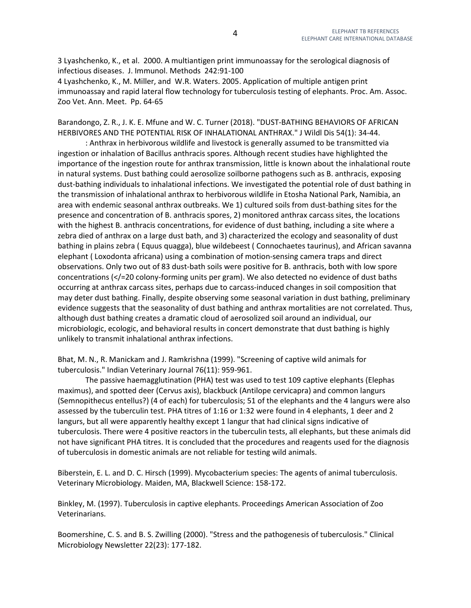3 Lyashchenko, K., et al. 2000. A multiantigen print immunoassay for the serological diagnosis of infectious diseases. J. Immunol. Methods 242:91-100

4 Lyashchenko, K., M. Miller, and W.R. Waters. 2005. Application of multiple antigen print immunoassay and rapid lateral flow technology for tuberculosis testing of elephants. Proc. Am. Assoc. Zoo Vet. Ann. Meet. Pp. 64-65

Barandongo, Z. R., J. K. E. Mfune and W. C. Turner (2018). "DUST-BATHING BEHAVIORS OF AFRICAN HERBIVORES AND THE POTENTIAL RISK OF INHALATIONAL ANTHRAX." J Wildl Dis 54(1): 34-44.

 : Anthrax in herbivorous wildlife and livestock is generally assumed to be transmitted via ingestion or inhalation of Bacillus anthracis spores. Although recent studies have highlighted the importance of the ingestion route for anthrax transmission, little is known about the inhalational route in natural systems. Dust bathing could aerosolize soilborne pathogens such as B. anthracis, exposing dust-bathing individuals to inhalational infections. We investigated the potential role of dust bathing in the transmission of inhalational anthrax to herbivorous wildlife in Etosha National Park, Namibia, an area with endemic seasonal anthrax outbreaks. We 1) cultured soils from dust-bathing sites for the presence and concentration of B. anthracis spores, 2) monitored anthrax carcass sites, the locations with the highest B. anthracis concentrations, for evidence of dust bathing, including a site where a zebra died of anthrax on a large dust bath, and 3) characterized the ecology and seasonality of dust bathing in plains zebra ( Equus quagga), blue wildebeest ( Connochaetes taurinus), and African savanna elephant ( Loxodonta africana) using a combination of motion-sensing camera traps and direct observations. Only two out of 83 dust-bath soils were positive for B. anthracis, both with low spore concentrations  $\langle \langle 2 \rangle$  colony-forming units per gram). We also detected no evidence of dust baths occurring at anthrax carcass sites, perhaps due to carcass-induced changes in soil composition that may deter dust bathing. Finally, despite observing some seasonal variation in dust bathing, preliminary evidence suggests that the seasonality of dust bathing and anthrax mortalities are not correlated. Thus, although dust bathing creates a dramatic cloud of aerosolized soil around an individual, our microbiologic, ecologic, and behavioral results in concert demonstrate that dust bathing is highly unlikely to transmit inhalational anthrax infections.

Bhat, M. N., R. Manickam and J. Ramkrishna (1999). "Screening of captive wild animals for tuberculosis." Indian Veterinary Journal 76(11): 959-961.

 The passive haemagglutination (PHA) test was used to test 109 captive elephants (Elephas maximus), and spotted deer (Cervus axis), blackbuck (Antilope cervicapra) and common langurs (Semnopithecus entellus?) (4 of each) for tuberculosis; 51 of the elephants and the 4 langurs were also assessed by the tuberculin test. PHA titres of 1:16 or 1:32 were found in 4 elephants, 1 deer and 2 langurs, but all were apparently healthy except 1 langur that had clinical signs indicative of tuberculosis. There were 4 positive reactors in the tuberculin tests, all elephants, but these animals did not have significant PHA titres. It is concluded that the procedures and reagents used for the diagnosis of tuberculosis in domestic animals are not reliable for testing wild animals.

Biberstein, E. L. and D. C. Hirsch (1999). Mycobacterium species: The agents of animal tuberculosis. Veterinary Microbiology. Maiden, MA, Blackwell Science: 158-172.

Binkley, M. (1997). Tuberculosis in captive elephants. Proceedings American Association of Zoo Veterinarians.

Boomershine, C. S. and B. S. Zwilling (2000). "Stress and the pathogenesis of tuberculosis." Clinical Microbiology Newsletter 22(23): 177-182.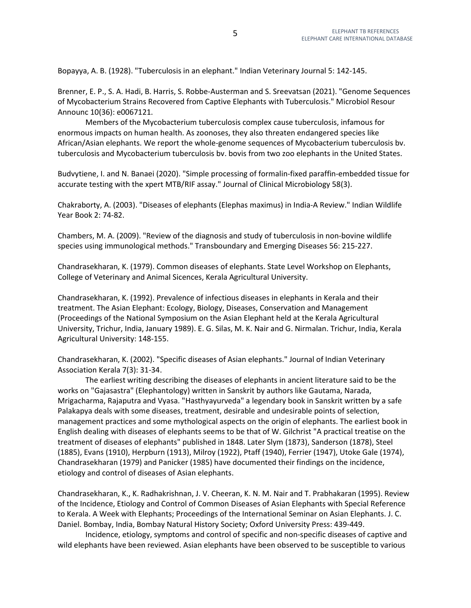Bopayya, A. B. (1928). "Tuberculosis in an elephant." Indian Veterinary Journal 5: 142-145.

Brenner, E. P., S. A. Hadi, B. Harris, S. Robbe-Austerman and S. Sreevatsan (2021). "Genome Sequences of Mycobacterium Strains Recovered from Captive Elephants with Tuberculosis." Microbiol Resour Announc 10(36): e0067121.

 Members of the Mycobacterium tuberculosis complex cause tuberculosis, infamous for enormous impacts on human health. As zoonoses, they also threaten endangered species like African/Asian elephants. We report the whole-genome sequences of Mycobacterium tuberculosis bv. tuberculosis and Mycobacterium tuberculosis bv. bovis from two zoo elephants in the United States.

Budvytiene, I. and N. Banaei (2020). "Simple processing of formalin-fixed paraffin-embedded tissue for accurate testing with the xpert MTB/RIF assay." Journal of Clinical Microbiology 58(3).

Chakraborty, A. (2003). "Diseases of elephants (Elephas maximus) in India-A Review." Indian Wildlife Year Book 2: 74-82.

Chambers, M. A. (2009). "Review of the diagnosis and study of tuberculosis in non-bovine wildlife species using immunological methods." Transboundary and Emerging Diseases 56: 215-227.

Chandrasekharan, K. (1979). Common diseases of elephants. State Level Workshop on Elephants, College of Veterinary and Animal Sicences, Kerala Agricultural University.

Chandrasekharan, K. (1992). Prevalence of infectious diseases in elephants in Kerala and their treatment. The Asian Elephant: Ecology, Biology, Diseases, Conservation and Management (Proceedings of the National Symposium on the Asian Elephant held at the Kerala Agricultural University, Trichur, India, January 1989). E. G. Silas, M. K. Nair and G. Nirmalan. Trichur, India, Kerala Agricultural University: 148-155.

Chandrasekharan, K. (2002). "Specific diseases of Asian elephants." Journal of Indian Veterinary Association Kerala 7(3): 31-34.

 The earliest writing describing the diseases of elephants in ancient literature said to be the works on "Gajasastra" (Elephantology) written in Sanskrit by authors like Gautama, Narada, Mrigacharma, Rajaputra and Vyasa. "Hasthyayurveda" a legendary book in Sanskrit written by a safe Palakapya deals with some diseases, treatment, desirable and undesirable points of selection, management practices and some mythological aspects on the origin of elephants. The earliest book in English dealing with diseases of elephants seems to be that of W. Gilchrist "A practical treatise on the treatment of diseases of elephants" published in 1848. Later Slym (1873), Sanderson (1878), Steel (1885), Evans (1910), Herpburn (1913), Milroy (1922), Ptaff (1940), Ferrier (1947), Utoke Gale (1974), Chandrasekharan (1979) and Panicker (1985) have documented their findings on the incidence, etiology and control of diseases of Asian elephants.

Chandrasekharan, K., K. Radhakrishnan, J. V. Cheeran, K. N. M. Nair and T. Prabhakaran (1995). Review of the Incidence, Etiology and Control of Common Diseases of Asian Elephants with Special Reference to Kerala. A Week with Elephants; Proceedings of the International Seminar on Asian Elephants. J. C. Daniel. Bombay, India, Bombay Natural History Society; Oxford University Press: 439-449.

 Incidence, etiology, symptoms and control of specific and non-specific diseases of captive and wild elephants have been reviewed. Asian elephants have been observed to be susceptible to various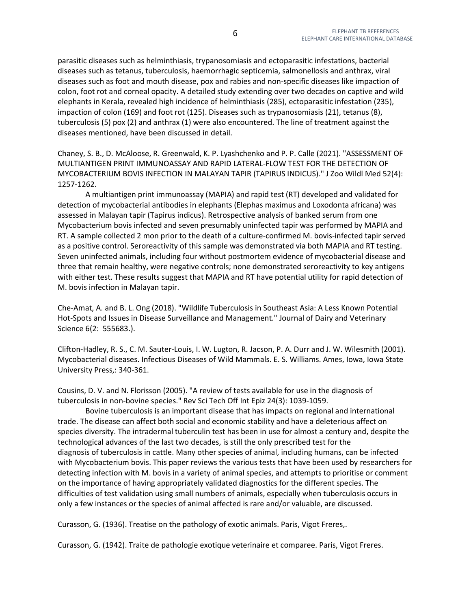parasitic diseases such as helminthiasis, trypanosomiasis and ectoparasitic infestations, bacterial diseases such as tetanus, tuberculosis, haemorrhagic septicemia, salmonellosis and anthrax, viral diseases such as foot and mouth disease, pox and rabies and non-specific diseases like impaction of colon, foot rot and corneal opacity. A detailed study extending over two decades on captive and wild elephants in Kerala, revealed high incidence of helminthiasis (285), ectoparasitic infestation (235), impaction of colon (169) and foot rot (125). Diseases such as trypanosomiasis (21), tetanus (8), tuberculosis (5) pox (2) and anthrax (1) were also encountered. The line of treatment against the diseases mentioned, have been discussed in detail.

Chaney, S. B., D. McAloose, R. Greenwald, K. P. Lyashchenko and P. P. Calle (2021). "ASSESSMENT OF MULTIANTIGEN PRINT IMMUNOASSAY AND RAPID LATERAL-FLOW TEST FOR THE DETECTION OF MYCOBACTERIUM BOVIS INFECTION IN MALAYAN TAPIR (TAPIRUS INDICUS)." J Zoo Wildl Med 52(4): 1257-1262.

 A multiantigen print immunoassay (MAPIA) and rapid test (RT) developed and validated for detection of mycobacterial antibodies in elephants (Elephas maximus and Loxodonta africana) was assessed in Malayan tapir (Tapirus indicus). Retrospective analysis of banked serum from one Mycobacterium bovis infected and seven presumably uninfected tapir was performed by MAPIA and RT. A sample collected 2 mon prior to the death of a culture-confirmed M. bovis-infected tapir served as a positive control. Seroreactivity of this sample was demonstrated via both MAPIA and RT testing. Seven uninfected animals, including four without postmortem evidence of mycobacterial disease and three that remain healthy, were negative controls; none demonstrated seroreactivity to key antigens with either test. These results suggest that MAPIA and RT have potential utility for rapid detection of M. bovis infection in Malayan tapir.

Che-Amat, A. and B. L. Ong (2018). "Wildlife Tuberculosis in Southeast Asia: A Less Known Potential Hot-Spots and Issues in Disease Surveillance and Management." Journal of Dairy and Veterinary Science 6(2: 555683.).

Clifton-Hadley, R. S., C. M. Sauter-Louis, I. W. Lugton, R. Jacson, P. A. Durr and J. W. Wilesmith (2001). Mycobacterial diseases. Infectious Diseases of Wild Mammals. E. S. Williams. Ames, Iowa, Iowa State University Press,: 340-361.

Cousins, D. V. and N. Florisson (2005). "A review of tests available for use in the diagnosis of tuberculosis in non-bovine species." Rev Sci Tech Off Int Epiz 24(3): 1039-1059.

 Bovine tuberculosis is an important disease that has impacts on regional and international trade. The disease can affect both social and economic stability and have a deleterious affect on species diversity. The intradermal tuberculin test has been in use for almost a century and, despite the technological advances of the last two decades, is still the only prescribed test for the diagnosis of tuberculosis in cattle. Many other species of animal, including humans, can be infected with Mycobacterium bovis. This paper reviews the various tests that have been used by researchers for detecting infection with M. bovis in a variety of animal species, and attempts to prioritise or comment on the importance of having appropriately validated diagnostics for the different species. The difficulties of test validation using small numbers of animals, especially when tuberculosis occurs in only a few instances or the species of animal affected is rare and/or valuable, are discussed.

Curasson, G. (1936). Treatise on the pathology of exotic animals. Paris, Vigot Freres,.

Curasson, G. (1942). Traite de pathologie exotique veterinaire et comparee. Paris, Vigot Freres.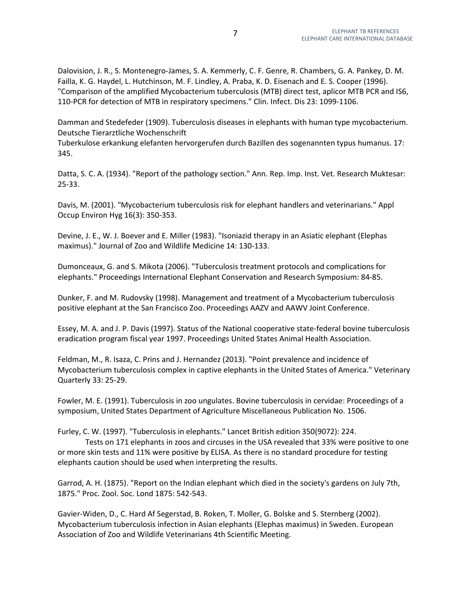Dalovision, J. R., S. Montenegro-James, S. A. Kemmerly, C. F. Genre, R. Chambers, G. A. Pankey, D. M. Failla, K. G. Haydel, L. Hutchinson, M. F. Lindley, A. Praba, K. D. Eisenach and E. S. Cooper (1996). "Comparison of the amplified Mycobacterium tuberculosis (MTB) direct test, aplicor MTB PCR and IS6, 110-PCR for detection of MTB in respiratory specimens." Clin. Infect. Dis 23: 1099-1106.

Damman and Stedefeder (1909). Tuberculosis diseases in elephants with human type mycobacterium. Deutsche Tierarztliche Wochenschrift

Tuberkulose erkankung elefanten hervorgerufen durch Bazillen des sogenannten typus humanus. 17: 345.

Datta, S. C. A. (1934). "Report of the pathology section." Ann. Rep. Imp. Inst. Vet. Research Muktesar: 25-33.

Davis, M. (2001). "Mycobacterium tuberculosis risk for elephant handlers and veterinarians." Appl Occup Environ Hyg 16(3): 350-353.

Devine, J. E., W. J. Boever and E. Miller (1983). "Isoniazid therapy in an Asiatic elephant (Elephas maximus)." Journal of Zoo and Wildlife Medicine 14: 130-133.

Dumonceaux, G. and S. Mikota (2006). "Tuberculosis treatment protocols and complications for elephants." Proceedings International Elephant Conservation and Research Symposium: 84-85.

Dunker, F. and M. Rudovsky (1998). Management and treatment of a Mycobacterium tuberculosis positive elephant at the San Francisco Zoo. Proceedings AAZV and AAWV Joint Conference.

Essey, M. A. and J. P. Davis (1997). Status of the National cooperative state-federal bovine tuberculosis eradication program fiscal year 1997. Proceedings United States Animal Health Association.

Feldman, M., R. Isaza, C. Prins and J. Hernandez (2013). "Point prevalence and incidence of Mycobacterium tuberculosis complex in captive elephants in the United States of America." Veterinary Quarterly 33: 25-29.

Fowler, M. E. (1991). Tuberculosis in zoo ungulates. Bovine tuberculosis in cervidae: Proceedings of a symposium, United States Department of Agriculture Miscellaneous Publication No. 1506.

Furley, C. W. (1997). "Tuberculosis in elephants." Lancet British edition 350(9072): 224.

 Tests on 171 elephants in zoos and circuses in the USA revealed that 33% were positive to one or more skin tests and 11% were positive by ELISA. As there is no standard procedure for testing elephants caution should be used when interpreting the results.

Garrod, A. H. (1875). "Report on the Indian elephant which died in the society's gardens on July 7th, 1875." Proc. Zool. Soc. Lond 1875: 542-543.

Gavier-Widen, D., C. Hard Af Segerstad, B. Roken, T. Moller, G. Bolske and S. Sternberg (2002). Mycobacterium tuberculosis infection in Asian elephants (Elephas maximus) in Sweden. European Association of Zoo and Wildlife Veterinarians 4th Scientific Meeting.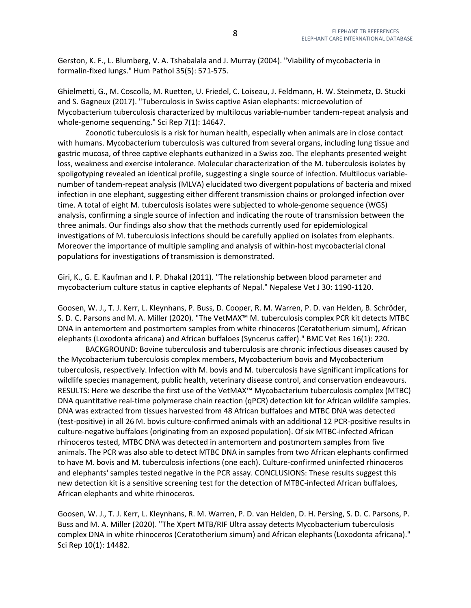Gerston, K. F., L. Blumberg, V. A. Tshabalala and J. Murray (2004). "Viability of mycobacteria in formalin-fixed lungs." Hum Pathol 35(5): 571-575.

Ghielmetti, G., M. Coscolla, M. Ruetten, U. Friedel, C. Loiseau, J. Feldmann, H. W. Steinmetz, D. Stucki and S. Gagneux (2017). "Tuberculosis in Swiss captive Asian elephants: microevolution of Mycobacterium tuberculosis characterized by multilocus variable-number tandem-repeat analysis and whole-genome sequencing." Sci Rep 7(1): 14647.

 Zoonotic tuberculosis is a risk for human health, especially when animals are in close contact with humans. Mycobacterium tuberculosis was cultured from several organs, including lung tissue and gastric mucosa, of three captive elephants euthanized in a Swiss zoo. The elephants presented weight loss, weakness and exercise intolerance. Molecular characterization of the M. tuberculosis isolates by spoligotyping revealed an identical profile, suggesting a single source of infection. Multilocus variablenumber of tandem-repeat analysis (MLVA) elucidated two divergent populations of bacteria and mixed infection in one elephant, suggesting either different transmission chains or prolonged infection over time. A total of eight M. tuberculosis isolates were subjected to whole-genome sequence (WGS) analysis, confirming a single source of infection and indicating the route of transmission between the three animals. Our findings also show that the methods currently used for epidemiological investigations of M. tuberculosis infections should be carefully applied on isolates from elephants. Moreover the importance of multiple sampling and analysis of within-host mycobacterial clonal populations for investigations of transmission is demonstrated.

Giri, K., G. E. Kaufman and I. P. Dhakal (2011). "The relationship between blood parameter and mycobacterium culture status in captive elephants of Nepal." Nepalese Vet J 30: 1190-1120.

Goosen, W. J., T. J. Kerr, L. Kleynhans, P. Buss, D. Cooper, R. M. Warren, P. D. van Helden, B. Schröder, S. D. C. Parsons and M. A. Miller (2020). "The VetMAX™ M. tuberculosis complex PCR kit detects MTBC DNA in antemortem and postmortem samples from white rhinoceros (Ceratotherium simum), African elephants (Loxodonta africana) and African buffaloes (Syncerus caffer)." BMC Vet Res 16(1): 220.

 BACKGROUND: Bovine tuberculosis and tuberculosis are chronic infectious diseases caused by the Mycobacterium tuberculosis complex members, Mycobacterium bovis and Mycobacterium tuberculosis, respectively. Infection with M. bovis and M. tuberculosis have significant implications for wildlife species management, public health, veterinary disease control, and conservation endeavours. RESULTS: Here we describe the first use of the VetMAX™ Mycobacterium tuberculosis complex (MTBC) DNA quantitative real-time polymerase chain reaction (qPCR) detection kit for African wildlife samples. DNA was extracted from tissues harvested from 48 African buffaloes and MTBC DNA was detected (test-positive) in all 26 M. bovis culture-confirmed animals with an additional 12 PCR-positive results in culture-negative buffaloes (originating from an exposed population). Of six MTBC-infected African rhinoceros tested, MTBC DNA was detected in antemortem and postmortem samples from five animals. The PCR was also able to detect MTBC DNA in samples from two African elephants confirmed to have M. bovis and M. tuberculosis infections (one each). Culture-confirmed uninfected rhinoceros and elephants' samples tested negative in the PCR assay. CONCLUSIONS: These results suggest this new detection kit is a sensitive screening test for the detection of MTBC-infected African buffaloes, African elephants and white rhinoceros.

Goosen, W. J., T. J. Kerr, L. Kleynhans, R. M. Warren, P. D. van Helden, D. H. Persing, S. D. C. Parsons, P. Buss and M. A. Miller (2020). "The Xpert MTB/RIF Ultra assay detects Mycobacterium tuberculosis complex DNA in white rhinoceros (Ceratotherium simum) and African elephants (Loxodonta africana)." Sci Rep 10(1): 14482.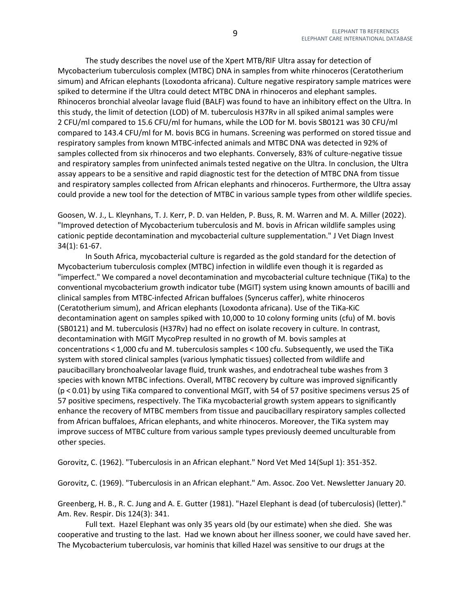The study describes the novel use of the Xpert MTB/RIF Ultra assay for detection of Mycobacterium tuberculosis complex (MTBC) DNA in samples from white rhinoceros (Ceratotherium simum) and African elephants (Loxodonta africana). Culture negative respiratory sample matrices were spiked to determine if the Ultra could detect MTBC DNA in rhinoceros and elephant samples. Rhinoceros bronchial alveolar lavage fluid (BALF) was found to have an inhibitory effect on the Ultra. In this study, the limit of detection (LOD) of M. tuberculosis H37Rv in all spiked animal samples were 2 CFU/ml compared to 15.6 CFU/ml for humans, while the LOD for M. bovis SB0121 was 30 CFU/ml compared to 143.4 CFU/ml for M. bovis BCG in humans. Screening was performed on stored tissue and respiratory samples from known MTBC-infected animals and MTBC DNA was detected in 92% of samples collected from six rhinoceros and two elephants. Conversely, 83% of culture-negative tissue and respiratory samples from uninfected animals tested negative on the Ultra. In conclusion, the Ultra assay appears to be a sensitive and rapid diagnostic test for the detection of MTBC DNA from tissue and respiratory samples collected from African elephants and rhinoceros. Furthermore, the Ultra assay could provide a new tool for the detection of MTBC in various sample types from other wildlife species.

Goosen, W. J., L. Kleynhans, T. J. Kerr, P. D. van Helden, P. Buss, R. M. Warren and M. A. Miller (2022). "Improved detection of Mycobacterium tuberculosis and M. bovis in African wildlife samples using cationic peptide decontamination and mycobacterial culture supplementation." J Vet Diagn Invest 34(1): 61-67.

 In South Africa, mycobacterial culture is regarded as the gold standard for the detection of Mycobacterium tuberculosis complex (MTBC) infection in wildlife even though it is regarded as "imperfect." We compared a novel decontamination and mycobacterial culture technique (TiKa) to the conventional mycobacterium growth indicator tube (MGIT) system using known amounts of bacilli and clinical samples from MTBC-infected African buffaloes (Syncerus caffer), white rhinoceros (Ceratotherium simum), and African elephants (Loxodonta africana). Use of the TiKa-KiC decontamination agent on samples spiked with 10,000 to 10 colony forming units (cfu) of M. bovis (SB0121) and M. tuberculosis (H37Rv) had no effect on isolate recovery in culture. In contrast, decontamination with MGIT MycoPrep resulted in no growth of M. bovis samples at concentrations < 1,000 cfu and M. tuberculosis samples < 100 cfu. Subsequently, we used the TiKa system with stored clinical samples (various lymphatic tissues) collected from wildlife and paucibacillary bronchoalveolar lavage fluid, trunk washes, and endotracheal tube washes from 3 species with known MTBC infections. Overall, MTBC recovery by culture was improved significantly (p < 0.01) by using TiKa compared to conventional MGIT, with 54 of 57 positive specimens versus 25 of 57 positive specimens, respectively. The TiKa mycobacterial growth system appears to significantly enhance the recovery of MTBC members from tissue and paucibacillary respiratory samples collected from African buffaloes, African elephants, and white rhinoceros. Moreover, the TiKa system may improve success of MTBC culture from various sample types previously deemed unculturable from other species.

Gorovitz, C. (1962). "Tuberculosis in an African elephant." Nord Vet Med 14(Supl 1): 351-352.

Gorovitz, C. (1969). "Tuberculosis in an African elephant." Am. Assoc. Zoo Vet. Newsletter January 20.

Greenberg, H. B., R. C. Jung and A. E. Gutter (1981). "Hazel Elephant is dead (of tuberculosis) (letter)." Am. Rev. Respir. Dis 124(3): 341.

 Full text. Hazel Elephant was only 35 years old (by our estimate) when she died. She was cooperative and trusting to the last. Had we known about her illness sooner, we could have saved her. The Mycobacterium tuberculosis, var hominis that killed Hazel was sensitive to our drugs at the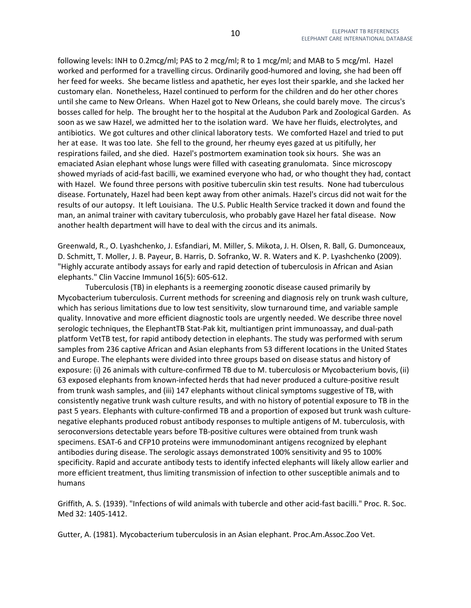following levels: INH to 0.2mcg/ml; PAS to 2 mcg/ml; R to 1 mcg/ml; and MAB to 5 mcg/ml. Hazel worked and performed for a travelling circus. Ordinarily good-humored and loving, she had been off her feed for weeks. She became listless and apathetic, her eyes lost their sparkle, and she lacked her customary elan. Nonetheless, Hazel continued to perform for the children and do her other chores until she came to New Orleans. When Hazel got to New Orleans, she could barely move. The circus's bosses called for help. The brought her to the hospital at the Audubon Park and Zoological Garden. As soon as we saw Hazel, we admitted her to the isolation ward. We have her fluids, electrolytes, and antibiotics. We got cultures and other clinical laboratory tests. We comforted Hazel and tried to put her at ease. It was too late. She fell to the ground, her rheumy eyes gazed at us pitifully, her respirations failed, and she died. Hazel's postmortem examination took six hours. She was an emaciated Asian elephant whose lungs were filled with caseating granulomata. Since microscopy showed myriads of acid-fast bacilli, we examined everyone who had, or who thought they had, contact with Hazel. We found three persons with positive tuberculin skin test results. None had tuberculous disease. Fortunately, Hazel had been kept away from other animals. Hazel's circus did not wait for the results of our autopsy. It left Louisiana. The U.S. Public Health Service tracked it down and found the man, an animal trainer with cavitary tuberculosis, who probably gave Hazel her fatal disease. Now another health department will have to deal with the circus and its animals.

Greenwald, R., O. Lyashchenko, J. Esfandiari, M. Miller, S. Mikota, J. H. Olsen, R. Ball, G. Dumonceaux, D. Schmitt, T. Moller, J. B. Payeur, B. Harris, D. Sofranko, W. R. Waters and K. P. Lyashchenko (2009). "Highly accurate antibody assays for early and rapid detection of tuberculosis in African and Asian elephants." Clin Vaccine Immunol 16(5): 605-612.

 Tuberculosis (TB) in elephants is a reemerging zoonotic disease caused primarily by Mycobacterium tuberculosis. Current methods for screening and diagnosis rely on trunk wash culture, which has serious limitations due to low test sensitivity, slow turnaround time, and variable sample quality. Innovative and more efficient diagnostic tools are urgently needed. We describe three novel serologic techniques, the ElephantTB Stat-Pak kit, multiantigen print immunoassay, and dual-path platform VetTB test, for rapid antibody detection in elephants. The study was performed with serum samples from 236 captive African and Asian elephants from 53 different locations in the United States and Europe. The elephants were divided into three groups based on disease status and history of exposure: (i) 26 animals with culture-confirmed TB due to M. tuberculosis or Mycobacterium bovis, (ii) 63 exposed elephants from known-infected herds that had never produced a culture-positive result from trunk wash samples, and (iii) 147 elephants without clinical symptoms suggestive of TB, with consistently negative trunk wash culture results, and with no history of potential exposure to TB in the past 5 years. Elephants with culture-confirmed TB and a proportion of exposed but trunk wash culturenegative elephants produced robust antibody responses to multiple antigens of M. tuberculosis, with seroconversions detectable years before TB-positive cultures were obtained from trunk wash specimens. ESAT-6 and CFP10 proteins were immunodominant antigens recognized by elephant antibodies during disease. The serologic assays demonstrated 100% sensitivity and 95 to 100% specificity. Rapid and accurate antibody tests to identify infected elephants will likely allow earlier and more efficient treatment, thus limiting transmission of infection to other susceptible animals and to humans

Griffith, A. S. (1939). "Infections of wild animals with tubercle and other acid-fast bacilli." Proc. R. Soc. Med 32: 1405-1412.

Gutter, A. (1981). Mycobacterium tuberculosis in an Asian elephant. Proc.Am.Assoc.Zoo Vet.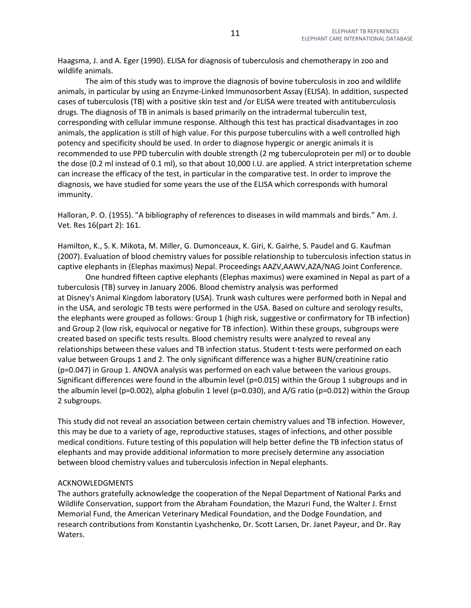Haagsma, J. and A. Eger (1990). ELISA for diagnosis of tuberculosis and chemotherapy in zoo and wildlife animals.

 The aim of this study was to improve the diagnosis of bovine tuberculosis in zoo and wildlife animals, in particular by using an Enzyme-Linked Immunosorbent Assay (ELISA). In addition, suspected cases of tuberculosis (TB) with a positive skin test and /or ELISA were treated with antituberculosis drugs. The diagnosis of TB in animals is based primarily on the intradermal tuberculin test, corresponding with cellular immune response. Although this test has practical disadvantages in zoo animals, the application is still of high value. For this purpose tuberculins with a well controlled high potency and specificity should be used. In order to diagnose hypergic or anergic animals it is recommended to use PPD tuberculin with double strength (2 mg tuberculoprotein per ml) or to double the dose (0.2 ml instead of 0.1 ml), so that about 10,000 I.U. are applied. A strict interpretation scheme can increase the efficacy of the test, in particular in the comparative test. In order to improve the diagnosis, we have studied for some years the use of the ELISA which corresponds with humoral immunity.

Halloran, P. O. (1955). "A bibliography of references to diseases in wild mammals and birds." Am. J. Vet. Res 16(part 2): 161.

Hamilton, K., S. K. Mikota, M. Miller, G. Dumonceaux, K. Giri, K. Gairhe, S. Paudel and G. Kaufman (2007). Evaluation of blood chemistry values for possible relationship to tuberculosis infection status in captive elephants in (Elephas maximus) Nepal. Proceedings AAZV,AAWV,AZA/NAG Joint Conference.

 One hundred fifteen captive elephants (Elephas maximus) were examined in Nepal as part of a tuberculosis (TB) survey in January 2006. Blood chemistry analysis was performed at Disney's Animal Kingdom laboratory (USA). Trunk wash cultures were performed both in Nepal and in the USA, and serologic TB tests were performed in the USA. Based on culture and serology results, the elephants were grouped as follows: Group 1 (high risk, suggestive or confirmatory for TB infection) and Group 2 (low risk, equivocal or negative for TB infection). Within these groups, subgroups were created based on specific tests results. Blood chemistry results were analyzed to reveal any relationships between these values and TB infection status. Student t-tests were performed on each value between Groups 1 and 2. The only significant difference was a higher BUN/creatinine ratio (p=0.047) in Group 1. ANOVA analysis was performed on each value between the various groups. Significant differences were found in the albumin level (p=0.015) within the Group 1 subgroups and in the albumin level (p=0.002), alpha globulin 1 level (p=0.030), and A/G ratio (p=0.012) within the Group 2 subgroups.

This study did not reveal an association between certain chemistry values and TB infection. However, this may be due to a variety of age, reproductive statuses, stages of infections, and other possible medical conditions. Future testing of this population will help better define the TB infection status of elephants and may provide additional information to more precisely determine any association between blood chemistry values and tuberculosis infection in Nepal elephants.

### ACKNOWLEDGMENTS

The authors gratefully acknowledge the cooperation of the Nepal Department of National Parks and Wildlife Conservation, support from the Abraham Foundation, the Mazuri Fund, the Walter J. Ernst Memorial Fund, the American Veterinary Medical Foundation, and the Dodge Foundation, and research contributions from Konstantin Lyashchenko, Dr. Scott Larsen, Dr. Janet Payeur, and Dr. Ray Waters.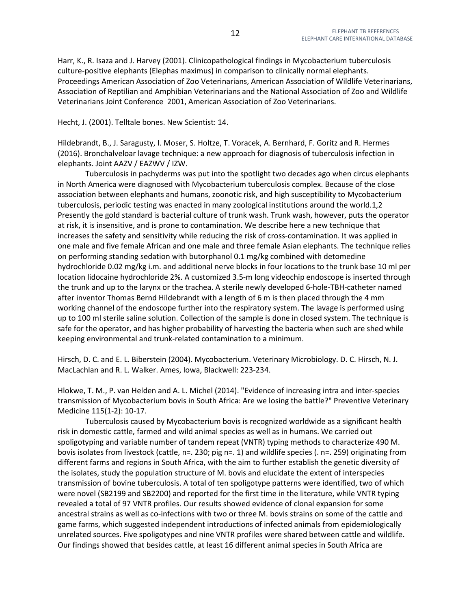Harr, K., R. Isaza and J. Harvey (2001). Clinicopathological findings in Mycobacterium tuberculosis culture-positive elephants (Elephas maximus) in comparison to clinically normal elephants. Proceedings American Association of Zoo Veterinarians, American Association of Wildlife Veterinarians, Association of Reptilian and Amphibian Veterinarians and the National Association of Zoo and Wildlife Veterinarians Joint Conference 2001, American Association of Zoo Veterinarians.

Hecht, J. (2001). Telltale bones. New Scientist: 14.

Hildebrandt, B., J. Saragusty, I. Moser, S. Holtze, T. Voracek, A. Bernhard, F. Goritz and R. Hermes (2016). Bronchalveloar lavage technique: a new approach for diagnosis of tuberculosis infection in elephants. Joint AAZV / EAZWV / IZW.

 Tuberculosis in pachyderms was put into the spotlight two decades ago when circus elephants in North America were diagnosed with Mycobacterium tuberculosis complex. Because of the close association between elephants and humans, zoonotic risk, and high susceptibility to Mycobacterium tuberculosis, periodic testing was enacted in many zoological institutions around the world.1,2 Presently the gold standard is bacterial culture of trunk wash. Trunk wash, however, puts the operator at risk, it is insensitive, and is prone to contamination. We describe here a new technique that increases the safety and sensitivity while reducing the risk of cross-contamination. It was applied in one male and five female African and one male and three female Asian elephants. The technique relies on performing standing sedation with butorphanol 0.1 mg/kg combined with detomedine hydrochloride 0.02 mg/kg i.m. and additional nerve blocks in four locations to the trunk base 10 ml per location lidocaine hydrochloride 2%. A customized 3.5-m long videochip endoscope is inserted through the trunk and up to the larynx or the trachea. A sterile newly developed 6-hole-TBH-catheter named after inventor Thomas Bernd Hildebrandt with a length of 6 m is then placed through the 4 mm working channel of the endoscope further into the respiratory system. The lavage is performed using up to 100 ml sterile saline solution. Collection of the sample is done in closed system. The technique is safe for the operator, and has higher probability of harvesting the bacteria when such are shed while keeping environmental and trunk-related contamination to a minimum.

Hirsch, D. C. and E. L. Biberstein (2004). Mycobacterium. Veterinary Microbiology. D. C. Hirsch, N. J. MacLachlan and R. L. Walker. Ames, Iowa, Blackwell: 223-234.

Hlokwe, T. M., P. van Helden and A. L. Michel (2014). "Evidence of increasing intra and inter-species transmission of Mycobacterium bovis in South Africa: Are we losing the battle?" Preventive Veterinary Medicine 115(1-2): 10-17.

 Tuberculosis caused by Mycobacterium bovis is recognized worldwide as a significant health risk in domestic cattle, farmed and wild animal species as well as in humans. We carried out spoligotyping and variable number of tandem repeat (VNTR) typing methods to characterize 490 M. bovis isolates from livestock (cattle, n=. 230; pig n=. 1) and wildlife species (. n=. 259) originating from different farms and regions in South Africa, with the aim to further establish the genetic diversity of the isolates, study the population structure of M. bovis and elucidate the extent of interspecies transmission of bovine tuberculosis. A total of ten spoligotype patterns were identified, two of which were novel (SB2199 and SB2200) and reported for the first time in the literature, while VNTR typing revealed a total of 97 VNTR profiles. Our results showed evidence of clonal expansion for some ancestral strains as well as co-infections with two or three M. bovis strains on some of the cattle and game farms, which suggested independent introductions of infected animals from epidemiologically unrelated sources. Five spoligotypes and nine VNTR profiles were shared between cattle and wildlife. Our findings showed that besides cattle, at least 16 different animal species in South Africa are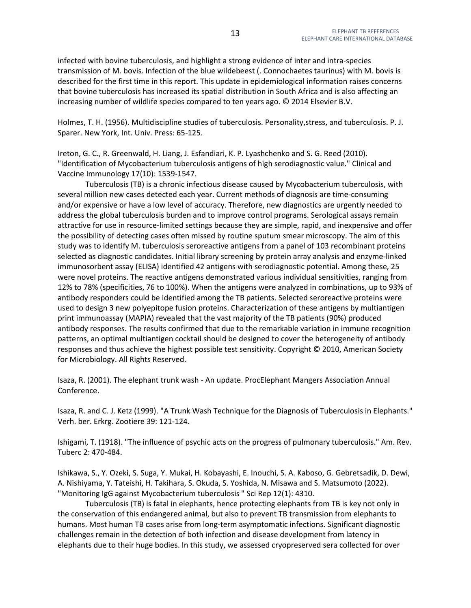infected with bovine tuberculosis, and highlight a strong evidence of inter and intra-species transmission of M. bovis. Infection of the blue wildebeest (. Connochaetes taurinus) with M. bovis is described for the first time in this report. This update in epidemiological information raises concerns that bovine tuberculosis has increased its spatial distribution in South Africa and is also affecting an increasing number of wildlife species compared to ten years ago. © 2014 Elsevier B.V.

Holmes, T. H. (1956). Multidiscipline studies of tuberculosis. Personality,stress, and tuberculosis. P. J. Sparer. New York, Int. Univ. Press: 65-125.

Ireton, G. C., R. Greenwald, H. Liang, J. Esfandiari, K. P. Lyashchenko and S. G. Reed (2010). "Identification of Mycobacterium tuberculosis antigens of high serodiagnostic value." Clinical and Vaccine Immunology 17(10): 1539-1547.

 Tuberculosis (TB) is a chronic infectious disease caused by Mycobacterium tuberculosis, with several million new cases detected each year. Current methods of diagnosis are time-consuming and/or expensive or have a low level of accuracy. Therefore, new diagnostics are urgently needed to address the global tuberculosis burden and to improve control programs. Serological assays remain attractive for use in resource-limited settings because they are simple, rapid, and inexpensive and offer the possibility of detecting cases often missed by routine sputum smear microscopy. The aim of this study was to identify M. tuberculosis seroreactive antigens from a panel of 103 recombinant proteins selected as diagnostic candidates. Initial library screening by protein array analysis and enzyme-linked immunosorbent assay (ELISA) identified 42 antigens with serodiagnostic potential. Among these, 25 were novel proteins. The reactive antigens demonstrated various individual sensitivities, ranging from 12% to 78% (specificities, 76 to 100%). When the antigens were analyzed in combinations, up to 93% of antibody responders could be identified among the TB patients. Selected seroreactive proteins were used to design 3 new polyepitope fusion proteins. Characterization of these antigens by multiantigen print immunoassay (MAPIA) revealed that the vast majority of the TB patients (90%) produced antibody responses. The results confirmed that due to the remarkable variation in immune recognition patterns, an optimal multiantigen cocktail should be designed to cover the heterogeneity of antibody responses and thus achieve the highest possible test sensitivity. Copyright © 2010, American Society for Microbiology. All Rights Reserved.

Isaza, R. (2001). The elephant trunk wash - An update. ProcElephant Mangers Association Annual Conference.

Isaza, R. and C. J. Ketz (1999). "A Trunk Wash Technique for the Diagnosis of Tuberculosis in Elephants." Verh. ber. Erkrg. Zootiere 39: 121-124.

Ishigami, T. (1918). "The influence of psychic acts on the progress of pulmonary tuberculosis." Am. Rev. Tuberc 2: 470-484.

Ishikawa, S., Y. Ozeki, S. Suga, Y. Mukai, H. Kobayashi, E. Inouchi, S. A. Kaboso, G. Gebretsadik, D. Dewi, A. Nishiyama, Y. Tateishi, H. Takihara, S. Okuda, S. Yoshida, N. Misawa and S. Matsumoto (2022). "Monitoring IgG against Mycobacterium tuberculosis " Sci Rep 12(1): 4310.

 Tuberculosis (TB) is fatal in elephants, hence protecting elephants from TB is key not only in the conservation of this endangered animal, but also to prevent TB transmission from elephants to humans. Most human TB cases arise from long-term asymptomatic infections. Significant diagnostic challenges remain in the detection of both infection and disease development from latency in elephants due to their huge bodies. In this study, we assessed cryopreserved sera collected for over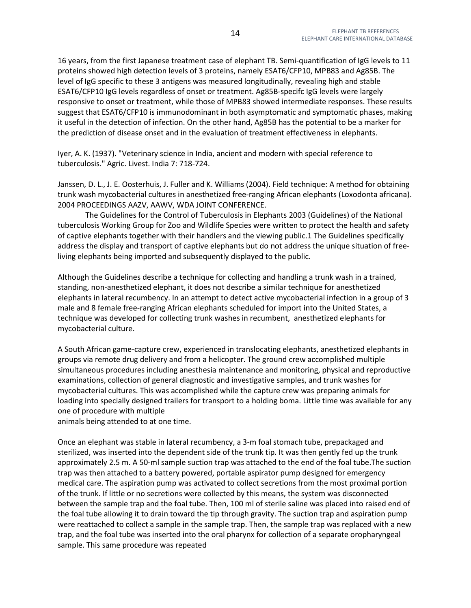16 years, from the first Japanese treatment case of elephant TB. Semi-quantification of IgG levels to 11 proteins showed high detection levels of 3 proteins, namely ESAT6/CFP10, MPB83 and Ag85B. The level of IgG specific to these 3 antigens was measured longitudinally, revealing high and stable ESAT6/CFP10 IgG levels regardless of onset or treatment. Ag85B-specifc IgG levels were largely responsive to onset or treatment, while those of MPB83 showed intermediate responses. These results suggest that ESAT6/CFP10 is immunodominant in both asymptomatic and symptomatic phases, making it useful in the detection of infection. On the other hand, Ag85B has the potential to be a marker for the prediction of disease onset and in the evaluation of treatment effectiveness in elephants.

Iyer, A. K. (1937). "Veterinary science in India, ancient and modern with special reference to tuberculosis." Agric. Livest. India 7: 718-724.

Janssen, D. L., J. E. Oosterhuis, J. Fuller and K. Williams (2004). Field technique: A method for obtaining trunk wash mycobacterial cultures in anesthetized free-ranging African elephants (Loxodonta africana). 2004 PROCEEDINGS AAZV, AAWV, WDA JOINT CONFERENCE.

 The Guidelines for the Control of Tuberculosis in Elephants 2003 (Guidelines) of the National tuberculosis Working Group for Zoo and Wildlife Species were written to protect the health and safety of captive elephants together with their handlers and the viewing public.1 The Guidelines specifically address the display and transport of captive elephants but do not address the unique situation of freeliving elephants being imported and subsequently displayed to the public.

Although the Guidelines describe a technique for collecting and handling a trunk wash in a trained, standing, non-anesthetized elephant, it does not describe a similar technique for anesthetized elephants in lateral recumbency. In an attempt to detect active mycobacterial infection in a group of 3 male and 8 female free-ranging African elephants scheduled for import into the United States, a technique was developed for collecting trunk washes in recumbent, anesthetized elephants for mycobacterial culture.

A South African game-capture crew, experienced in translocating elephants, anesthetized elephants in groups via remote drug delivery and from a helicopter. The ground crew accomplished multiple simultaneous procedures including anesthesia maintenance and monitoring, physical and reproductive examinations, collection of general diagnostic and investigative samples, and trunk washes for mycobacterial cultures. This was accomplished while the capture crew was preparing animals for loading into specially designed trailers for transport to a holding boma. Little time was available for any one of procedure with multiple

animals being attended to at one time.

Once an elephant was stable in lateral recumbency, a 3-m foal stomach tube, prepackaged and sterilized, was inserted into the dependent side of the trunk tip. It was then gently fed up the trunk approximately 2.5 m. A 50-ml sample suction trap was attached to the end of the foal tube.The suction trap was then attached to a battery powered, portable aspirator pump designed for emergency medical care. The aspiration pump was activated to collect secretions from the most proximal portion of the trunk. If little or no secretions were collected by this means, the system was disconnected between the sample trap and the foal tube. Then, 100 ml of sterile saline was placed into raised end of the foal tube allowing it to drain toward the tip through gravity. The suction trap and aspiration pump were reattached to collect a sample in the sample trap. Then, the sample trap was replaced with a new trap, and the foal tube was inserted into the oral pharynx for collection of a separate oropharyngeal sample. This same procedure was repeated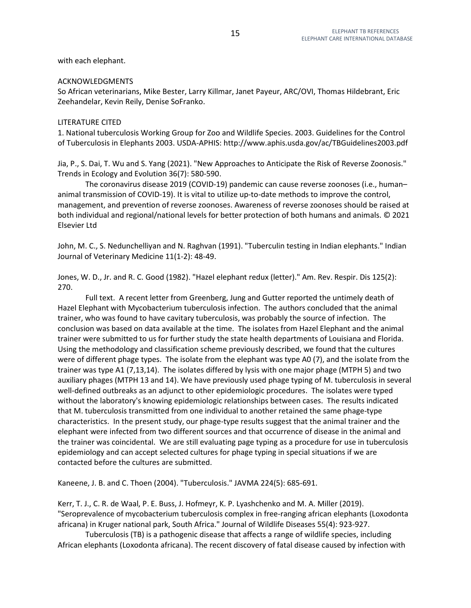### with each elephant.

### ACKNOWLEDGMENTS

So African veterinarians, Mike Bester, Larry Killmar, Janet Payeur, ARC/OVI, Thomas Hildebrant, Eric Zeehandelar, Kevin Reily, Denise SoFranko.

### LITERATURE CITED

1. National tuberculosis Working Group for Zoo and Wildlife Species. 2003. Guidelines for the Control of Tuberculosis in Elephants 2003. USDA-APHIS: http://www.aphis.usda.gov/ac/TBGuidelines2003.pdf

Jia, P., S. Dai, T. Wu and S. Yang (2021). "New Approaches to Anticipate the Risk of Reverse Zoonosis." Trends in Ecology and Evolution 36(7): 580-590.

 The coronavirus disease 2019 (COVID-19) pandemic can cause reverse zoonoses (i.e., human– animal transmission of COVID-19). It is vital to utilize up-to-date methods to improve the control, management, and prevention of reverse zoonoses. Awareness of reverse zoonoses should be raised at both individual and regional/national levels for better protection of both humans and animals. © 2021 Elsevier Ltd

John, M. C., S. Nedunchelliyan and N. Raghvan (1991). "Tuberculin testing in Indian elephants." Indian Journal of Veterinary Medicine 11(1-2): 48-49.

Jones, W. D., Jr. and R. C. Good (1982). "Hazel elephant redux (letter)." Am. Rev. Respir. Dis 125(2): 270.

 Full text. A recent letter from Greenberg, Jung and Gutter reported the untimely death of Hazel Elephant with Mycobacterium tuberculosis infection. The authors concluded that the animal trainer, who was found to have cavitary tuberculosis, was probably the source of infection. The conclusion was based on data available at the time. The isolates from Hazel Elephant and the animal trainer were submitted to us for further study the state health departments of Louisiana and Florida. Using the methodology and classification scheme previously described, we found that the cultures were of different phage types. The isolate from the elephant was type A0 (7), and the isolate from the trainer was type A1 (7,13,14). The isolates differed by lysis with one major phage (MTPH 5) and two auxiliary phages (MTPH 13 and 14). We have previously used phage typing of M. tuberculosis in several well-defined outbreaks as an adjunct to other epidemiologic procedures. The isolates were typed without the laboratory's knowing epidemiologic relationships between cases. The results indicated that M. tuberculosis transmitted from one individual to another retained the same phage-type characteristics. In the present study, our phage-type results suggest that the animal trainer and the elephant were infected from two different sources and that occurrence of disease in the animal and the trainer was coincidental. We are still evaluating page typing as a procedure for use in tuberculosis epidemiology and can accept selected cultures for phage typing in special situations if we are contacted before the cultures are submitted.

Kaneene, J. B. and C. Thoen (2004). "Tuberculosis." JAVMA 224(5): 685-691.

Kerr, T. J., C. R. de Waal, P. E. Buss, J. Hofmeyr, K. P. Lyashchenko and M. A. Miller (2019). "Seroprevalence of mycobacterium tuberculosis complex in free-ranging african elephants (Loxodonta africana) in Kruger national park, South Africa." Journal of Wildlife Diseases 55(4): 923-927.

 Tuberculosis (TB) is a pathogenic disease that affects a range of wildlife species, including African elephants (Loxodonta africana). The recent discovery of fatal disease caused by infection with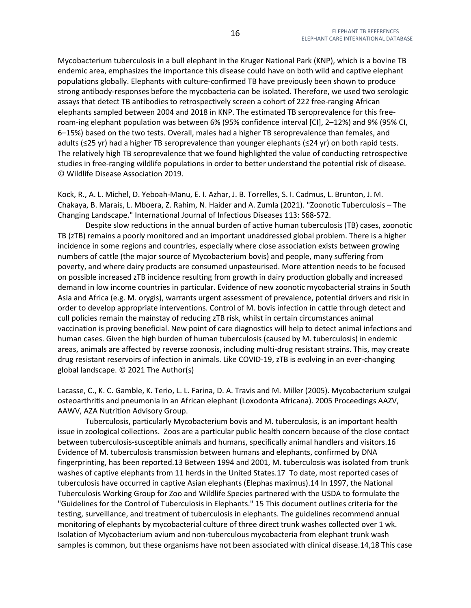Mycobacterium tuberculosis in a bull elephant in the Kruger National Park (KNP), which is a bovine TB endemic area, emphasizes the importance this disease could have on both wild and captive elephant populations globally. Elephants with culture-confirmed TB have previously been shown to produce strong antibody-responses before the mycobacteria can be isolated. Therefore, we used two serologic assays that detect TB antibodies to retrospectively screen a cohort of 222 free-ranging African elephants sampled between 2004 and 2018 in KNP. The estimated TB seroprevalence for this freeroam-ing elephant population was between 6% (95% confidence interval [CI], 2–12%) and 9% (95% CI, 6–15%) based on the two tests. Overall, males had a higher TB seroprevalence than females, and adults (≤25 yr) had a higher TB seroprevalence than younger elephants (≤24 yr) on both rapid tests. The relatively high TB seroprevalence that we found highlighted the value of conducting retrospective studies in free-ranging wildlife populations in order to better understand the potential risk of disease. © Wildlife Disease Association 2019.

Kock, R., A. L. Michel, D. Yeboah-Manu, E. I. Azhar, J. B. Torrelles, S. I. Cadmus, L. Brunton, J. M. Chakaya, B. Marais, L. Mboera, Z. Rahim, N. Haider and A. Zumla (2021). "Zoonotic Tuberculosis – The Changing Landscape." International Journal of Infectious Diseases 113: S68-S72.

 Despite slow reductions in the annual burden of active human tuberculosis (TB) cases, zoonotic TB (zTB) remains a poorly monitored and an important unaddressed global problem. There is a higher incidence in some regions and countries, especially where close association exists between growing numbers of cattle (the major source of Mycobacterium bovis) and people, many suffering from poverty, and where dairy products are consumed unpasteurised. More attention needs to be focused on possible increased zTB incidence resulting from growth in dairy production globally and increased demand in low income countries in particular. Evidence of new zoonotic mycobacterial strains in South Asia and Africa (e.g. M. orygis), warrants urgent assessment of prevalence, potential drivers and risk in order to develop appropriate interventions. Control of M. bovis infection in cattle through detect and cull policies remain the mainstay of reducing zTB risk, whilst in certain circumstances animal vaccination is proving beneficial. New point of care diagnostics will help to detect animal infections and human cases. Given the high burden of human tuberculosis (caused by M. tuberculosis) in endemic areas, animals are affected by reverse zoonosis, including multi-drug resistant strains. This, may create drug resistant reservoirs of infection in animals. Like COVID-19, zTB is evolving in an ever-changing global landscape. © 2021 The Author(s)

Lacasse, C., K. C. Gamble, K. Terio, L. L. Farina, D. A. Travis and M. Miller (2005). Mycobacterium szulgai osteoarthritis and pneumonia in an African elephant (Loxodonta Africana). 2005 Proceedings AAZV, AAWV, AZA Nutrition Advisory Group.

 Tuberculosis, particularly Mycobacterium bovis and M. tuberculosis, is an important health issue in zoological collections. Zoos are a particular public health concern because of the close contact between tuberculosis-susceptible animals and humans, specifically animal handlers and visitors.16 Evidence of M. tuberculosis transmission between humans and elephants, confirmed by DNA fingerprinting, has been reported.13 Between 1994 and 2001, M. tuberculosis was isolated from trunk washes of captive elephants from 11 herds in the United States.17 To date, most reported cases of tuberculosis have occurred in captive Asian elephants (Elephas maximus).14 In 1997, the National Tuberculosis Working Group for Zoo and Wildlife Species partnered with the USDA to formulate the "Guidelines for the Control of Tuberculosis in Elephants." 15 This document outlines criteria for the testing, surveillance, and treatment of tuberculosis in elephants. The guidelines recommend annual monitoring of elephants by mycobacterial culture of three direct trunk washes collected over 1 wk. Isolation of Mycobacterium avium and non-tuberculous mycobacteria from elephant trunk wash samples is common, but these organisms have not been associated with clinical disease.14,18 This case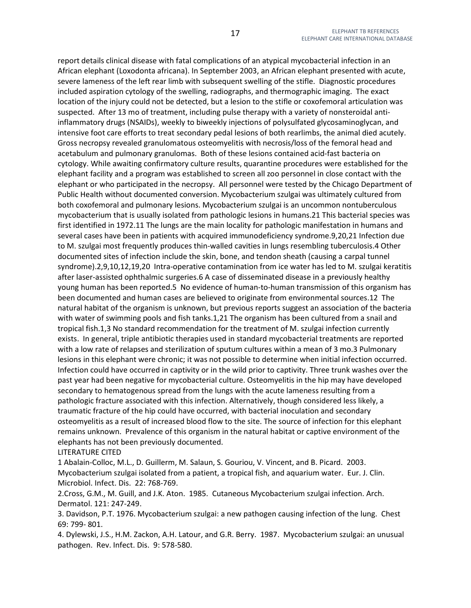report details clinical disease with fatal complications of an atypical mycobacterial infection in an African elephant (Loxodonta africana). In September 2003, an African elephant presented with acute, severe lameness of the left rear limb with subsequent swelling of the stifle. Diagnostic procedures included aspiration cytology of the swelling, radiographs, and thermographic imaging. The exact location of the injury could not be detected, but a lesion to the stifle or coxofemoral articulation was suspected. After 13 mo of treatment, including pulse therapy with a variety of nonsteroidal antiinflammatory drugs (NSAIDs), weekly to biweekly injections of polysulfated glycosaminoglycan, and intensive foot care efforts to treat secondary pedal lesions of both rearlimbs, the animal died acutely. Gross necropsy revealed granulomatous osteomyelitis with necrosis/loss of the femoral head and acetabulum and pulmonary granulomas. Both of these lesions contained acid-fast bacteria on cytology. While awaiting confirmatory culture results, quarantine procedures were established for the elephant facility and a program was established to screen all zoo personnel in close contact with the elephant or who participated in the necropsy. All personnel were tested by the Chicago Department of Public Health without documented conversion. Mycobacterium szulgai was ultimately cultured from both coxofemoral and pulmonary lesions. Mycobacterium szulgai is an uncommon nontuberculous mycobacterium that is usually isolated from pathologic lesions in humans.21 This bacterial species was first identified in 1972.11 The lungs are the main locality for pathologic manifestation in humans and several cases have been in patients with acquired immunodeficiency syndrome.9,20,21 Infection due to M. szulgai most frequently produces thin-walled cavities in lungs resembling tuberculosis.4 Other documented sites of infection include the skin, bone, and tendon sheath (causing a carpal tunnel syndrome).2,9,10,12,19,20 Intra-operative contamination from ice water has led to M. szulgai keratitis after laser-assisted ophthalmic surgeries.6 A case of disseminated disease in a previously healthy young human has been reported.5 No evidence of human-to-human transmission of this organism has been documented and human cases are believed to originate from environmental sources.12 The natural habitat of the organism is unknown, but previous reports suggest an association of the bacteria with water of swimming pools and fish tanks.1,21 The organism has been cultured from a snail and tropical fish.1,3 No standard recommendation for the treatment of M. szulgai infection currently exists. In general, triple antibiotic therapies used in standard mycobacterial treatments are reported with a low rate of relapses and sterilization of sputum cultures within a mean of 3 mo.3 Pulmonary lesions in this elephant were chronic; it was not possible to determine when initial infection occurred. Infection could have occurred in captivity or in the wild prior to captivity. Three trunk washes over the past year had been negative for mycobacterial culture. Osteomyelitis in the hip may have developed secondary to hematogenous spread from the lungs with the acute lameness resulting from a pathologic fracture associated with this infection. Alternatively, though considered less likely, a traumatic fracture of the hip could have occurred, with bacterial inoculation and secondary osteomyelitis as a result of increased blood flow to the site. The source of infection for this elephant remains unknown. Prevalence of this organism in the natural habitat or captive environment of the elephants has not been previously documented.

LITERATURE CITED

1 Abalain-Colloc, M.L., D. Guillerm, M. Salaun, S. Gouriou, V. Vincent, and B. Picard. 2003. Mycobacterium szulgai isolated from a patient, a tropical fish, and aquarium water. Eur. J. Clin. Microbiol. Infect. Dis. 22: 768-769.

2.Cross, G.M., M. Guill, and J.K. Aton. 1985. Cutaneous Mycobacterium szulgai infection. Arch. Dermatol. 121: 247-249.

3. Davidson, P.T. 1976. Mycobacterium szulgai: a new pathogen causing infection of the lung. Chest 69: 799- 801.

4. Dylewski, J.S., H.M. Zackon, A.H. Latour, and G.R. Berry. 1987. Mycobacterium szulgai: an unusual pathogen. Rev. Infect. Dis. 9: 578-580.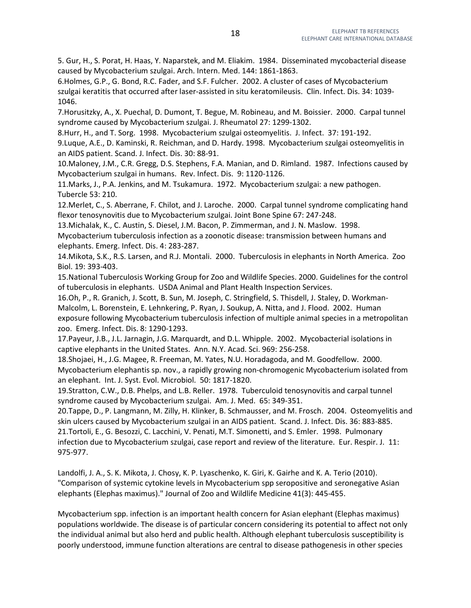5. Gur, H., S. Porat, H. Haas, Y. Naparstek, and M. Eliakim. 1984. Disseminated mycobacterial disease caused by Mycobacterium szulgai. Arch. Intern. Med. 144: 1861-1863.

6.Holmes, G.P., G. Bond, R.C. Fader, and S.F. Fulcher. 2002. A cluster of cases of Mycobacterium szulgai keratitis that occurred after laser-assisted in situ keratomileusis. Clin. Infect. Dis. 34: 1039- 1046.

7.Horusitzky, A., X. Puechal, D. Dumont, T. Begue, M. Robineau, and M. Boissier. 2000. Carpal tunnel syndrome caused by Mycobacterium szulgai. J. Rheumatol 27: 1299-1302.

8.Hurr, H., and T. Sorg. 1998. Mycobacterium szulgai osteomyelitis. J. Infect. 37: 191-192.

9.Luque, A.E., D. Kaminski, R. Reichman, and D. Hardy. 1998. Mycobacterium szulgai osteomyelitis in an AIDS patient. Scand. J. Infect. Dis. 30: 88-91.

10.Maloney, J.M., C.R. Gregg, D.S. Stephens, F.A. Manian, and D. Rimland. 1987. Infections caused by Mycobacterium szulgai in humans. Rev. Infect. Dis. 9: 1120-1126.

11.Marks, J., P.A. Jenkins, and M. Tsukamura. 1972. Mycobacterium szulgai: a new pathogen. Tubercle 53: 210.

12.Merlet, C., S. Aberrane, F. Chilot, and J. Laroche. 2000. Carpal tunnel syndrome complicating hand flexor tenosynovitis due to Mycobacterium szulgai. Joint Bone Spine 67: 247-248.

13.Michalak, K., C. Austin, S. Diesel, J.M. Bacon, P. Zimmerman, and J. N. Maslow. 1998.

Mycobacterium tuberculosis infection as a zoonotic disease: transmission between humans and elephants. Emerg. Infect. Dis. 4: 283-287.

14.Mikota, S.K., R.S. Larsen, and R.J. Montali. 2000. Tuberculosis in elephants in North America. Zoo Biol. 19: 393-403.

15.National Tuberculosis Working Group for Zoo and Wildlife Species. 2000. Guidelines for the control of tuberculosis in elephants. USDA Animal and Plant Health Inspection Services.

16.Oh, P., R. Granich, J. Scott, B. Sun, M. Joseph, C. Stringfield, S. Thisdell, J. Staley, D. Workman-Malcolm, L. Borenstein, E. Lehnkering, P. Ryan, J. Soukup, A. Nitta, and J. Flood. 2002. Human exposure following Mycobacterium tuberculosis infection of multiple animal species in a metropolitan zoo. Emerg. Infect. Dis. 8: 1290-1293.

17.Payeur, J.B., J.L. Jarnagin, J.G. Marquardt, and D.L. Whipple. 2002. Mycobacterial isolations in captive elephants in the United States. Ann. N.Y. Acad. Sci. 969: 256-258.

18.Shojaei, H., J.G. Magee, R. Freeman, M. Yates, N.U. Horadagoda, and M. Goodfellow. 2000. Mycobacterium elephantis sp. nov., a rapidly growing non-chromogenic Mycobacterium isolated from an elephant. Int. J. Syst. Evol. Microbiol. 50: 1817-1820.

19.Stratton, C.W., D.B. Phelps, and L.B. Reller. 1978. Tuberculoid tenosynovitis and carpal tunnel syndrome caused by Mycobacterium szulgai. Am. J. Med. 65: 349-351.

20.Tappe, D., P. Langmann, M. Zilly, H. Klinker, B. Schmausser, and M. Frosch. 2004. Osteomyelitis and skin ulcers caused by Mycobacterium szulgai in an AIDS patient. Scand. J. Infect. Dis. 36: 883-885. 21.Tortoli, E., G. Besozzi, C. Lacchini, V. Penati, M.T. Simonetti, and S. Emler. 1998. Pulmonary infection due to Mycobacterium szulgai, case report and review of the literature. Eur. Respir. J. 11: 975-977.

Landolfi, J. A., S. K. Mikota, J. Chosy, K. P. Lyaschenko, K. Giri, K. Gairhe and K. A. Terio (2010). "Comparison of systemic cytokine levels in Mycobacterium spp seropositive and seronegative Asian elephants (Elephas maximus)." Journal of Zoo and Wildlife Medicine 41(3): 445-455.

Mycobacterium spp. infection is an important health concern for Asian elephant (Elephas maximus) populations worldwide. The disease is of particular concern considering its potential to affect not only the individual animal but also herd and public health. Although elephant tuberculosis susceptibility is poorly understood, immune function alterations are central to disease pathogenesis in other species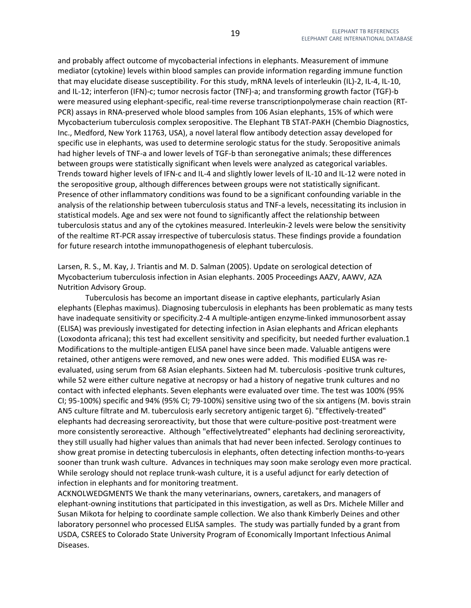and probably affect outcome of mycobacterial infections in elephants. Measurement of immune mediator (cytokine) levels within blood samples can provide information regarding immune function that may elucidate disease susceptibility. For this study, mRNA levels of interleukin (IL)-2, IL-4, IL-10, and IL-12; interferon (IFN)-c; tumor necrosis factor (TNF)-a; and transforming growth factor (TGF)-b were measured using elephant-specific, real-time reverse transcriptionpolymerase chain reaction (RT-PCR) assays in RNA-preserved whole blood samples from 106 Asian elephants, 15% of which were Mycobacterium tuberculosis complex seropositive. The Elephant TB STAT-PAKH (Chembio Diagnostics, Inc., Medford, New York 11763, USA), a novel lateral flow antibody detection assay developed for specific use in elephants, was used to determine serologic status for the study. Seropositive animals had higher levels of TNF-a and lower levels of TGF-b than seronegative animals; these differences between groups were statistically significant when levels were analyzed as categorical variables. Trends toward higher levels of IFN-c and IL-4 and slightly lower levels of IL-10 and IL-12 were noted in the seropositive group, although differences between groups were not statistically significant. Presence of other inflammatory conditions was found to be a significant confounding variable in the analysis of the relationship between tuberculosis status and TNF-a levels, necessitating its inclusion in statistical models. Age and sex were not found to significantly affect the relationship between tuberculosis status and any of the cytokines measured. Interleukin-2 levels were below the sensitivity of the realtime RT-PCR assay irrespective of tuberculosis status. These findings provide a foundation for future research intothe immunopathogenesis of elephant tuberculosis.

Larsen, R. S., M. Kay, J. Triantis and M. D. Salman (2005). Update on serological detection of Mycobacterium tuberculosis infection in Asian elephants. 2005 Proceedings AAZV, AAWV, AZA Nutrition Advisory Group.

 Tuberculosis has become an important disease in captive elephants, particularly Asian elephants (Elephas maximus). Diagnosing tuberculosis in elephants has been problematic as many tests have inadequate sensitivity or specificity.2-4 A multiple-antigen enzyme-linked immunosorbent assay (ELISA) was previously investigated for detecting infection in Asian elephants and African elephants (Loxodonta africana); this test had excellent sensitivity and specificity, but needed further evaluation.1 Modifications to the multiple-antigen ELISA panel have since been made. Valuable antigens were retained, other antigens were removed, and new ones were added. This modified ELISA was reevaluated, using serum from 68 Asian elephants. Sixteen had M. tuberculosis -positive trunk cultures, while 52 were either culture negative at necropsy or had a history of negative trunk cultures and no contact with infected elephants. Seven elephants were evaluated over time. The test was 100% (95% CI; 95-100%) specific and 94% (95% CI; 79-100%) sensitive using two of the six antigens (M. bovis strain AN5 culture filtrate and M. tuberculosis early secretory antigenic target 6). "Effectively-treated" elephants had decreasing seroreactivity, but those that were culture-positive post-treatment were more consistently seroreactive. Although "effectivelytreated" elephants had declining seroreactivity, they still usually had higher values than animals that had never been infected. Serology continues to show great promise in detecting tuberculosis in elephants, often detecting infection months-to-years sooner than trunk wash culture. Advances in techniques may soon make serology even more practical. While serology should not replace trunk-wash culture, it is a useful adjunct for early detection of infection in elephants and for monitoring treatment.

ACKNOLWEDGMENTS We thank the many veterinarians, owners, caretakers, and managers of elephant-owning institutions that participated in this investigation, as well as Drs. Michele Miller and Susan Mikota for helping to coordinate sample collection. We also thank Kimberly Deines and other laboratory personnel who processed ELISA samples. The study was partially funded by a grant from USDA, CSREES to Colorado State University Program of Economically Important Infectious Animal Diseases.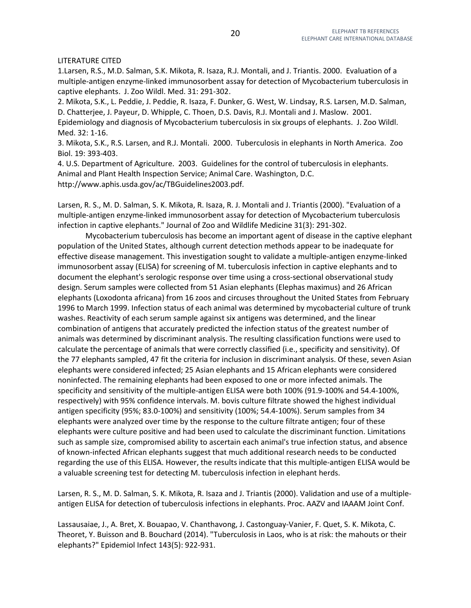### LITERATURE CITED

1.Larsen, R.S., M.D. Salman, S.K. Mikota, R. Isaza, R.J. Montali, and J. Triantis. 2000. Evaluation of a multiple-antigen enzyme-linked immunosorbent assay for detection of Mycobacterium tuberculosis in captive elephants. J. Zoo Wildl. Med. 31: 291-302.

2. Mikota, S.K., L. Peddie, J. Peddie, R. Isaza, F. Dunker, G. West, W. Lindsay, R.S. Larsen, M.D. Salman, D. Chatterjee, J. Payeur, D. Whipple, C. Thoen, D.S. Davis, R.J. Montali and J. Maslow. 2001. Epidemiology and diagnosis of Mycobacterium tuberculosis in six groups of elephants. J. Zoo Wildl. Med. 32: 1-16.

3. Mikota, S.K., R.S. Larsen, and R.J. Montali. 2000. Tuberculosis in elephants in North America. Zoo Biol. 19: 393-403.

4. U.S. Department of Agriculture. 2003. Guidelines for the control of tuberculosis in elephants. Animal and Plant Health Inspection Service; Animal Care. Washington, D.C. http://www.aphis.usda.gov/ac/TBGuidelines2003.pdf.

Larsen, R. S., M. D. Salman, S. K. Mikota, R. Isaza, R. J. Montali and J. Triantis (2000). "Evaluation of a multiple-antigen enzyme-linked immunosorbent assay for detection of Mycobacterium tuberculosis infection in captive elephants." Journal of Zoo and Wildlife Medicine 31(3): 291-302.

 Mycobacterium tuberculosis has become an important agent of disease in the captive elephant population of the United States, although current detection methods appear to be inadequate for effective disease management. This investigation sought to validate a multiple-antigen enzyme-linked immunosorbent assay (ELISA) for screening of M. tuberculosis infection in captive elephants and to document the elephant's serologic response over time using a cross-sectional observational study design. Serum samples were collected from 51 Asian elephants (Elephas maximus) and 26 African elephants (Loxodonta africana) from 16 zoos and circuses throughout the United States from February 1996 to March 1999. Infection status of each animal was determined by mycobacterial culture of trunk washes. Reactivity of each serum sample against six antigens was determined, and the linear combination of antigens that accurately predicted the infection status of the greatest number of animals was determined by discriminant analysis. The resulting classification functions were used to calculate the percentage of animals that were correctly classified (i.e., specificity and sensitivity). Of the 77 elephants sampled, 47 fit the criteria for inclusion in discriminant analysis. Of these, seven Asian elephants were considered infected; 25 Asian elephants and 15 African elephants were considered noninfected. The remaining elephants had been exposed to one or more infected animals. The specificity and sensitivity of the multiple-antigen ELISA were both 100% (91.9-100% and 54.4-100%, respectively) with 95% confidence intervals. M. bovis culture filtrate showed the highest individual antigen specificity (95%; 83.0-100%) and sensitivity (100%; 54.4-100%). Serum samples from 34 elephants were analyzed over time by the response to the culture filtrate antigen; four of these elephants were culture positive and had been used to calculate the discriminant function. Limitations such as sample size, compromised ability to ascertain each animal's true infection status, and absence of known-infected African elephants suggest that much additional research needs to be conducted regarding the use of this ELISA. However, the results indicate that this multiple-antigen ELISA would be a valuable screening test for detecting M. tuberculosis infection in elephant herds.

Larsen, R. S., M. D. Salman, S. K. Mikota, R. Isaza and J. Triantis (2000). Validation and use of a multipleantigen ELISA for detection of tuberculosis infections in elephants. Proc. AAZV and IAAAM Joint Conf.

Lassausaiae, J., A. Bret, X. Bouapao, V. Chanthavong, J. Castonguay-Vanier, F. Quet, S. K. Mikota, C. Theoret, Y. Buisson and B. Bouchard (2014). "Tuberculosis in Laos, who is at risk: the mahouts or their elephants?" Epidemiol Infect 143(5): 922-931.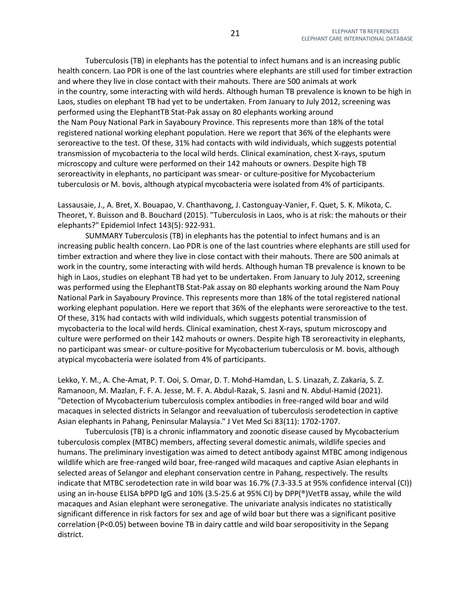Tuberculosis (TB) in elephants has the potential to infect humans and is an increasing public health concern. Lao PDR is one of the last countries where elephants are still used for timber extraction and where they live in close contact with their mahouts. There are 500 animals at work in the country, some interacting with wild herds. Although human TB prevalence is known to be high in Laos, studies on elephant TB had yet to be undertaken. From January to July 2012, screening was performed using the ElephantTB Stat-Pak assay on 80 elephants working around the Nam Pouy National Park in Sayaboury Province. This represents more than 18% of the total registered national working elephant population. Here we report that 36% of the elephants were seroreactive to the test. Of these, 31% had contacts with wild individuals, which suggests potential transmission of mycobacteria to the local wild herds. Clinical examination, chest X-rays, sputum microscopy and culture were performed on their 142 mahouts or owners. Despite high TB seroreactivity in elephants, no participant was smear- or culture-positive for Mycobacterium tuberculosis or M. bovis, although atypical mycobacteria were isolated from 4% of participants.

Lassausaie, J., A. Bret, X. Bouapao, V. Chanthavong, J. Castonguay-Vanier, F. Quet, S. K. Mikota, C. Theoret, Y. Buisson and B. Bouchard (2015). "Tuberculosis in Laos, who is at risk: the mahouts or their elephants?" Epidemiol Infect 143(5): 922-931.

 SUMMARY Tuberculosis (TB) in elephants has the potential to infect humans and is an increasing public health concern. Lao PDR is one of the last countries where elephants are still used for timber extraction and where they live in close contact with their mahouts. There are 500 animals at work in the country, some interacting with wild herds. Although human TB prevalence is known to be high in Laos, studies on elephant TB had yet to be undertaken. From January to July 2012, screening was performed using the ElephantTB Stat-Pak assay on 80 elephants working around the Nam Pouy National Park in Sayaboury Province. This represents more than 18% of the total registered national working elephant population. Here we report that 36% of the elephants were seroreactive to the test. Of these, 31% had contacts with wild individuals, which suggests potential transmission of mycobacteria to the local wild herds. Clinical examination, chest X-rays, sputum microscopy and culture were performed on their 142 mahouts or owners. Despite high TB seroreactivity in elephants, no participant was smear- or culture-positive for Mycobacterium tuberculosis or M. bovis, although atypical mycobacteria were isolated from 4% of participants.

Lekko, Y. M., A. Che-Amat, P. T. Ooi, S. Omar, D. T. Mohd-Hamdan, L. S. Linazah, Z. Zakaria, S. Z. Ramanoon, M. Mazlan, F. F. A. Jesse, M. F. A. Abdul-Razak, S. Jasni and N. Abdul-Hamid (2021). "Detection of Mycobacterium tuberculosis complex antibodies in free-ranged wild boar and wild macaques in selected districts in Selangor and reevaluation of tuberculosis serodetection in captive Asian elephants in Pahang, Peninsular Malaysia." J Vet Med Sci 83(11): 1702-1707.

 Tuberculosis (TB) is a chronic inflammatory and zoonotic disease caused by Mycobacterium tuberculosis complex (MTBC) members, affecting several domestic animals, wildlife species and humans. The preliminary investigation was aimed to detect antibody against MTBC among indigenous wildlife which are free-ranged wild boar, free-ranged wild macaques and captive Asian elephants in selected areas of Selangor and elephant conservation centre in Pahang, respectively. The results indicate that MTBC serodetection rate in wild boar was 16.7% (7.3-33.5 at 95% confidence interval (CI)) using an in-house ELISA bPPD IgG and 10% (3.5-25.6 at 95% CI) by DPP(®)VetTB assay, while the wild macaques and Asian elephant were seronegative. The univariate analysis indicates no statistically significant difference in risk factors for sex and age of wild boar but there was a significant positive correlation (P<0.05) between bovine TB in dairy cattle and wild boar seropositivity in the Sepang district.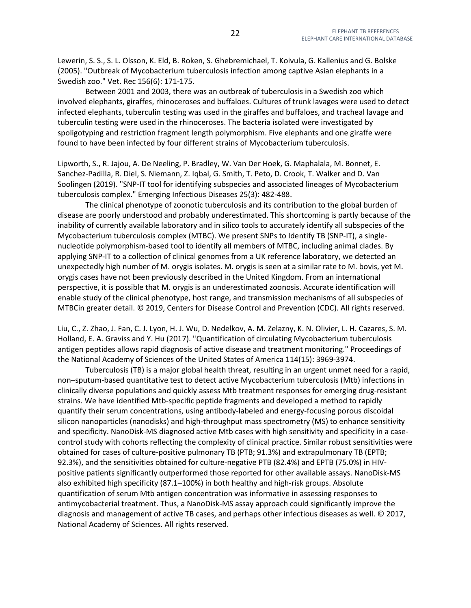Lewerin, S. S., S. L. Olsson, K. Eld, B. Roken, S. Ghebremichael, T. Koivula, G. Kallenius and G. Bolske (2005). "Outbreak of Mycobacterium tuberculosis infection among captive Asian elephants in a Swedish zoo." Vet. Rec 156(6): 171-175.

 Between 2001 and 2003, there was an outbreak of tuberculosis in a Swedish zoo which involved elephants, giraffes, rhinoceroses and buffaloes. Cultures of trunk lavages were used to detect infected elephants, tuberculin testing was used in the giraffes and buffaloes, and tracheal lavage and tuberculin testing were used in the rhinoceroses. The bacteria isolated were investigated by spoligotyping and restriction fragment length polymorphism. Five elephants and one giraffe were found to have been infected by four different strains of Mycobacterium tuberculosis.

Lipworth, S., R. Jajou, A. De Neeling, P. Bradley, W. Van Der Hoek, G. Maphalala, M. Bonnet, E. Sanchez-Padilla, R. Diel, S. Niemann, Z. Iqbal, G. Smith, T. Peto, D. Crook, T. Walker and D. Van Soolingen (2019). "SNP-IT tool for identifying subspecies and associated lineages of Mycobacterium tuberculosis complex." Emerging Infectious Diseases 25(3): 482-488.

 The clinical phenotype of zoonotic tuberculosis and its contribution to the global burden of disease are poorly understood and probably underestimated. This shortcoming is partly because of the inability of currently available laboratory and in silico tools to accurately identify all subspecies of the Mycobacterium tuberculosis complex (MTBC). We present SNPs to Identify TB (SNP-IT), a singlenucleotide polymorphism-based tool to identify all members of MTBC, including animal clades. By applying SNP-IT to a collection of clinical genomes from a UK reference laboratory, we detected an unexpectedly high number of M. orygis isolates. M. orygis is seen at a similar rate to M. bovis, yet M. orygis cases have not been previously described in the United Kingdom. From an international perspective, it is possible that M. orygis is an underestimated zoonosis. Accurate identification will enable study of the clinical phenotype, host range, and transmission mechanisms of all subspecies of MTBCin greater detail. © 2019, Centers for Disease Control and Prevention (CDC). All rights reserved.

Liu, C., Z. Zhao, J. Fan, C. J. Lyon, H. J. Wu, D. Nedelkov, A. M. Zelazny, K. N. Olivier, L. H. Cazares, S. M. Holland, E. A. Graviss and Y. Hu (2017). "Quantification of circulating Mycobacterium tuberculosis antigen peptides allows rapid diagnosis of active disease and treatment monitoring." Proceedings of the National Academy of Sciences of the United States of America 114(15): 3969-3974.

 Tuberculosis (TB) is a major global health threat, resulting in an urgent unmet need for a rapid, non–sputum-based quantitative test to detect active Mycobacterium tuberculosis (Mtb) infections in clinically diverse populations and quickly assess Mtb treatment responses for emerging drug-resistant strains. We have identified Mtb-specific peptide fragments and developed a method to rapidly quantify their serum concentrations, using antibody-labeled and energy-focusing porous discoidal silicon nanoparticles (nanodisks) and high-throughput mass spectrometry (MS) to enhance sensitivity and specificity. NanoDisk-MS diagnosed active Mtb cases with high sensitivity and specificity in a casecontrol study with cohorts reflecting the complexity of clinical practice. Similar robust sensitivities were obtained for cases of culture-positive pulmonary TB (PTB; 91.3%) and extrapulmonary TB (EPTB; 92.3%), and the sensitivities obtained for culture-negative PTB (82.4%) and EPTB (75.0%) in HIVpositive patients significantly outperformed those reported for other available assays. NanoDisk-MS also exhibited high specificity (87.1–100%) in both healthy and high-risk groups. Absolute quantification of serum Mtb antigen concentration was informative in assessing responses to antimycobacterial treatment. Thus, a NanoDisk-MS assay approach could significantly improve the diagnosis and management of active TB cases, and perhaps other infectious diseases as well. © 2017, National Academy of Sciences. All rights reserved.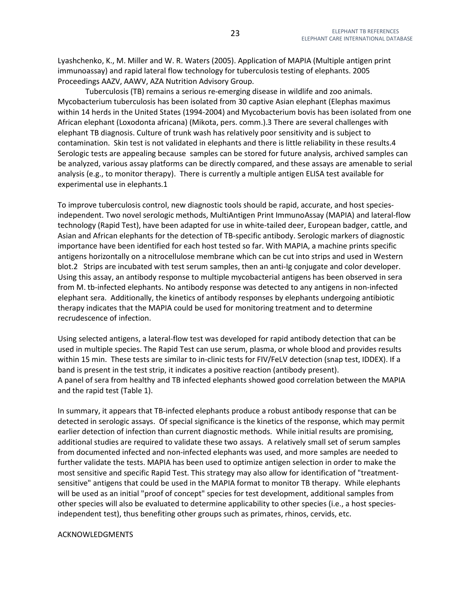Lyashchenko, K., M. Miller and W. R. Waters (2005). Application of MAPIA (Multiple antigen print immunoassay) and rapid lateral flow technology for tuberculosis testing of elephants. 2005 Proceedings AAZV, AAWV, AZA Nutrition Advisory Group.

 Tuberculosis (TB) remains a serious re-emerging disease in wildlife and zoo animals. Mycobacterium tuberculosis has been isolated from 30 captive Asian elephant (Elephas maximus within 14 herds in the United States (1994-2004) and Mycobacterium bovis has been isolated from one African elephant (Loxodonta africana) (Mikota, pers. comm.).3 There are several challenges with elephant TB diagnosis. Culture of trunk wash has relatively poor sensitivity and is subject to contamination. Skin test is not validated in elephants and there is little reliability in these results.4 Serologic tests are appealing because samples can be stored for future analysis, archived samples can be analyzed, various assay platforms can be directly compared, and these assays are amenable to serial analysis (e.g., to monitor therapy). There is currently a multiple antigen ELISA test available for experimental use in elephants.1

To improve tuberculosis control, new diagnostic tools should be rapid, accurate, and host speciesindependent. Two novel serologic methods, MultiAntigen Print ImmunoAssay (MAPIA) and lateral-flow technology (Rapid Test), have been adapted for use in white-tailed deer, European badger, cattle, and Asian and African elephants for the detection of TB-specific antibody. Serologic markers of diagnostic importance have been identified for each host tested so far. With MAPIA, a machine prints specific antigens horizontally on a nitrocellulose membrane which can be cut into strips and used in Western blot.2 Strips are incubated with test serum samples, then an anti-Ig conjugate and color developer. Using this assay, an antibody response to multiple mycobacterial antigens has been observed in sera from M. tb-infected elephants. No antibody response was detected to any antigens in non-infected elephant sera. Additionally, the kinetics of antibody responses by elephants undergoing antibiotic therapy indicates that the MAPIA could be used for monitoring treatment and to determine recrudescence of infection.

Using selected antigens, a lateral-flow test was developed for rapid antibody detection that can be used in multiple species. The Rapid Test can use serum, plasma, or whole blood and provides results within 15 min. These tests are similar to in-clinic tests for FIV/FeLV detection (snap test, IDDEX). If a band is present in the test strip, it indicates a positive reaction (antibody present). A panel of sera from healthy and TB infected elephants showed good correlation between the MAPIA and the rapid test (Table 1).

In summary, it appears that TB-infected elephants produce a robust antibody response that can be detected in serologic assays. Of special significance is the kinetics of the response, which may permit earlier detection of infection than current diagnostic methods. While initial results are promising, additional studies are required to validate these two assays. A relatively small set of serum samples from documented infected and non-infected elephants was used, and more samples are needed to further validate the tests. MAPIA has been used to optimize antigen selection in order to make the most sensitive and specific Rapid Test. This strategy may also allow for identification of "treatmentsensitive" antigens that could be used in the MAPIA format to monitor TB therapy. While elephants will be used as an initial "proof of concept" species for test development, additional samples from other species will also be evaluated to determine applicability to other species (i.e., a host speciesindependent test), thus benefiting other groups such as primates, rhinos, cervids, etc.

### ACKNOWLEDGMENTS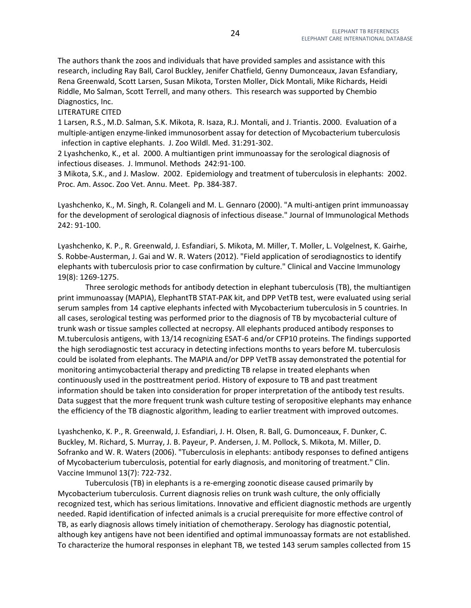The authors thank the zoos and individuals that have provided samples and assistance with this research, including Ray Ball, Carol Buckley, Jenifer Chatfield, Genny Dumonceaux, Javan Esfandiary, Rena Greenwald, Scott Larsen, Susan Mikota, Torsten Moller, Dick Montali, Mike Richards, Heidi Riddle, Mo Salman, Scott Terrell, and many others. This research was supported by Chembio Diagnostics, Inc.

# LITERATURE CITED

1 Larsen, R.S., M.D. Salman, S.K. Mikota, R. Isaza, R.J. Montali, and J. Triantis. 2000. Evaluation of a multiple-antigen enzyme-linked immunosorbent assay for detection of Mycobacterium tuberculosis infection in captive elephants. J. Zoo Wildl. Med. 31:291-302.

2 Lyashchenko, K., et al. 2000. A multiantigen print immunoassay for the serological diagnosis of infectious diseases. J. Immunol. Methods 242:91-100.

3 Mikota, S.K., and J. Maslow. 2002. Epidemiology and treatment of tuberculosis in elephants: 2002. Proc. Am. Assoc. Zoo Vet. Annu. Meet. Pp. 384-387.

Lyashchenko, K., M. Singh, R. Colangeli and M. L. Gennaro (2000). "A multi-antigen print immunoassay for the development of serological diagnosis of infectious disease." Journal of Immunological Methods 242: 91-100.

Lyashchenko, K. P., R. Greenwald, J. Esfandiari, S. Mikota, M. Miller, T. Moller, L. Volgelnest, K. Gairhe, S. Robbe-Austerman, J. Gai and W. R. Waters (2012). "Field application of serodiagnostics to identify elephants with tuberculosis prior to case confirmation by culture." Clinical and Vaccine Immunology 19(8): 1269-1275.

 Three serologic methods for antibody detection in elephant tuberculosis (TB), the multiantigen print immunoassay (MAPIA), ElephantTB STAT-PAK kit, and DPP VetTB test, were evaluated using serial serum samples from 14 captive elephants infected with Mycobacterium tuberculosis in 5 countries. In all cases, serological testing was performed prior to the diagnosis of TB by mycobacterial culture of trunk wash or tissue samples collected at necropsy. All elephants produced antibody responses to M.tuberculosis antigens, with 13/14 recognizing ESAT-6 and/or CFP10 proteins. The findings supported the high serodiagnostic test accuracy in detecting infections months to years before M. tuberculosis could be isolated from elephants. The MAPIA and/or DPP VetTB assay demonstrated the potential for monitoring antimycobacterial therapy and predicting TB relapse in treated elephants when continuously used in the posttreatment period. History of exposure to TB and past treatment information should be taken into consideration for proper interpretation of the antibody test results. Data suggest that the more frequent trunk wash culture testing of seropositive elephants may enhance the efficiency of the TB diagnostic algorithm, leading to earlier treatment with improved outcomes.

Lyashchenko, K. P., R. Greenwald, J. Esfandiari, J. H. Olsen, R. Ball, G. Dumonceaux, F. Dunker, C. Buckley, M. Richard, S. Murray, J. B. Payeur, P. Andersen, J. M. Pollock, S. Mikota, M. Miller, D. Sofranko and W. R. Waters (2006). "Tuberculosis in elephants: antibody responses to defined antigens of Mycobacterium tuberculosis, potential for early diagnosis, and monitoring of treatment." Clin. Vaccine Immunol 13(7): 722-732.

 Tuberculosis (TB) in elephants is a re-emerging zoonotic disease caused primarily by Mycobacterium tuberculosis. Current diagnosis relies on trunk wash culture, the only officially recognized test, which has serious limitations. Innovative and efficient diagnostic methods are urgently needed. Rapid identification of infected animals is a crucial prerequisite for more effective control of TB, as early diagnosis allows timely initiation of chemotherapy. Serology has diagnostic potential, although key antigens have not been identified and optimal immunoassay formats are not established. To characterize the humoral responses in elephant TB, we tested 143 serum samples collected from 15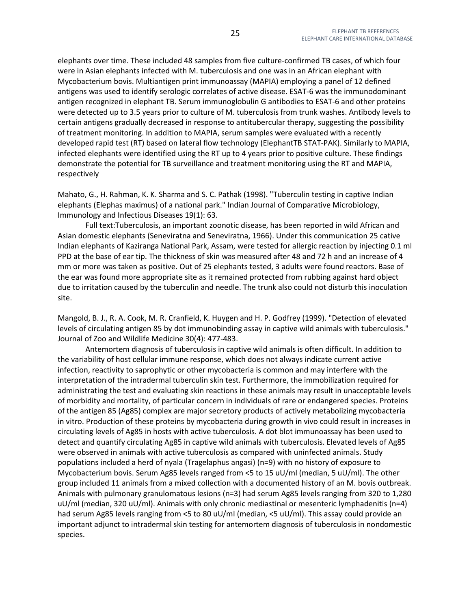elephants over time. These included 48 samples from five culture-confirmed TB cases, of which four were in Asian elephants infected with M. tuberculosis and one was in an African elephant with Mycobacterium bovis. Multiantigen print immunoassay (MAPIA) employing a panel of 12 defined antigens was used to identify serologic correlates of active disease. ESAT-6 was the immunodominant antigen recognized in elephant TB. Serum immunoglobulin G antibodies to ESAT-6 and other proteins were detected up to 3.5 years prior to culture of M. tuberculosis from trunk washes. Antibody levels to certain antigens gradually decreased in response to antitubercular therapy, suggesting the possibility of treatment monitoring. In addition to MAPIA, serum samples were evaluated with a recently developed rapid test (RT) based on lateral flow technology (ElephantTB STAT-PAK). Similarly to MAPIA, infected elephants were identified using the RT up to 4 years prior to positive culture. These findings demonstrate the potential for TB surveillance and treatment monitoring using the RT and MAPIA, respectively

Mahato, G., H. Rahman, K. K. Sharma and S. C. Pathak (1998). "Tuberculin testing in captive Indian elephants (Elephas maximus) of a national park." Indian Journal of Comparative Microbiology, Immunology and Infectious Diseases 19(1): 63.

 Full text:Tuberculosis, an important zoonotic disease, has been reported in wild African and Asian domestic elephants (Seneviratna and Seneviratna, 1966). Under this communication 25 cative Indian elephants of Kaziranga National Park, Assam, were tested for allergic reaction by injecting 0.1 ml PPD at the base of ear tip. The thickness of skin was measured after 48 and 72 h and an increase of 4 mm or more was taken as positive. Out of 25 elephants tested, 3 adults were found reactors. Base of the ear was found more appropriate site as it remained protected from rubbing against hard object due to irritation caused by the tuberculin and needle. The trunk also could not disturb this inoculation site.

Mangold, B. J., R. A. Cook, M. R. Cranfield, K. Huygen and H. P. Godfrey (1999). "Detection of elevated levels of circulating antigen 85 by dot immunobinding assay in captive wild animals with tuberculosis." Journal of Zoo and Wildlife Medicine 30(4): 477-483.

 Antemortem diagnosis of tuberculosis in captive wild animals is often difficult. In addition to the variability of host cellular immune response, which does not always indicate current active infection, reactivity to saprophytic or other mycobacteria is common and may interfere with the interpretation of the intradermal tuberculin skin test. Furthermore, the immobilization required for administrating the test and evaluating skin reactions in these animals may result in unacceptable levels of morbidity and mortality, of particular concern in individuals of rare or endangered species. Proteins of the antigen 85 (Ag85) complex are major secretory products of actively metabolizing mycobacteria in vitro. Production of these proteins by mycobacteria during growth in vivo could result in increases in circulating levels of Ag85 in hosts with active tuberculosis. A dot blot immunoassay has been used to detect and quantify circulating Ag85 in captive wild animals with tuberculosis. Elevated levels of Ag85 were observed in animals with active tuberculosis as compared with uninfected animals. Study populations included a herd of nyala (Tragelaphus angasi) (n=9) with no history of exposure to Mycobacterium bovis. Serum Ag85 levels ranged from <5 to 15 uU/ml (median, 5 uU/ml). The other group included 11 animals from a mixed collection with a documented history of an M. bovis outbreak. Animals with pulmonary granulomatous lesions (n=3) had serum Ag85 levels ranging from 320 to 1,280 uU/ml (median, 320 uU/ml). Animals with only chronic mediastinal or mesenteric lymphadenitis (n=4) had serum Ag85 levels ranging from <5 to 80 uU/ml (median, <5 uU/ml). This assay could provide an important adjunct to intradermal skin testing for antemortem diagnosis of tuberculosis in nondomestic species.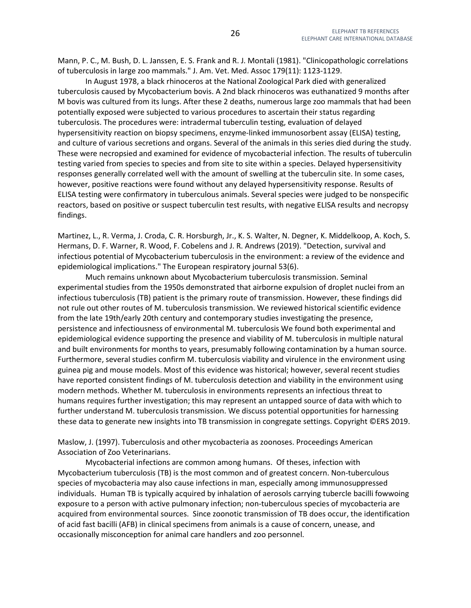Mann, P. C., M. Bush, D. L. Janssen, E. S. Frank and R. J. Montali (1981). "Clinicopathologic correlations of tuberculosis in large zoo mammals." J. Am. Vet. Med. Assoc 179(11): 1123-1129.

 In August 1978, a black rhinoceros at the National Zoological Park died with generalized tuberculosis caused by Mycobacterium bovis. A 2nd black rhinoceros was euthanatized 9 months after M bovis was cultured from its lungs. After these 2 deaths, numerous large zoo mammals that had been potentially exposed were subjected to various procedures to ascertain their status regarding tuberculosis. The procedures were: intradermal tuberculin testing, evaluation of delayed hypersensitivity reaction on biopsy specimens, enzyme-linked immunosorbent assay (ELISA) testing, and culture of various secretions and organs. Several of the animals in this series died during the study. These were necropsied and examined for evidence of mycobacterial infection. The results of tuberculin testing varied from species to species and from site to site within a species. Delayed hypersensitivity responses generally correlated well with the amount of swelling at the tuberculin site. In some cases, however, positive reactions were found without any delayed hypersensitivity response. Results of ELISA testing were confirmatory in tuberculous animals. Several species were judged to be nonspecific reactors, based on positive or suspect tuberculin test results, with negative ELISA results and necropsy findings.

Martinez, L., R. Verma, J. Croda, C. R. Horsburgh, Jr., K. S. Walter, N. Degner, K. Middelkoop, A. Koch, S. Hermans, D. F. Warner, R. Wood, F. Cobelens and J. R. Andrews (2019). "Detection, survival and infectious potential of Mycobacterium tuberculosis in the environment: a review of the evidence and epidemiological implications." The European respiratory journal 53(6).

 Much remains unknown about Mycobacterium tuberculosis transmission. Seminal experimental studies from the 1950s demonstrated that airborne expulsion of droplet nuclei from an infectious tuberculosis (TB) patient is the primary route of transmission. However, these findings did not rule out other routes of M. tuberculosis transmission. We reviewed historical scientific evidence from the late 19th/early 20th century and contemporary studies investigating the presence, persistence and infectiousness of environmental M. tuberculosis We found both experimental and epidemiological evidence supporting the presence and viability of M. tuberculosis in multiple natural and built environments for months to years, presumably following contamination by a human source. Furthermore, several studies confirm M. tuberculosis viability and virulence in the environment using guinea pig and mouse models. Most of this evidence was historical; however, several recent studies have reported consistent findings of M. tuberculosis detection and viability in the environment using modern methods. Whether M. tuberculosis in environments represents an infectious threat to humans requires further investigation; this may represent an untapped source of data with which to further understand M. tuberculosis transmission. We discuss potential opportunities for harnessing these data to generate new insights into TB transmission in congregate settings. Copyright ©ERS 2019.

Maslow, J. (1997). Tuberculosis and other mycobacteria as zoonoses. Proceedings American Association of Zoo Veterinarians.

 Mycobacterial infections are common among humans. Of theses, infection with Mycobacterium tuberculosis (TB) is the most common and of greatest concern. Non-tuberculous species of mycobacteria may also cause infections in man, especially among immunosuppressed individuals. Human TB is typically acquired by inhalation of aerosols carrying tubercle bacilli fowwoing exposure to a person with active pulmonary infection; non-tuberculous species of mycobacteria are acquired from environmental sources. Since zoonotic transmission of TB does occur, the identification of acid fast bacilli (AFB) in clinical specimens from animals is a cause of concern, unease, and occasionally misconception for animal care handlers and zoo personnel.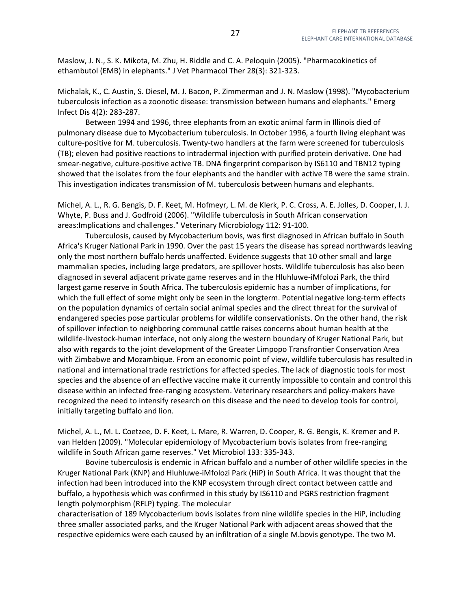Maslow, J. N., S. K. Mikota, M. Zhu, H. Riddle and C. A. Peloquin (2005). "Pharmacokinetics of ethambutol (EMB) in elephants." J Vet Pharmacol Ther 28(3): 321-323.

Michalak, K., C. Austin, S. Diesel, M. J. Bacon, P. Zimmerman and J. N. Maslow (1998). "Mycobacterium tuberculosis infection as a zoonotic disease: transmission between humans and elephants." Emerg Infect Dis 4(2): 283-287.

 Between 1994 and 1996, three elephants from an exotic animal farm in Illinois died of pulmonary disease due to Mycobacterium tuberculosis. In October 1996, a fourth living elephant was culture-positive for M. tuberculosis. Twenty-two handlers at the farm were screened for tuberculosis (TB); eleven had positive reactions to intradermal injection with purified protein derivative. One had smear-negative, culture-positive active TB. DNA fingerprint comparison by IS6110 and TBN12 typing showed that the isolates from the four elephants and the handler with active TB were the same strain. This investigation indicates transmission of M. tuberculosis between humans and elephants.

Michel, A. L., R. G. Bengis, D. F. Keet, M. Hofmeyr, L. M. de Klerk, P. C. Cross, A. E. Jolles, D. Cooper, I. J. Whyte, P. Buss and J. Godfroid (2006). "Wildlife tuberculosis in South African conservation areas:Implications and challenges." Veterinary Microbiology 112: 91-100.

 Tuberculosis, caused by Mycobacterium bovis, was first diagnosed in African buffalo in South Africa's Kruger National Park in 1990. Over the past 15 years the disease has spread northwards leaving only the most northern buffalo herds unaffected. Evidence suggests that 10 other small and large mammalian species, including large predators, are spillover hosts. Wildlife tuberculosis has also been diagnosed in several adjacent private game reserves and in the Hluhluwe-iMfolozi Park, the third largest game reserve in South Africa. The tuberculosis epidemic has a number of implications, for which the full effect of some might only be seen in the longterm. Potential negative long-term effects on the population dynamics of certain social animal species and the direct threat for the survival of endangered species pose particular problems for wildlife conservationists. On the other hand, the risk of spillover infection to neighboring communal cattle raises concerns about human health at the wildlife-livestock-human interface, not only along the western boundary of Kruger National Park, but also with regards to the joint development of the Greater Limpopo Transfrontier Conservation Area with Zimbabwe and Mozambique. From an economic point of view, wildlife tuberculosis has resulted in national and international trade restrictions for affected species. The lack of diagnostic tools for most species and the absence of an effective vaccine make it currently impossible to contain and control this disease within an infected free-ranging ecosystem. Veterinary researchers and policy-makers have recognized the need to intensify research on this disease and the need to develop tools for control, initially targeting buffalo and lion.

Michel, A. L., M. L. Coetzee, D. F. Keet, L. Mare, R. Warren, D. Cooper, R. G. Bengis, K. Kremer and P. van Helden (2009). "Molecular epidemiology of Mycobacterium bovis isolates from free-ranging wildlife in South African game reserves." Vet Microbiol 133: 335-343.

 Bovine tuberculosis is endemic in African buffalo and a number of other wildlife species in the Kruger National Park (KNP) and Hluhluwe-iMfolozi Park (HiP) in South Africa. It was thought that the infection had been introduced into the KNP ecosystem through direct contact between cattle and buffalo, a hypothesis which was confirmed in this study by IS6110 and PGRS restriction fragment length polymorphism (RFLP) typing. The molecular

characterisation of 189 Mycobacterium bovis isolates from nine wildlife species in the HiP, including three smaller associated parks, and the Kruger National Park with adjacent areas showed that the respective epidemics were each caused by an infiltration of a single M.bovis genotype. The two M.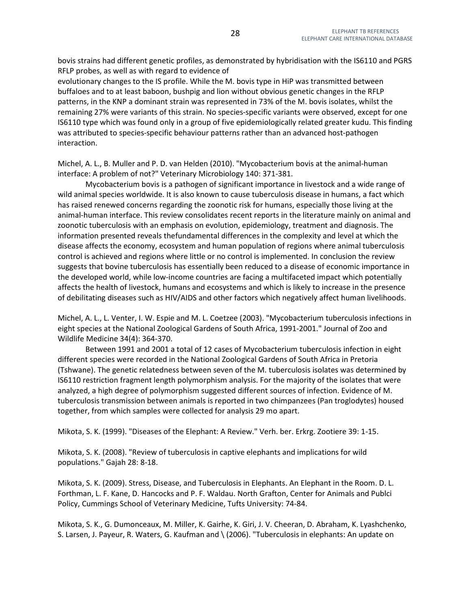bovis strains had different genetic profiles, as demonstrated by hybridisation with the IS6110 and PGRS RFLP probes, as well as with regard to evidence of

evolutionary changes to the IS profile. While the M. bovis type in HiP was transmitted between buffaloes and to at least baboon, bushpig and lion without obvious genetic changes in the RFLP patterns, in the KNP a dominant strain was represented in 73% of the M. bovis isolates, whilst the remaining 27% were variants of this strain. No species-specific variants were observed, except for one IS6110 type which was found only in a group of five epidemiologically related greater kudu. This finding was attributed to species-specific behaviour patterns rather than an advanced host-pathogen interaction.

Michel, A. L., B. Muller and P. D. van Helden (2010). "Mycobacterium bovis at the animal-human interface: A problem of not?" Veterinary Microbiology 140: 371-381.

 Mycobacterium bovis is a pathogen of significant importance in livestock and a wide range of wild animal species worldwide. It is also known to cause tuberculosis disease in humans, a fact which has raised renewed concerns regarding the zoonotic risk for humans, especially those living at the animal-human interface. This review consolidates recent reports in the literature mainly on animal and zoonotic tuberculosis with an emphasis on evolution, epidemiology, treatment and diagnosis. The information presented reveals thefundamental differences in the complexity and level at which the disease affects the economy, ecosystem and human population of regions where animal tuberculosis control is achieved and regions where little or no control is implemented. In conclusion the review suggests that bovine tuberculosis has essentially been reduced to a disease of economic importance in the developed world, while low-income countries are facing a multifaceted impact which potentially affects the health of livestock, humans and ecosystems and which is likely to increase in the presence of debilitating diseases such as HIV/AIDS and other factors which negatively affect human livelihoods.

Michel, A. L., L. Venter, I. W. Espie and M. L. Coetzee (2003). "Mycobacterium tuberculosis infections in eight species at the National Zoological Gardens of South Africa, 1991-2001." Journal of Zoo and Wildlife Medicine 34(4): 364-370.

 Between 1991 and 2001 a total of 12 cases of Mycobacterium tuberculosis infection in eight different species were recorded in the National Zoological Gardens of South Africa in Pretoria (Tshwane). The genetic relatedness between seven of the M. tuberculosis isolates was determined by IS6110 restriction fragment length polymorphism analysis. For the majority of the isolates that were analyzed, a high degree of polymorphism suggested different sources of infection. Evidence of M. tuberculosis transmission between animals is reported in two chimpanzees (Pan troglodytes) housed together, from which samples were collected for analysis 29 mo apart.

Mikota, S. K. (1999). "Diseases of the Elephant: A Review." Verh. ber. Erkrg. Zootiere 39: 1-15.

Mikota, S. K. (2008). "Review of tuberculosis in captive elephants and implications for wild populations." Gajah 28: 8-18.

Mikota, S. K. (2009). Stress, Disease, and Tuberculosis in Elephants. An Elephant in the Room. D. L. Forthman, L. F. Kane, D. Hancocks and P. F. Waldau. North Grafton, Center for Animals and Publci Policy, Cummings School of Veterinary Medicine, Tufts University: 74-84.

Mikota, S. K., G. Dumonceaux, M. Miller, K. Gairhe, K. Giri, J. V. Cheeran, D. Abraham, K. Lyashchenko, S. Larsen, J. Payeur, R. Waters, G. Kaufman and \ (2006). "Tuberculosis in elephants: An update on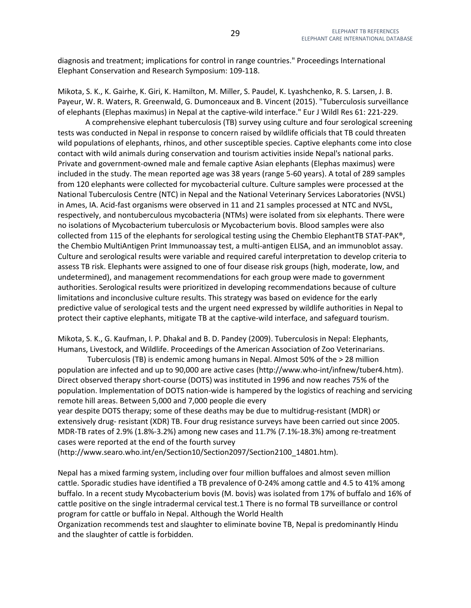diagnosis and treatment; implications for control in range countries." Proceedings International Elephant Conservation and Research Symposium: 109-118.

Mikota, S. K., K. Gairhe, K. Giri, K. Hamilton, M. Miller, S. Paudel, K. Lyashchenko, R. S. Larsen, J. B. Payeur, W. R. Waters, R. Greenwald, G. Dumonceaux and B. Vincent (2015). "Tuberculosis surveillance of elephants (Elephas maximus) in Nepal at the captive-wild interface." Eur J Wildl Res 61: 221-229.

 A comprehensive elephant tuberculosis (TB) survey using culture and four serological screening tests was conducted in Nepal in response to concern raised by wildlife officials that TB could threaten wild populations of elephants, rhinos, and other susceptible species. Captive elephants come into close contact with wild animals during conservation and tourism activities inside Nepal's national parks. Private and government-owned male and female captive Asian elephants (Elephas maximus) were included in the study. The mean reported age was 38 years (range 5-60 years). A total of 289 samples from 120 elephants were collected for mycobacterial culture. Culture samples were processed at the National Tuberculosis Centre (NTC) in Nepal and the National Veterinary Services Laboratories (NVSL) in Ames, IA. Acid-fast organisms were observed in 11 and 21 samples processed at NTC and NVSL, respectively, and nontuberculous mycobacteria (NTMs) were isolated from six elephants. There were no isolations of Mycobacterium tuberculosis or Mycobacterium bovis. Blood samples were also collected from 115 of the elephants for serological testing using the Chembio ElephantTB STAT-PAK®, the Chembio MultiAntigen Print Immunoassay test, a multi-antigen ELISA, and an immunoblot assay. Culture and serological results were variable and required careful interpretation to develop criteria to assess TB risk. Elephants were assigned to one of four disease risk groups (high, moderate, low, and undetermined), and management recommendations for each group were made to government authorities. Serological results were prioritized in developing recommendations because of culture limitations and inconclusive culture results. This strategy was based on evidence for the early predictive value of serological tests and the urgent need expressed by wildlife authorities in Nepal to protect their captive elephants, mitigate TB at the captive-wild interface, and safeguard tourism.

Mikota, S. K., G. Kaufman, I. P. Dhakal and B. D. Pandey (2009). Tuberculosis in Nepal: Elephants, Humans, Livestock, and Wildlife. Proceedings of the American Association of Zoo Veterinarians.

 Tuberculosis (TB) is endemic among humans in Nepal. Almost 50% of the > 28 million population are infected and up to 90,000 are active cases (http://www.who-int/infnew/tuber4.htm). Direct observed therapy short-course (DOTS) was instituted in 1996 and now reaches 75% of the population. Implementation of DOTS nation-wide is hampered by the logistics of reaching and servicing remote hill areas. Between 5,000 and 7,000 people die every

year despite DOTS therapy; some of these deaths may be due to multidrug-resistant (MDR) or extensively drug- resistant (XDR) TB. Four drug resistance surveys have been carried out since 2005. MDR-TB rates of 2.9% (1.8%-3.2%) among new cases and 11.7% (7.1%-18.3%) among re-treatment cases were reported at the end of the fourth survey

(http://www.searo.who.int/en/Section10/Section2097/Section2100\_14801.htm).

Nepal has a mixed farming system, including over four million buffaloes and almost seven million cattle. Sporadic studies have identified a TB prevalence of 0-24% among cattle and 4.5 to 41% among buffalo. In a recent study Mycobacterium bovis (M. bovis) was isolated from 17% of buffalo and 16% of cattle positive on the single intradermal cervical test.1 There is no formal TB surveillance or control program for cattle or buffalo in Nepal. Although the World Health

Organization recommends test and slaughter to eliminate bovine TB, Nepal is predominantly Hindu and the slaughter of cattle is forbidden.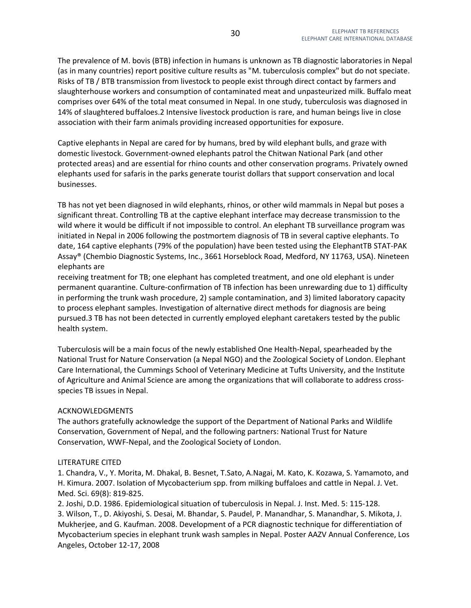The prevalence of M. bovis (BTB) infection in humans is unknown as TB diagnostic laboratories in Nepal (as in many countries) report positive culture results as "M. tuberculosis complex" but do not speciate. Risks of TB / BTB transmission from livestock to people exist through direct contact by farmers and slaughterhouse workers and consumption of contaminated meat and unpasteurized milk. Buffalo meat comprises over 64% of the total meat consumed in Nepal. In one study, tuberculosis was diagnosed in 14% of slaughtered buffaloes.2 Intensive livestock production is rare, and human beings live in close association with their farm animals providing increased opportunities for exposure.

Captive elephants in Nepal are cared for by humans, bred by wild elephant bulls, and graze with domestic livestock. Government-owned elephants patrol the Chitwan National Park (and other protected areas) and are essential for rhino counts and other conservation programs. Privately owned elephants used for safaris in the parks generate tourist dollars that support conservation and local businesses.

TB has not yet been diagnosed in wild elephants, rhinos, or other wild mammals in Nepal but poses a significant threat. Controlling TB at the captive elephant interface may decrease transmission to the wild where it would be difficult if not impossible to control. An elephant TB surveillance program was initiated in Nepal in 2006 following the postmortem diagnosis of TB in several captive elephants. To date, 164 captive elephants (79% of the population) have been tested using the ElephantTB STAT-PAK Assay® (Chembio Diagnostic Systems, Inc., 3661 Horseblock Road, Medford, NY 11763, USA). Nineteen elephants are

receiving treatment for TB; one elephant has completed treatment, and one old elephant is under permanent quarantine. Culture-confirmation of TB infection has been unrewarding due to 1) difficulty in performing the trunk wash procedure, 2) sample contamination, and 3) limited laboratory capacity to process elephant samples. Investigation of alternative direct methods for diagnosis are being pursued.3 TB has not been detected in currently employed elephant caretakers tested by the public health system.

Tuberculosis will be a main focus of the newly established One Health-Nepal, spearheaded by the National Trust for Nature Conservation (a Nepal NGO) and the Zoological Society of London. Elephant Care International, the Cummings School of Veterinary Medicine at Tufts University, and the Institute of Agriculture and Animal Science are among the organizations that will collaborate to address crossspecies TB issues in Nepal.

# ACKNOWLEDGMENTS

The authors gratefully acknowledge the support of the Department of National Parks and Wildlife Conservation, Government of Nepal, and the following partners: National Trust for Nature Conservation, WWF-Nepal, and the Zoological Society of London.

# LITERATURE CITED

1. Chandra, V., Y. Morita, M. Dhakal, B. Besnet, T.Sato, A.Nagai, M. Kato, K. Kozawa, S. Yamamoto, and H. Kimura. 2007. Isolation of Mycobacterium spp. from milking buffaloes and cattle in Nepal. J. Vet. Med. Sci. 69(8): 819-825.

2. Joshi, D.D. 1986. Epidemiological situation of tuberculosis in Nepal. J. Inst. Med. 5: 115-128. 3. Wilson, T., D. Akiyoshi, S. Desai, M. Bhandar, S. Paudel, P. Manandhar, S. Manandhar, S. Mikota, J. Mukherjee, and G. Kaufman. 2008. Development of a PCR diagnostic technique for differentiation of Mycobacterium species in elephant trunk wash samples in Nepal. Poster AAZV Annual Conference, Los Angeles, October 12-17, 2008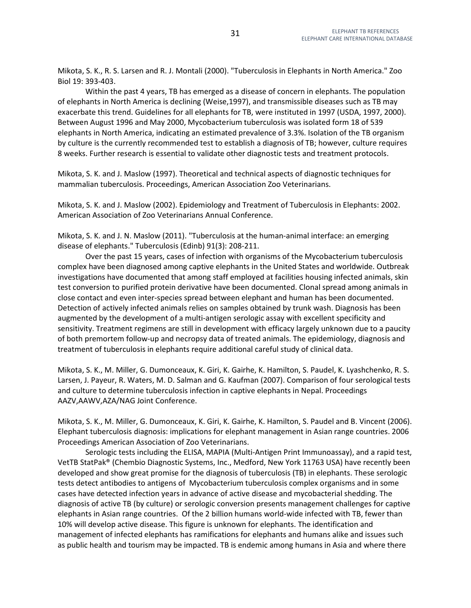Mikota, S. K., R. S. Larsen and R. J. Montali (2000). "Tuberculosis in Elephants in North America." Zoo Biol 19: 393-403.

 Within the past 4 years, TB has emerged as a disease of concern in elephants. The population of elephants in North America is declining (Weise,1997), and transmissible diseases such as TB may exacerbate this trend. Guidelines for all elephants for TB, were instituted in 1997 (USDA, 1997, 2000). Between August 1996 and May 2000, Mycobacterium tuberculosis was isolated form 18 of 539 elephants in North America, indicating an estimated prevalence of 3.3%. Isolation of the TB organism by culture is the currently recommended test to establish a diagnosis of TB; however, culture requires 8 weeks. Further research is essential to validate other diagnostic tests and treatment protocols.

Mikota, S. K. and J. Maslow (1997). Theoretical and technical aspects of diagnostic techniques for mammalian tuberculosis. Proceedings, American Association Zoo Veterinarians.

Mikota, S. K. and J. Maslow (2002). Epidemiology and Treatment of Tuberculosis in Elephants: 2002. American Association of Zoo Veterinarians Annual Conference.

Mikota, S. K. and J. N. Maslow (2011). "Tuberculosis at the human-animal interface: an emerging disease of elephants." Tuberculosis (Edinb) 91(3): 208-211.

 Over the past 15 years, cases of infection with organisms of the Mycobacterium tuberculosis complex have been diagnosed among captive elephants in the United States and worldwide. Outbreak investigations have documented that among staff employed at facilities housing infected animals, skin test conversion to purified protein derivative have been documented. Clonal spread among animals in close contact and even inter-species spread between elephant and human has been documented. Detection of actively infected animals relies on samples obtained by trunk wash. Diagnosis has been augmented by the development of a multi-antigen serologic assay with excellent specificity and sensitivity. Treatment regimens are still in development with efficacy largely unknown due to a paucity of both premortem follow-up and necropsy data of treated animals. The epidemiology, diagnosis and treatment of tuberculosis in elephants require additional careful study of clinical data.

Mikota, S. K., M. Miller, G. Dumonceaux, K. Giri, K. Gairhe, K. Hamilton, S. Paudel, K. Lyashchenko, R. S. Larsen, J. Payeur, R. Waters, M. D. Salman and G. Kaufman (2007). Comparison of four serological tests and culture to determine tuberculosis infection in captive elephants in Nepal. Proceedings AAZV,AAWV,AZA/NAG Joint Conference.

Mikota, S. K., M. Miller, G. Dumonceaux, K. Giri, K. Gairhe, K. Hamilton, S. Paudel and B. Vincent (2006). Elephant tuberculosis diagnosis: implications for elephant management in Asian range countries. 2006 Proceedings American Association of Zoo Veterinarians.

 Serologic tests including the ELISA, MAPIA (Multi-Antigen Print Immunoassay), and a rapid test, VetTB StatPak® (Chembio Diagnostic Systems, Inc., Medford, New York 11763 USA) have recently been developed and show great promise for the diagnosis of tuberculosis (TB) in elephants. These serologic tests detect antibodies to antigens of Mycobacterium tuberculosis complex organisms and in some cases have detected infection years in advance of active disease and mycobacterial shedding. The diagnosis of active TB (by culture) or serologic conversion presents management challenges for captive elephants in Asian range countries. Of the 2 billion humans world-wide infected with TB, fewer than 10% will develop active disease. This figure is unknown for elephants. The identification and management of infected elephants has ramifications for elephants and humans alike and issues such as public health and tourism may be impacted. TB is endemic among humans in Asia and where there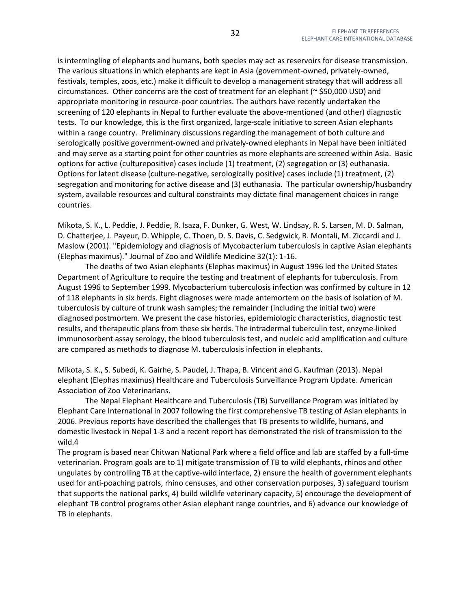is intermingling of elephants and humans, both species may act as reservoirs for disease transmission. The various situations in which elephants are kept in Asia (government-owned, privately-owned, festivals, temples, zoos, etc.) make it difficult to develop a management strategy that will address all circumstances. Other concerns are the cost of treatment for an elephant ( $\approx$  \$50,000 USD) and appropriate monitoring in resource-poor countries. The authors have recently undertaken the screening of 120 elephants in Nepal to further evaluate the above-mentioned (and other) diagnostic tests. To our knowledge, this is the first organized, large-scale initiative to screen Asian elephants within a range country. Preliminary discussions regarding the management of both culture and serologically positive government-owned and privately-owned elephants in Nepal have been initiated and may serve as a starting point for other countries as more elephants are screened within Asia. Basic options for active (culturepositive) cases include (1) treatment, (2) segregation or (3) euthanasia. Options for latent disease (culture-negative, serologically positive) cases include (1) treatment, (2) segregation and monitoring for active disease and (3) euthanasia. The particular ownership/husbandry system, available resources and cultural constraints may dictate final management choices in range countries.

Mikota, S. K., L. Peddie, J. Peddie, R. Isaza, F. Dunker, G. West, W. Lindsay, R. S. Larsen, M. D. Salman, D. Chatterjee, J. Payeur, D. Whipple, C. Thoen, D. S. Davis, C. Sedgwick, R. Montali, M. Ziccardi and J. Maslow (2001). "Epidemiology and diagnosis of Mycobacterium tuberculosis in captive Asian elephants (Elephas maximus)." Journal of Zoo and Wildlife Medicine 32(1): 1-16.

 The deaths of two Asian elephants (Elephas maximus) in August 1996 led the United States Department of Agriculture to require the testing and treatment of elephants for tuberculosis. From August 1996 to September 1999. Mycobacterium tuberculosis infection was confirmed by culture in 12 of 118 elephants in six herds. Eight diagnoses were made antemortem on the basis of isolation of M. tuberculosis by culture of trunk wash samples; the remainder (including the initial two) were diagnosed postmortem. We present the case histories, epidemiologic characteristics, diagnostic test results, and therapeutic plans from these six herds. The intradermal tuberculin test, enzyme-linked immunosorbent assay serology, the blood tuberculosis test, and nucleic acid amplification and culture are compared as methods to diagnose M. tuberculosis infection in elephants.

Mikota, S. K., S. Subedi, K. Gairhe, S. Paudel, J. Thapa, B. Vincent and G. Kaufman (2013). Nepal elephant (Elephas maximus) Healthcare and Tuberculosis Surveillance Program Update. American Association of Zoo Veterinarians.

 The Nepal Elephant Healthcare and Tuberculosis (TB) Surveillance Program was initiated by Elephant Care International in 2007 following the first comprehensive TB testing of Asian elephants in 2006. Previous reports have described the challenges that TB presents to wildlife, humans, and domestic livestock in Nepal 1-3 and a recent report has demonstrated the risk of transmission to the wild.4

The program is based near Chitwan National Park where a field office and lab are staffed by a full-time veterinarian. Program goals are to 1) mitigate transmission of TB to wild elephants, rhinos and other ungulates by controlling TB at the captive-wild interface, 2) ensure the health of government elephants used for anti-poaching patrols, rhino censuses, and other conservation purposes, 3) safeguard tourism that supports the national parks, 4) build wildlife veterinary capacity, 5) encourage the development of elephant TB control programs other Asian elephant range countries, and 6) advance our knowledge of TB in elephants.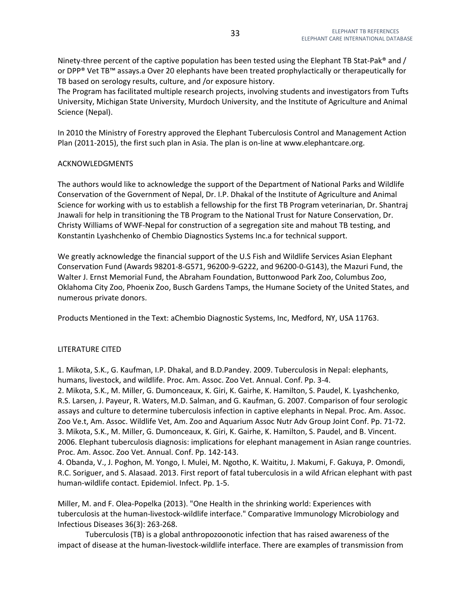Ninety-three percent of the captive population has been tested using the Elephant TB Stat-Pak<sup>®</sup> and / or DPP® Vet TB™ assays.a Over 20 elephants have been treated prophylactically or therapeutically for TB based on serology results, culture, and /or exposure history.

The Program has facilitated multiple research projects, involving students and investigators from Tufts University, Michigan State University, Murdoch University, and the Institute of Agriculture and Animal Science (Nepal).

In 2010 the Ministry of Forestry approved the Elephant Tuberculosis Control and Management Action Plan (2011-2015), the first such plan in Asia. The plan is on-line at www.elephantcare.org.

# ACKNOWLEDGMENTS

The authors would like to acknowledge the support of the Department of National Parks and Wildlife Conservation of the Government of Nepal, Dr. I.P. Dhakal of the Institute of Agriculture and Animal Science for working with us to establish a fellowship for the first TB Program veterinarian, Dr. Shantraj Jnawali for help in transitioning the TB Program to the National Trust for Nature Conservation, Dr. Christy Williams of WWF-Nepal for construction of a segregation site and mahout TB testing, and Konstantin Lyashchenko of Chembio Diagnostics Systems Inc.a for technical support.

We greatly acknowledge the financial support of the U.S Fish and Wildlife Services Asian Elephant Conservation Fund (Awards 98201-8-G571, 96200-9-G222, and 96200-0-G143), the Mazuri Fund, the Walter J. Ernst Memorial Fund, the Abraham Foundation, Buttonwood Park Zoo, Columbus Zoo, Oklahoma City Zoo, Phoenix Zoo, Busch Gardens Tamps, the Humane Society of the United States, and numerous private donors.

Products Mentioned in the Text: aChembio Diagnostic Systems, Inc, Medford, NY, USA 11763.

### LITERATURE CITED

1. Mikota, S.K., G. Kaufman, I.P. Dhakal, and B.D.Pandey. 2009. Tuberculosis in Nepal: elephants, humans, livestock, and wildlife. Proc. Am. Assoc. Zoo Vet. Annual. Conf. Pp. 3-4.

2. Mikota, S.K., M. Miller, G. Dumonceaux, K. Giri, K. Gairhe, K. Hamilton, S. Paudel, K. Lyashchenko, R.S. Larsen, J. Payeur, R. Waters, M.D. Salman, and G. Kaufman, G. 2007. Comparison of four serologic assays and culture to determine tuberculosis infection in captive elephants in Nepal. Proc. Am. Assoc. Zoo Ve.t, Am. Assoc. Wildlife Vet, Am. Zoo and Aquarium Assoc Nutr Adv Group Joint Conf. Pp. 71-72. 3. Mikota, S.K., M. Miller, G. Dumonceaux, K. Giri, K. Gairhe, K. Hamilton, S. Paudel, and B. Vincent. 2006. Elephant tuberculosis diagnosis: implications for elephant management in Asian range countries. Proc. Am. Assoc. Zoo Vet. Annual. Conf. Pp. 142-143.

4. Obanda, V., J. Poghon, M. Yongo, I. Mulei, M. Ngotho, K. Waititu, J. Makumi, F. Gakuya, P. Omondi, R.C. Soriguer, and S. Alasaad. 2013. First report of fatal tuberculosis in a wild African elephant with past human-wildlife contact. Epidemiol. Infect. Pp. 1-5.

Miller, M. and F. Olea-Popelka (2013). "One Health in the shrinking world: Experiences with tuberculosis at the human-livestock-wildlife interface." Comparative Immunology Microbiology and Infectious Diseases 36(3): 263-268.

 Tuberculosis (TB) is a global anthropozoonotic infection that has raised awareness of the impact of disease at the human-livestock-wildlife interface. There are examples of transmission from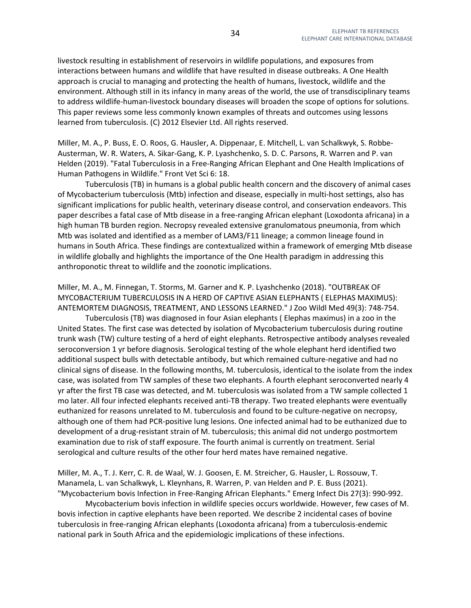livestock resulting in establishment of reservoirs in wildlife populations, and exposures from interactions between humans and wildlife that have resulted in disease outbreaks. A One Health approach is crucial to managing and protecting the health of humans, livestock, wildlife and the environment. Although still in its infancy in many areas of the world, the use of transdisciplinary teams to address wildlife-human-livestock boundary diseases will broaden the scope of options for solutions. This paper reviews some less commonly known examples of threats and outcomes using lessons learned from tuberculosis. (C) 2012 Elsevier Ltd. All rights reserved.

Miller, M. A., P. Buss, E. O. Roos, G. Hausler, A. Dippenaar, E. Mitchell, L. van Schalkwyk, S. Robbe-Austerman, W. R. Waters, A. Sikar-Gang, K. P. Lyashchenko, S. D. C. Parsons, R. Warren and P. van Helden (2019). "Fatal Tuberculosis in a Free-Ranging African Elephant and One Health Implications of Human Pathogens in Wildlife." Front Vet Sci 6: 18.

 Tuberculosis (TB) in humans is a global public health concern and the discovery of animal cases of Mycobacterium tuberculosis (Mtb) infection and disease, especially in multi-host settings, also has significant implications for public health, veterinary disease control, and conservation endeavors. This paper describes a fatal case of Mtb disease in a free-ranging African elephant (Loxodonta africana) in a high human TB burden region. Necropsy revealed extensive granulomatous pneumonia, from which Mtb was isolated and identified as a member of LAM3/F11 lineage; a common lineage found in humans in South Africa. These findings are contextualized within a framework of emerging Mtb disease in wildlife globally and highlights the importance of the One Health paradigm in addressing this anthroponotic threat to wildlife and the zoonotic implications.

Miller, M. A., M. Finnegan, T. Storms, M. Garner and K. P. Lyashchenko (2018). "OUTBREAK OF MYCOBACTERIUM TUBERCULOSIS IN A HERD OF CAPTIVE ASIAN ELEPHANTS ( ELEPHAS MAXIMUS): ANTEMORTEM DIAGNOSIS, TREATMENT, AND LESSONS LEARNED." J Zoo Wildl Med 49(3): 748-754.

 Tuberculosis (TB) was diagnosed in four Asian elephants ( Elephas maximus) in a zoo in the United States. The first case was detected by isolation of Mycobacterium tuberculosis during routine trunk wash (TW) culture testing of a herd of eight elephants. Retrospective antibody analyses revealed seroconversion 1 yr before diagnosis. Serological testing of the whole elephant herd identified two additional suspect bulls with detectable antibody, but which remained culture-negative and had no clinical signs of disease. In the following months, M. tuberculosis, identical to the isolate from the index case, was isolated from TW samples of these two elephants. A fourth elephant seroconverted nearly 4 yr after the first TB case was detected, and M. tuberculosis was isolated from a TW sample collected 1 mo later. All four infected elephants received anti-TB therapy. Two treated elephants were eventually euthanized for reasons unrelated to M. tuberculosis and found to be culture-negative on necropsy, although one of them had PCR-positive lung lesions. One infected animal had to be euthanized due to development of a drug-resistant strain of M. tuberculosis; this animal did not undergo postmortem examination due to risk of staff exposure. The fourth animal is currently on treatment. Serial serological and culture results of the other four herd mates have remained negative.

Miller, M. A., T. J. Kerr, C. R. de Waal, W. J. Goosen, E. M. Streicher, G. Hausler, L. Rossouw, T. Manamela, L. van Schalkwyk, L. Kleynhans, R. Warren, P. van Helden and P. E. Buss (2021). "Mycobacterium bovis Infection in Free-Ranging African Elephants." Emerg Infect Dis 27(3): 990-992.

 Mycobacterium bovis infection in wildlife species occurs worldwide. However, few cases of M. bovis infection in captive elephants have been reported. We describe 2 incidental cases of bovine tuberculosis in free-ranging African elephants (Loxodonta africana) from a tuberculosis-endemic national park in South Africa and the epidemiologic implications of these infections.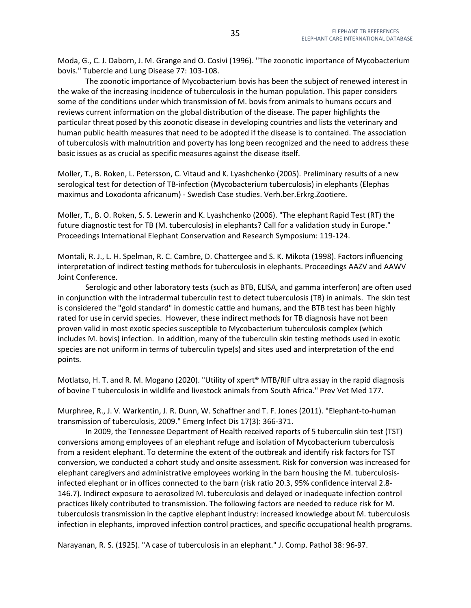Moda, G., C. J. Daborn, J. M. Grange and O. Cosivi (1996). "The zoonotic importance of Mycobacterium bovis." Tubercle and Lung Disease 77: 103-108.

 The zoonotic importance of Mycobacterium bovis has been the subject of renewed interest in the wake of the increasing incidence of tuberculosis in the human population. This paper considers some of the conditions under which transmission of M. bovis from animals to humans occurs and reviews current information on the global distribution of the disease. The paper highlights the particular threat posed by this zoonotic disease in developing countries and lists the veterinary and human public health measures that need to be adopted if the disease is to contained. The association of tuberculosis with malnutrition and poverty has long been recognized and the need to address these basic issues as as crucial as specific measures against the disease itself.

Moller, T., B. Roken, L. Petersson, C. Vitaud and K. Lyashchenko (2005). Preliminary results of a new serological test for detection of TB-infection (Mycobacterium tuberculosis) in elephants (Elephas maximus and Loxodonta africanum) - Swedish Case studies. Verh.ber.Erkrg.Zootiere.

Moller, T., B. O. Roken, S. S. Lewerin and K. Lyashchenko (2006). "The elephant Rapid Test (RT) the future diagnostic test for TB (M. tuberculosis) in elephants? Call for a validation study in Europe." Proceedings International Elephant Conservation and Research Symposium: 119-124.

Montali, R. J., L. H. Spelman, R. C. Cambre, D. Chattergee and S. K. Mikota (1998). Factors influencing interpretation of indirect testing methods for tuberculosis in elephants. Proceedings AAZV and AAWV Joint Conference.

 Serologic and other laboratory tests (such as BTB, ELISA, and gamma interferon) are often used in conjunction with the intradermal tuberculin test to detect tuberculosis (TB) in animals. The skin test is considered the "gold standard" in domestic cattle and humans, and the BTB test has been highly rated for use in cervid species. However, these indirect methods for TB diagnosis have not been proven valid in most exotic species susceptible to Mycobacterium tuberculosis complex (which includes M. bovis) infection. In addition, many of the tuberculin skin testing methods used in exotic species are not uniform in terms of tuberculin type(s) and sites used and interpretation of the end points.

Motlatso, H. T. and R. M. Mogano (2020). "Utility of xpert® MTB/RIF ultra assay in the rapid diagnosis of bovine T tuberculosis in wildlife and livestock animals from South Africa." Prev Vet Med 177.

Murphree, R., J. V. Warkentin, J. R. Dunn, W. Schaffner and T. F. Jones (2011). "Elephant-to-human transmission of tuberculosis, 2009." Emerg Infect Dis 17(3): 366-371.

 In 2009, the Tennessee Department of Health received reports of 5 tuberculin skin test (TST) conversions among employees of an elephant refuge and isolation of Mycobacterium tuberculosis from a resident elephant. To determine the extent of the outbreak and identify risk factors for TST conversion, we conducted a cohort study and onsite assessment. Risk for conversion was increased for elephant caregivers and administrative employees working in the barn housing the M. tuberculosisinfected elephant or in offices connected to the barn (risk ratio 20.3, 95% confidence interval 2.8- 146.7). Indirect exposure to aerosolized M. tuberculosis and delayed or inadequate infection control practices likely contributed to transmission. The following factors are needed to reduce risk for M. tuberculosis transmission in the captive elephant industry: increased knowledge about M. tuberculosis infection in elephants, improved infection control practices, and specific occupational health programs.

Narayanan, R. S. (1925). "A case of tuberculosis in an elephant." J. Comp. Pathol 38: 96-97.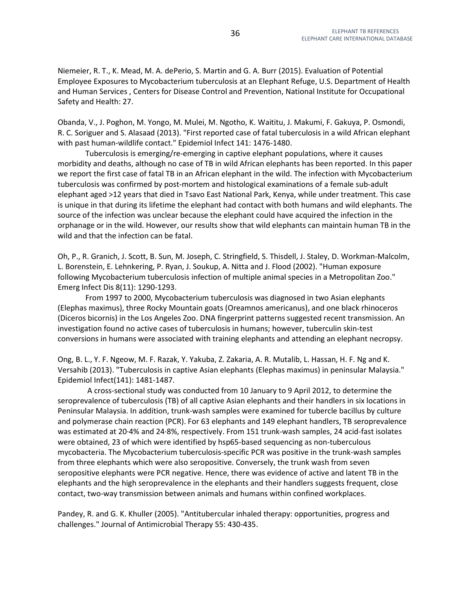Niemeier, R. T., K. Mead, M. A. dePerio, S. Martin and G. A. Burr (2015). Evaluation of Potential Employee Exposures to Mycobacterium tuberculosis at an Elephant Refuge, U.S. Department of Health and Human Services , Centers for Disease Control and Prevention, National Institute for Occupational Safety and Health: 27.

Obanda, V., J. Poghon, M. Yongo, M. Mulei, M. Ngotho, K. Waititu, J. Makumi, F. Gakuya, P. Osmondi, R. C. Soriguer and S. Alasaad (2013). "First reported case of fatal tuberculosis in a wild African elephant with past human-wildlife contact." Epidemiol Infect 141: 1476-1480.

 Tuberculosis is emerging/re-emerging in captive elephant populations, where it causes morbidity and deaths, although no case of TB in wild African elephants has been reported. In this paper we report the first case of fatal TB in an African elephant in the wild. The infection with Mycobacterium tuberculosis was confirmed by post-mortem and histological examinations of a female sub-adult elephant aged >12 years that died in Tsavo East National Park, Kenya, while under treatment. This case is unique in that during its lifetime the elephant had contact with both humans and wild elephants. The source of the infection was unclear because the elephant could have acquired the infection in the orphanage or in the wild. However, our results show that wild elephants can maintain human TB in the wild and that the infection can be fatal.

Oh, P., R. Granich, J. Scott, B. Sun, M. Joseph, C. Stringfield, S. Thisdell, J. Staley, D. Workman-Malcolm, L. Borenstein, E. Lehnkering, P. Ryan, J. Soukup, A. Nitta and J. Flood (2002). "Human exposure following Mycobacterium tuberculosis infection of multiple animal species in a Metropolitan Zoo." Emerg Infect Dis 8(11): 1290-1293.

 From 1997 to 2000, Mycobacterium tuberculosis was diagnosed in two Asian elephants (Elephas maximus), three Rocky Mountain goats (Oreamnos americanus), and one black rhinoceros (Diceros bicornis) in the Los Angeles Zoo. DNA fingerprint patterns suggested recent transmission. An investigation found no active cases of tuberculosis in humans; however, tuberculin skin-test conversions in humans were associated with training elephants and attending an elephant necropsy.

Ong, B. L., Y. F. Ngeow, M. F. Razak, Y. Yakuba, Z. Zakaria, A. R. Mutalib, L. Hassan, H. F. Ng and K. Versahib (2013). "Tuberculosis in captive Asian elephants (Elephas maximus) in peninsular Malaysia." Epidemiol Infect(141): 1481-1487.

 A cross-sectional study was conducted from 10 January to 9 April 2012, to determine the seroprevalence of tuberculosis (TB) of all captive Asian elephants and their handlers in six locations in Peninsular Malaysia. In addition, trunk-wash samples were examined for tubercle bacillus by culture and polymerase chain reaction (PCR). For 63 elephants and 149 elephant handlers, TB seroprevalence was estimated at 20·4% and 24·8%, respectively. From 151 trunk-wash samples, 24 acid-fast isolates were obtained, 23 of which were identified by hsp65-based sequencing as non-tuberculous mycobacteria. The Mycobacterium tuberculosis-specific PCR was positive in the trunk-wash samples from three elephants which were also seropositive. Conversely, the trunk wash from seven seropositive elephants were PCR negative. Hence, there was evidence of active and latent TB in the elephants and the high seroprevalence in the elephants and their handlers suggests frequent, close contact, two-way transmission between animals and humans within confined workplaces.

Pandey, R. and G. K. Khuller (2005). "Antitubercular inhaled therapy: opportunities, progress and challenges." Journal of Antimicrobial Therapy 55: 430-435.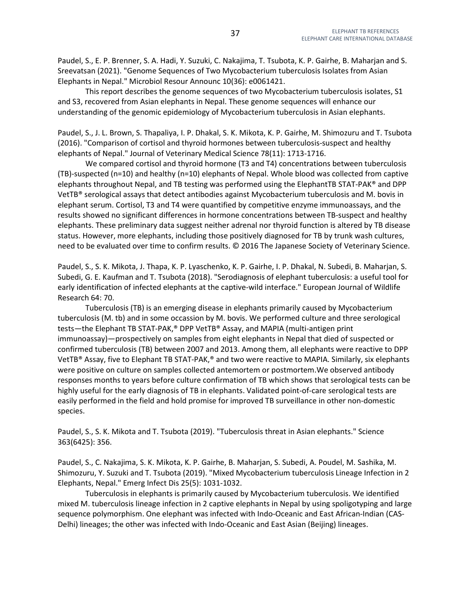Paudel, S., E. P. Brenner, S. A. Hadi, Y. Suzuki, C. Nakajima, T. Tsubota, K. P. Gairhe, B. Maharjan and S. Sreevatsan (2021). "Genome Sequences of Two Mycobacterium tuberculosis Isolates from Asian Elephants in Nepal." Microbiol Resour Announc 10(36): e0061421.

 This report describes the genome sequences of two Mycobacterium tuberculosis isolates, S1 and S3, recovered from Asian elephants in Nepal. These genome sequences will enhance our understanding of the genomic epidemiology of Mycobacterium tuberculosis in Asian elephants.

Paudel, S., J. L. Brown, S. Thapaliya, I. P. Dhakal, S. K. Mikota, K. P. Gairhe, M. Shimozuru and T. Tsubota (2016). "Comparison of cortisol and thyroid hormones between tuberculosis-suspect and healthy elephants of Nepal." Journal of Veterinary Medical Science 78(11): 1713-1716.

 We compared cortisol and thyroid hormone (T3 and T4) concentrations between tuberculosis (TB)-suspected (n=10) and healthy (n=10) elephants of Nepal. Whole blood was collected from captive elephants throughout Nepal, and TB testing was performed using the ElephantTB STAT-PAK® and DPP VetTB® serological assays that detect antibodies against Mycobacterium tuberculosis and M. bovis in elephant serum. Cortisol, T3 and T4 were quantified by competitive enzyme immunoassays, and the results showed no significant differences in hormone concentrations between TB-suspect and healthy elephants. These preliminary data suggest neither adrenal nor thyroid function is altered by TB disease status. However, more elephants, including those positively diagnosed for TB by trunk wash cultures, need to be evaluated over time to confirm results. © 2016 The Japanese Society of Veterinary Science.

Paudel, S., S. K. Mikota, J. Thapa, K. P. Lyaschenko, K. P. Gairhe, I. P. Dhakal, N. Subedi, B. Maharjan, S. Subedi, G. E. Kaufman and T. Tsubota (2018). "Serodiagnosis of elephant tuberculosis: a useful tool for early identification of infected elephants at the captive-wild interface." European Journal of Wildlife Research 64: 70.

 Tuberculosis (TB) is an emerging disease in elephants primarily caused by Mycobacterium tuberculosis (M. tb) and in some occassion by M. bovis. We performed culture and three serological tests—the Elephant TB STAT-PAK,® DPP VetTB® Assay, and MAPIA (multi-antigen print immunoassay)—prospectively on samples from eight elephants in Nepal that died of suspected or confirmed tuberculosis (TB) between 2007 and 2013. Among them, all elephants were reactive to DPP VetTB® Assay, five to Elephant TB STAT-PAK,® and two were reactive to MAPIA. Similarly, six elephants were positive on culture on samples collected antemortem or postmortem.We observed antibody responses months to years before culture confirmation of TB which shows that serological tests can be highly useful for the early diagnosis of TB in elephants. Validated point-of-care serological tests are easily performed in the field and hold promise for improved TB surveillance in other non-domestic species.

Paudel, S., S. K. Mikota and T. Tsubota (2019). "Tuberculosis threat in Asian elephants." Science 363(6425): 356.

Paudel, S., C. Nakajima, S. K. Mikota, K. P. Gairhe, B. Maharjan, S. Subedi, A. Poudel, M. Sashika, M. Shimozuru, Y. Suzuki and T. Tsubota (2019). "Mixed Mycobacterium tuberculosis Lineage Infection in 2 Elephants, Nepal." Emerg Infect Dis 25(5): 1031-1032.

 Tuberculosis in elephants is primarily caused by Mycobacterium tuberculosis. We identified mixed M. tuberculosis lineage infection in 2 captive elephants in Nepal by using spoligotyping and large sequence polymorphism. One elephant was infected with Indo-Oceanic and East African-Indian (CAS-Delhi) lineages; the other was infected with Indo-Oceanic and East Asian (Beijing) lineages.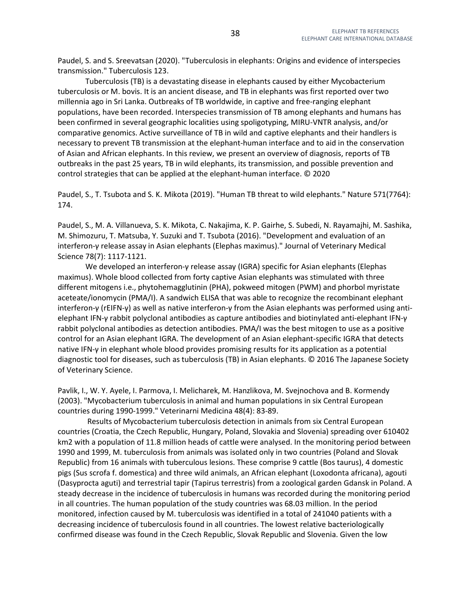Paudel, S. and S. Sreevatsan (2020). "Tuberculosis in elephants: Origins and evidence of interspecies transmission." Tuberculosis 123.

 Tuberculosis (TB) is a devastating disease in elephants caused by either Mycobacterium tuberculosis or M. bovis. It is an ancient disease, and TB in elephants was first reported over two millennia ago in Sri Lanka. Outbreaks of TB worldwide, in captive and free-ranging elephant populations, have been recorded. Interspecies transmission of TB among elephants and humans has been confirmed in several geographic localities using spoligotyping, MIRU-VNTR analysis, and/or comparative genomics. Active surveillance of TB in wild and captive elephants and their handlers is necessary to prevent TB transmission at the elephant-human interface and to aid in the conservation of Asian and African elephants. In this review, we present an overview of diagnosis, reports of TB outbreaks in the past 25 years, TB in wild elephants, its transmission, and possible prevention and control strategies that can be applied at the elephant-human interface. © 2020

Paudel, S., T. Tsubota and S. K. Mikota (2019). "Human TB threat to wild elephants." Nature 571(7764): 174.

Paudel, S., M. A. Villanueva, S. K. Mikota, C. Nakajima, K. P. Gairhe, S. Subedi, N. Rayamajhi, M. Sashika, M. Shimozuru, T. Matsuba, Y. Suzuki and T. Tsubota (2016). "Development and evaluation of an interferon-γ release assay in Asian elephants (Elephas maximus)." Journal of Veterinary Medical Science 78(7): 1117-1121.

 We developed an interferon-γ release assay (IGRA) specific for Asian elephants (Elephas maximus). Whole blood collected from forty captive Asian elephants was stimulated with three different mitogens i.e., phytohemagglutinin (PHA), pokweed mitogen (PWM) and phorbol myristate aceteate/ionomycin (PMA/I). A sandwich ELISA that was able to recognize the recombinant elephant interferon-γ (rEIFN-γ) as well as native interferon-γ from the Asian elephants was performed using antielephant IFN-γ rabbit polyclonal antibodies as capture antibodies and biotinylated anti-elephant IFN-γ rabbit polyclonal antibodies as detection antibodies. PMA/I was the best mitogen to use as a positive control for an Asian elephant IGRA. The development of an Asian elephant-specific IGRA that detects native IFN-γ in elephant whole blood provides promising results for its application as a potential diagnostic tool for diseases, such as tuberculosis (TB) in Asian elephants. © 2016 The Japanese Society of Veterinary Science.

Pavlik, I., W. Y. Ayele, I. Parmova, I. Melicharek, M. Hanzlikova, M. Svejnochova and B. Kormendy (2003). "Mycobacterium tuberculosis in animal and human populations in six Central European countries during 1990-1999." Veterinarni Medicina 48(4): 83-89.

 Results of Mycobacterium tuberculosis detection in animals from six Central European countries (Croatia, the Czech Republic, Hungary, Poland, Slovakia and Slovenia) spreading over 610402 km2 with a population of 11.8 million heads of cattle were analysed. In the monitoring period between 1990 and 1999, M. tuberculosis from animals was isolated only in two countries (Poland and Slovak Republic) from 16 animals with tuberculous lesions. These comprise 9 cattle (Bos taurus), 4 domestic pigs (Sus scrofa f. domestica) and three wild animals, an African elephant (Loxodonta africana), agouti (Dasyprocta aguti) and terrestrial tapir (Tapirus terrestris) from a zoological garden Gdansk in Poland. A steady decrease in the incidence of tuberculosis in humans was recorded during the monitoring period in all countries. The human population of the study countries was 68.03 million. In the period monitored, infection caused by M. tuberculosis was identified in a total of 241040 patients with a decreasing incidence of tuberculosis found in all countries. The lowest relative bacteriologically confirmed disease was found in the Czech Republic, Slovak Republic and Slovenia. Given the low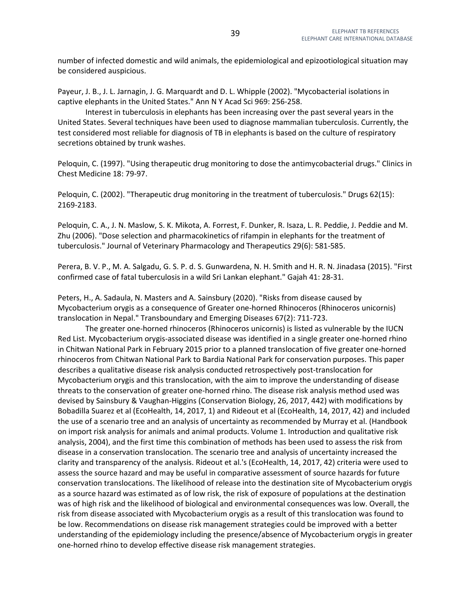number of infected domestic and wild animals, the epidemiological and epizootiological situation may be considered auspicious.

Payeur, J. B., J. L. Jarnagin, J. G. Marquardt and D. L. Whipple (2002). "Mycobacterial isolations in captive elephants in the United States." Ann N Y Acad Sci 969: 256-258.

 Interest in tuberculosis in elephants has been increasing over the past several years in the United States. Several techniques have been used to diagnose mammalian tuberculosis. Currently, the test considered most reliable for diagnosis of TB in elephants is based on the culture of respiratory secretions obtained by trunk washes.

Peloquin, C. (1997). "Using therapeutic drug monitoring to dose the antimycobacterial drugs." Clinics in Chest Medicine 18: 79-97.

Peloquin, C. (2002). "Therapeutic drug monitoring in the treatment of tuberculosis." Drugs 62(15): 2169-2183.

Peloquin, C. A., J. N. Maslow, S. K. Mikota, A. Forrest, F. Dunker, R. Isaza, L. R. Peddie, J. Peddie and M. Zhu (2006). "Dose selection and pharmacokinetics of rifampin in elephants for the treatment of tuberculosis." Journal of Veterinary Pharmacology and Therapeutics 29(6): 581-585.

Perera, B. V. P., M. A. Salgadu, G. S. P. d. S. Gunwardena, N. H. Smith and H. R. N. Jinadasa (2015). "First confirmed case of fatal tuberculosis in a wild Sri Lankan elephant." Gajah 41: 28-31.

Peters, H., A. Sadaula, N. Masters and A. Sainsbury (2020). "Risks from disease caused by Mycobacterium orygis as a consequence of Greater one-horned Rhinoceros (Rhinoceros unicornis) translocation in Nepal." Transboundary and Emerging Diseases 67(2): 711-723.

 The greater one-horned rhinoceros (Rhinoceros unicornis) is listed as vulnerable by the IUCN Red List. Mycobacterium orygis-associated disease was identified in a single greater one-horned rhino in Chitwan National Park in February 2015 prior to a planned translocation of five greater one-horned rhinoceros from Chitwan National Park to Bardia National Park for conservation purposes. This paper describes a qualitative disease risk analysis conducted retrospectively post-translocation for Mycobacterium orygis and this translocation, with the aim to improve the understanding of disease threats to the conservation of greater one-horned rhino. The disease risk analysis method used was devised by Sainsbury & Vaughan-Higgins (Conservation Biology, 26, 2017, 442) with modifications by Bobadilla Suarez et al (EcoHealth, 14, 2017, 1) and Rideout et al (EcoHealth, 14, 2017, 42) and included the use of a scenario tree and an analysis of uncertainty as recommended by Murray et al. (Handbook on import risk analysis for animals and animal products. Volume 1. Introduction and qualitative risk analysis, 2004), and the first time this combination of methods has been used to assess the risk from disease in a conservation translocation. The scenario tree and analysis of uncertainty increased the clarity and transparency of the analysis. Rideout et al.'s (EcoHealth, 14, 2017, 42) criteria were used to assess the source hazard and may be useful in comparative assessment of source hazards for future conservation translocations. The likelihood of release into the destination site of Mycobacterium orygis as a source hazard was estimated as of low risk, the risk of exposure of populations at the destination was of high risk and the likelihood of biological and environmental consequences was low. Overall, the risk from disease associated with Mycobacterium orygis as a result of this translocation was found to be low. Recommendations on disease risk management strategies could be improved with a better understanding of the epidemiology including the presence/absence of Mycobacterium orygis in greater one-horned rhino to develop effective disease risk management strategies.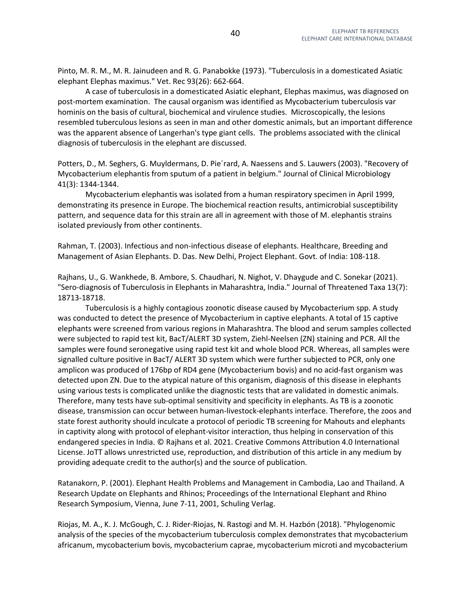Pinto, M. R. M., M. R. Jainudeen and R. G. Panabokke (1973). "Tuberculosis in a domesticated Asiatic elephant Elephas maximus." Vet. Rec 93(26): 662-664.

 A case of tuberculosis in a domesticated Asiatic elephant, Elephas maximus, was diagnosed on post-mortem examination. The causal organism was identified as Mycobacterium tuberculosis var hominis on the basis of cultural, biochemical and virulence studies. Microscopically, the lesions resembled tuberculous lesions as seen in man and other domestic animals, but an important difference was the apparent absence of Langerhan's type giant cells. The problems associated with the clinical diagnosis of tuberculosis in the elephant are discussed.

Potters, D., M. Seghers, G. Muyldermans, D. Pie´rard, A. Naessens and S. Lauwers (2003). "Recovery of Mycobacterium elephantis from sputum of a patient in belgium." Journal of Clinical Microbiology 41(3): 1344-1344.

 Mycobacterium elephantis was isolated from a human respiratory specimen in April 1999, demonstrating its presence in Europe. The biochemical reaction results, antimicrobial susceptibility pattern, and sequence data for this strain are all in agreement with those of M. elephantis strains isolated previously from other continents.

Rahman, T. (2003). Infectious and non-infectious disease of elephants. Healthcare, Breeding and Management of Asian Elephants. D. Das. New Delhi, Project Elephant. Govt. of India: 108-118.

Rajhans, U., G. Wankhede, B. Ambore, S. Chaudhari, N. Nighot, V. Dhaygude and C. Sonekar (2021). "Sero-diagnosis of Tuberculosis in Elephants in Maharashtra, India." Journal of Threatened Taxa 13(7): 18713-18718.

 Tuberculosis is a highly contagious zoonotic disease caused by Mycobacterium spp. A study was conducted to detect the presence of Mycobacterium in captive elephants. A total of 15 captive elephants were screened from various regions in Maharashtra. The blood and serum samples collected were subjected to rapid test kit, BacT/ALERT 3D system, Ziehl-Neelsen (ZN) staining and PCR. All the samples were found seronegative using rapid test kit and whole blood PCR. Whereas, all samples were signalled culture positive in BacT/ ALERT 3D system which were further subjected to PCR, only one amplicon was produced of 176bp of RD4 gene (Mycobacterium bovis) and no acid-fast organism was detected upon ZN. Due to the atypical nature of this organism, diagnosis of this disease in elephants using various tests is complicated unlike the diagnostic tests that are validated in domestic animals. Therefore, many tests have sub-optimal sensitivity and specificity in elephants. As TB is a zoonotic disease, transmission can occur between human-livestock-elephants interface. Therefore, the zoos and state forest authority should inculcate a protocol of periodic TB screening for Mahouts and elephants in captivity along with protocol of elephant-visitor interaction, thus helping in conservation of this endangered species in India. © Rajhans et al. 2021. Creative Commons Attribution 4.0 International License. JoTT allows unrestricted use, reproduction, and distribution of this article in any medium by providing adequate credit to the author(s) and the source of publication.

Ratanakorn, P. (2001). Elephant Health Problems and Management in Cambodia, Lao and Thailand. A Research Update on Elephants and Rhinos; Proceedings of the International Elephant and Rhino Research Symposium, Vienna, June 7-11, 2001, Schuling Verlag.

Riojas, M. A., K. J. McGough, C. J. Rider-Riojas, N. Rastogi and M. H. Hazbón (2018). "Phylogenomic analysis of the species of the mycobacterium tuberculosis complex demonstrates that mycobacterium africanum, mycobacterium bovis, mycobacterium caprae, mycobacterium microti and mycobacterium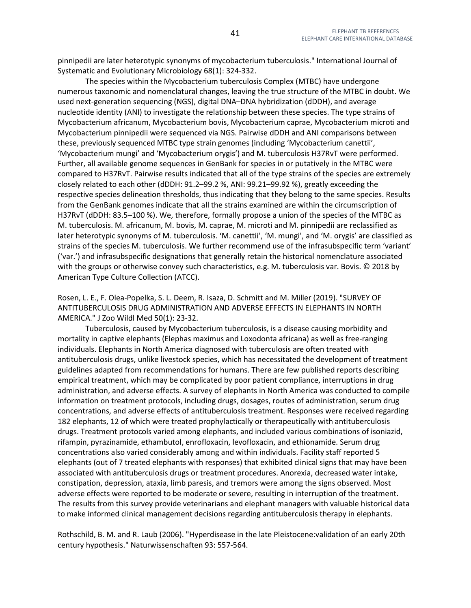pinnipedii are later heterotypic synonyms of mycobacterium tuberculosis." International Journal of Systematic and Evolutionary Microbiology 68(1): 324-332.

 The species within the Mycobacterium tuberculosis Complex (MTBC) have undergone numerous taxonomic and nomenclatural changes, leaving the true structure of the MTBC in doubt. We used next-generation sequencing (NGS), digital DNA–DNA hybridization (dDDH), and average nucleotide identity (ANI) to investigate the relationship between these species. The type strains of Mycobacterium africanum, Mycobacterium bovis, Mycobacterium caprae, Mycobacterium microti and Mycobacterium pinnipedii were sequenced via NGS. Pairwise dDDH and ANI comparisons between these, previously sequenced MTBC type strain genomes (including 'Mycobacterium canettii', 'Mycobacterium mungi' and 'Mycobacterium orygis') and M. tuberculosis H37RvT were performed. Further, all available genome sequences in GenBank for species in or putatively in the MTBC were compared to H37RvT. Pairwise results indicated that all of the type strains of the species are extremely closely related to each other (dDDH: 91.2–99.2 %, ANI: 99.21–99.92 %), greatly exceeding the respective species delineation thresholds, thus indicating that they belong to the same species. Results from the GenBank genomes indicate that all the strains examined are within the circumscription of H37RvT (dDDH: 83.5–100 %). We, therefore, formally propose a union of the species of the MTBC as M. tuberculosis. M. africanum, M. bovis, M. caprae, M. microti and M. pinnipedii are reclassified as later heterotypic synonyms of M. tuberculosis. 'M. canettii', 'M. mungi', and 'M. orygis' are classified as strains of the species M. tuberculosis. We further recommend use of the infrasubspecific term 'variant' ('var.') and infrasubspecific designations that generally retain the historical nomenclature associated with the groups or otherwise convey such characteristics, e.g. M. tuberculosis var. Bovis. © 2018 by American Type Culture Collection (ATCC).

Rosen, L. E., F. Olea-Popelka, S. L. Deem, R. Isaza, D. Schmitt and M. Miller (2019). "SURVEY OF ANTITUBERCULOSIS DRUG ADMINISTRATION AND ADVERSE EFFECTS IN ELEPHANTS IN NORTH AMERICA." J Zoo Wildl Med 50(1): 23-32.

 Tuberculosis, caused by Mycobacterium tuberculosis, is a disease causing morbidity and mortality in captive elephants (Elephas maximus and Loxodonta africana) as well as free-ranging individuals. Elephants in North America diagnosed with tuberculosis are often treated with antituberculosis drugs, unlike livestock species, which has necessitated the development of treatment guidelines adapted from recommendations for humans. There are few published reports describing empirical treatment, which may be complicated by poor patient compliance, interruptions in drug administration, and adverse effects. A survey of elephants in North America was conducted to compile information on treatment protocols, including drugs, dosages, routes of administration, serum drug concentrations, and adverse effects of antituberculosis treatment. Responses were received regarding 182 elephants, 12 of which were treated prophylactically or therapeutically with antituberculosis drugs. Treatment protocols varied among elephants, and included various combinations of isoniazid, rifampin, pyrazinamide, ethambutol, enrofloxacin, levofloxacin, and ethionamide. Serum drug concentrations also varied considerably among and within individuals. Facility staff reported 5 elephants (out of 7 treated elephants with responses) that exhibited clinical signs that may have been associated with antituberculosis drugs or treatment procedures. Anorexia, decreased water intake, constipation, depression, ataxia, limb paresis, and tremors were among the signs observed. Most adverse effects were reported to be moderate or severe, resulting in interruption of the treatment. The results from this survey provide veterinarians and elephant managers with valuable historical data to make informed clinical management decisions regarding antituberculosis therapy in elephants.

Rothschild, B. M. and R. Laub (2006). "Hyperdisease in the late Pleistocene:validation of an early 20th century hypothesis." Naturwissenschaften 93: 557-564.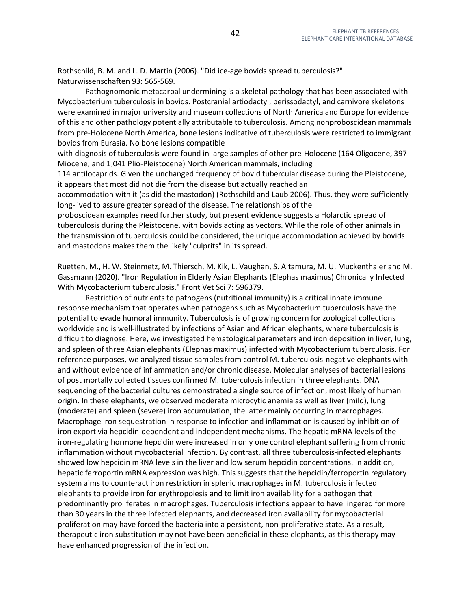Rothschild, B. M. and L. D. Martin (2006). "Did ice-age bovids spread tuberculosis?" Naturwissenschaften 93: 565-569.

 Pathognomonic metacarpal undermining is a skeletal pathology that has been associated with Mycobacterium tuberculosis in bovids. Postcranial artiodactyl, perissodactyl, and carnivore skeletons were examined in major university and museum collections of North America and Europe for evidence of this and other pathology potentially attributable to tuberculosis. Among nonproboscidean mammals from pre-Holocene North America, bone lesions indicative of tuberculosis were restricted to immigrant bovids from Eurasia. No bone lesions compatible

with diagnosis of tuberculosis were found in large samples of other pre-Holocene (164 Oligocene, 397 Miocene, and 1,041 Plio-Pleistocene) North American mammals, including

114 antilocaprids. Given the unchanged frequency of bovid tubercular disease during the Pleistocene, it appears that most did not die from the disease but actually reached an

accommodation with it (as did the mastodon) (Rothschild and Laub 2006). Thus, they were sufficiently long-lived to assure greater spread of the disease. The relationships of the

proboscidean examples need further study, but present evidence suggests a Holarctic spread of tuberculosis during the Pleistocene, with bovids acting as vectors. While the role of other animals in the transmission of tuberculosis could be considered, the unique accommodation achieved by bovids and mastodons makes them the likely "culprits" in its spread.

Ruetten, M., H. W. Steinmetz, M. Thiersch, M. Kik, L. Vaughan, S. Altamura, M. U. Muckenthaler and M. Gassmann (2020). "Iron Regulation in Elderly Asian Elephants (Elephas maximus) Chronically Infected With Mycobacterium tuberculosis." Front Vet Sci 7: 596379.

 Restriction of nutrients to pathogens (nutritional immunity) is a critical innate immune response mechanism that operates when pathogens such as Mycobacterium tuberculosis have the potential to evade humoral immunity. Tuberculosis is of growing concern for zoological collections worldwide and is well-illustrated by infections of Asian and African elephants, where tuberculosis is difficult to diagnose. Here, we investigated hematological parameters and iron deposition in liver, lung, and spleen of three Asian elephants (Elephas maximus) infected with Mycobacterium tuberculosis. For reference purposes, we analyzed tissue samples from control M. tuberculosis-negative elephants with and without evidence of inflammation and/or chronic disease. Molecular analyses of bacterial lesions of post mortally collected tissues confirmed M. tuberculosis infection in three elephants. DNA sequencing of the bacterial cultures demonstrated a single source of infection, most likely of human origin. In these elephants, we observed moderate microcytic anemia as well as liver (mild), lung (moderate) and spleen (severe) iron accumulation, the latter mainly occurring in macrophages. Macrophage iron sequestration in response to infection and inflammation is caused by inhibition of iron export via hepcidin-dependent and independent mechanisms. The hepatic mRNA levels of the iron-regulating hormone hepcidin were increased in only one control elephant suffering from chronic inflammation without mycobacterial infection. By contrast, all three tuberculosis-infected elephants showed low hepcidin mRNA levels in the liver and low serum hepcidin concentrations. In addition, hepatic ferroportin mRNA expression was high. This suggests that the hepcidin/ferroportin regulatory system aims to counteract iron restriction in splenic macrophages in M. tuberculosis infected elephants to provide iron for erythropoiesis and to limit iron availability for a pathogen that predominantly proliferates in macrophages. Tuberculosis infections appear to have lingered for more than 30 years in the three infected elephants, and decreased iron availability for mycobacterial proliferation may have forced the bacteria into a persistent, non-proliferative state. As a result, therapeutic iron substitution may not have been beneficial in these elephants, as this therapy may have enhanced progression of the infection.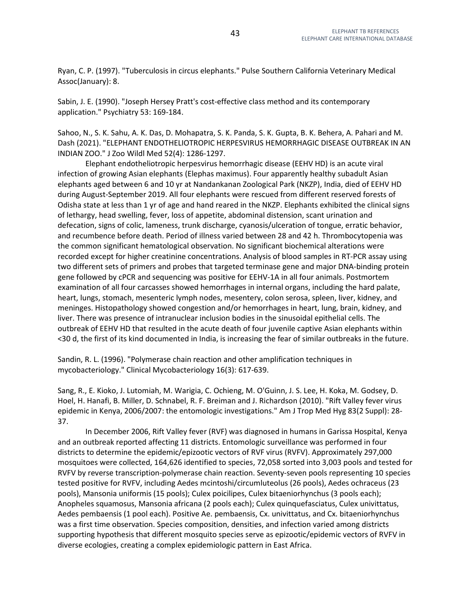Ryan, C. P. (1997). "Tuberculosis in circus elephants." Pulse Southern California Veterinary Medical Assoc(January): 8.

Sabin, J. E. (1990). "Joseph Hersey Pratt's cost-effective class method and its contemporary application." Psychiatry 53: 169-184.

Sahoo, N., S. K. Sahu, A. K. Das, D. Mohapatra, S. K. Panda, S. K. Gupta, B. K. Behera, A. Pahari and M. Dash (2021). "ELEPHANT ENDOTHELIOTROPIC HERPESVIRUS HEMORRHAGIC DISEASE OUTBREAK IN AN INDIAN ZOO." J Zoo Wildl Med 52(4): 1286-1297.

 Elephant endotheliotropic herpesvirus hemorrhagic disease (EEHV HD) is an acute viral infection of growing Asian elephants (Elephas maximus). Four apparently healthy subadult Asian elephants aged between 6 and 10 yr at Nandankanan Zoological Park (NKZP), India, died of EEHV HD during August-September 2019. All four elephants were rescued from different reserved forests of Odisha state at less than 1 yr of age and hand reared in the NKZP. Elephants exhibited the clinical signs of lethargy, head swelling, fever, loss of appetite, abdominal distension, scant urination and defecation, signs of colic, lameness, trunk discharge, cyanosis/ulceration of tongue, erratic behavior, and recumbence before death. Period of illness varied between 28 and 42 h. Thrombocytopenia was the common significant hematological observation. No significant biochemical alterations were recorded except for higher creatinine concentrations. Analysis of blood samples in RT-PCR assay using two different sets of primers and probes that targeted terminase gene and major DNA-binding protein gene followed by cPCR and sequencing was positive for EEHV-1A in all four animals. Postmortem examination of all four carcasses showed hemorrhages in internal organs, including the hard palate, heart, lungs, stomach, mesenteric lymph nodes, mesentery, colon serosa, spleen, liver, kidney, and meninges. Histopathology showed congestion and/or hemorrhages in heart, lung, brain, kidney, and liver. There was presence of intranuclear inclusion bodies in the sinusoidal epithelial cells. The outbreak of EEHV HD that resulted in the acute death of four juvenile captive Asian elephants within <30 d, the first of its kind documented in India, is increasing the fear of similar outbreaks in the future.

Sandin, R. L. (1996). "Polymerase chain reaction and other amplification techniques in mycobacteriology." Clinical Mycobacteriology 16(3): 617-639.

Sang, R., E. Kioko, J. Lutomiah, M. Warigia, C. Ochieng, M. O'Guinn, J. S. Lee, H. Koka, M. Godsey, D. Hoel, H. Hanafi, B. Miller, D. Schnabel, R. F. Breiman and J. Richardson (2010). "Rift Valley fever virus epidemic in Kenya, 2006/2007: the entomologic investigations." Am J Trop Med Hyg 83(2 Suppl): 28- 37.

 In December 2006, Rift Valley fever (RVF) was diagnosed in humans in Garissa Hospital, Kenya and an outbreak reported affecting 11 districts. Entomologic surveillance was performed in four districts to determine the epidemic/epizootic vectors of RVF virus (RVFV). Approximately 297,000 mosquitoes were collected, 164,626 identified to species, 72,058 sorted into 3,003 pools and tested for RVFV by reverse transcription-polymerase chain reaction. Seventy-seven pools representing 10 species tested positive for RVFV, including Aedes mcintoshi/circumluteolus (26 pools), Aedes ochraceus (23 pools), Mansonia uniformis (15 pools); Culex poicilipes, Culex bitaeniorhynchus (3 pools each); Anopheles squamosus, Mansonia africana (2 pools each); Culex quinquefasciatus, Culex univittatus, Aedes pembaensis (1 pool each). Positive Ae. pembaensis, Cx. univittatus, and Cx. bitaeniorhynchus was a first time observation. Species composition, densities, and infection varied among districts supporting hypothesis that different mosquito species serve as epizootic/epidemic vectors of RVFV in diverse ecologies, creating a complex epidemiologic pattern in East Africa.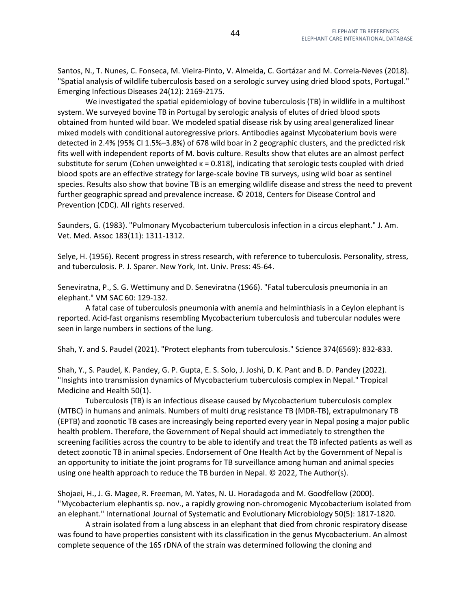Santos, N., T. Nunes, C. Fonseca, M. Vieira-Pinto, V. Almeida, C. Gortázar and M. Correia-Neves (2018). "Spatial analysis of wildlife tuberculosis based on a serologic survey using dried blood spots, Portugal." Emerging Infectious Diseases 24(12): 2169-2175.

 We investigated the spatial epidemiology of bovine tuberculosis (TB) in wildlife in a multihost system. We surveyed bovine TB in Portugal by serologic analysis of elutes of dried blood spots obtained from hunted wild boar. We modeled spatial disease risk by using areal generalized linear mixed models with conditional autoregressive priors. Antibodies against Mycobaterium bovis were detected in 2.4% (95% CI 1.5%–3.8%) of 678 wild boar in 2 geographic clusters, and the predicted risk fits well with independent reports of M. bovis culture. Results show that elutes are an almost perfect substitute for serum (Cohen unweighted  $k = 0.818$ ), indicating that serologic tests coupled with dried blood spots are an effective strategy for large-scale bovine TB surveys, using wild boar as sentinel species. Results also show that bovine TB is an emerging wildlife disease and stress the need to prevent further geographic spread and prevalence increase. © 2018, Centers for Disease Control and Prevention (CDC). All rights reserved.

Saunders, G. (1983). "Pulmonary Mycobacterium tuberculosis infection in a circus elephant." J. Am. Vet. Med. Assoc 183(11): 1311-1312.

Selye, H. (1956). Recent progress in stress research, with reference to tuberculosis. Personality, stress, and tuberculosis. P. J. Sparer. New York, Int. Univ. Press: 45-64.

Seneviratna, P., S. G. Wettimuny and D. Seneviratna (1966). "Fatal tuberculosis pneumonia in an elephant." VM SAC 60: 129-132.

 A fatal case of tuberculosis pneumonia with anemia and helminthiasis in a Ceylon elephant is reported. Acid-fast organisms resembling Mycobacterium tuberculosis and tubercular nodules were seen in large numbers in sections of the lung.

Shah, Y. and S. Paudel (2021). "Protect elephants from tuberculosis." Science 374(6569): 832-833.

Shah, Y., S. Paudel, K. Pandey, G. P. Gupta, E. S. Solo, J. Joshi, D. K. Pant and B. D. Pandey (2022). "Insights into transmission dynamics of Mycobacterium tuberculosis complex in Nepal." Tropical Medicine and Health 50(1).

 Tuberculosis (TB) is an infectious disease caused by Mycobacterium tuberculosis complex (MTBC) in humans and animals. Numbers of multi drug resistance TB (MDR-TB), extrapulmonary TB (EPTB) and zoonotic TB cases are increasingly being reported every year in Nepal posing a major public health problem. Therefore, the Government of Nepal should act immediately to strengthen the screening facilities across the country to be able to identify and treat the TB infected patients as well as detect zoonotic TB in animal species. Endorsement of One Health Act by the Government of Nepal is an opportunity to initiate the joint programs for TB surveillance among human and animal species using one health approach to reduce the TB burden in Nepal. © 2022, The Author(s).

Shojaei, H., J. G. Magee, R. Freeman, M. Yates, N. U. Horadagoda and M. Goodfellow (2000). "Mycobacterium elephantis sp. nov., a rapidly growing non-chromogenic Mycobacterium isolated from an elephant." International Journal of Systematic and Evolutionary Microbiology 50(5): 1817-1820.

 A strain isolated from a lung abscess in an elephant that died from chronic respiratory disease was found to have properties consistent with its classification in the genus Mycobacterium. An almost complete sequence of the 16S rDNA of the strain was determined following the cloning and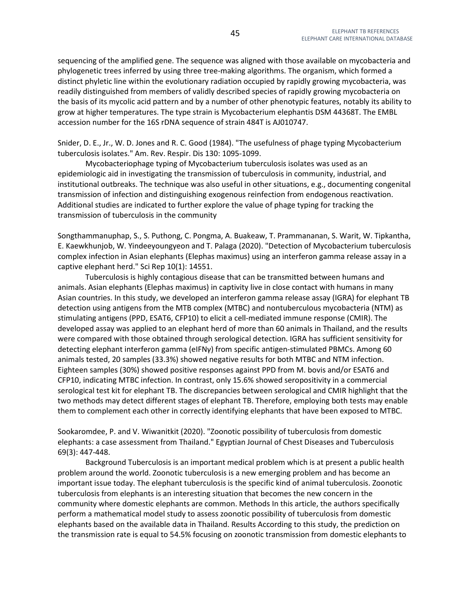sequencing of the amplified gene. The sequence was aligned with those available on mycobacteria and phylogenetic trees inferred by using three tree-making algorithms. The organism, which formed a distinct phyletic line within the evolutionary radiation occupied by rapidly growing mycobacteria, was readily distinguished from members of validly described species of rapidly growing mycobacteria on the basis of its mycolic acid pattern and by a number of other phenotypic features, notably its ability to grow at higher temperatures. The type strain is Mycobacterium elephantis DSM 44368T. The EMBL accession number for the 16S rDNA sequence of strain 484T is AJ010747.

Snider, D. E., Jr., W. D. Jones and R. C. Good (1984). "The usefulness of phage typing Mycobacterium tuberculosis isolates." Am. Rev. Respir. Dis 130: 1095-1099.

 Mycobacteriophage typing of Mycobacterium tuberculosis isolates was used as an epidemiologic aid in investigating the transmission of tuberculosis in community, industrial, and institutional outbreaks. The technique was also useful in other situations, e.g., documenting congenital transmission of infection and distinguishing exogenous reinfection from endogenous reactivation. Additional studies are indicated to further explore the value of phage typing for tracking the transmission of tuberculosis in the community

Songthammanuphap, S., S. Puthong, C. Pongma, A. Buakeaw, T. Prammananan, S. Warit, W. Tipkantha, E. Kaewkhunjob, W. Yindeeyoungyeon and T. Palaga (2020). "Detection of Mycobacterium tuberculosis complex infection in Asian elephants (Elephas maximus) using an interferon gamma release assay in a captive elephant herd." Sci Rep 10(1): 14551.

 Tuberculosis is highly contagious disease that can be transmitted between humans and animals. Asian elephants (Elephas maximus) in captivity live in close contact with humans in many Asian countries. In this study, we developed an interferon gamma release assay (IGRA) for elephant TB detection using antigens from the MTB complex (MTBC) and nontuberculous mycobacteria (NTM) as stimulating antigens (PPD, ESAT6, CFP10) to elicit a cell-mediated immune response (CMIR). The developed assay was applied to an elephant herd of more than 60 animals in Thailand, and the results were compared with those obtained through serological detection. IGRA has sufficient sensitivity for detecting elephant interferon gamma (eIFNγ) from specific antigen-stimulated PBMCs. Among 60 animals tested, 20 samples (33.3%) showed negative results for both MTBC and NTM infection. Eighteen samples (30%) showed positive responses against PPD from M. bovis and/or ESAT6 and CFP10, indicating MTBC infection. In contrast, only 15.6% showed seropositivity in a commercial serological test kit for elephant TB. The discrepancies between serological and CMIR highlight that the two methods may detect different stages of elephant TB. Therefore, employing both tests may enable them to complement each other in correctly identifying elephants that have been exposed to MTBC.

Sookaromdee, P. and V. Wiwanitkit (2020). "Zoonotic possibility of tuberculosis from domestic elephants: a case assessment from Thailand." Egyptian Journal of Chest Diseases and Tuberculosis 69(3): 447-448.

 Background Tuberculosis is an important medical problem which is at present a public health problem around the world. Zoonotic tuberculosis is a new emerging problem and has become an important issue today. The elephant tuberculosis is the specific kind of animal tuberculosis. Zoonotic tuberculosis from elephants is an interesting situation that becomes the new concern in the community where domestic elephants are common. Methods In this article, the authors specifically perform a mathematical model study to assess zoonotic possibility of tuberculosis from domestic elephants based on the available data in Thailand. Results According to this study, the prediction on the transmission rate is equal to 54.5% focusing on zoonotic transmission from domestic elephants to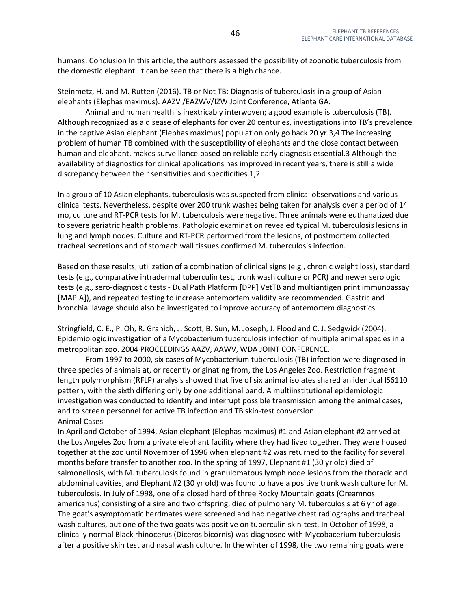humans. Conclusion In this article, the authors assessed the possibility of zoonotic tuberculosis from the domestic elephant. It can be seen that there is a high chance.

Steinmetz, H. and M. Rutten (2016). TB or Not TB: Diagnosis of tuberculosis in a group of Asian elephants (Elephas maximus). AAZV /EAZWV/IZW Joint Conference, Atlanta GA.

 Animal and human health is inextricably interwoven; a good example is tuberculosis (TB). Although recognized as a disease of elephants for over 20 centuries, investigations into TB's prevalence in the captive Asian elephant (Elephas maximus) population only go back 20 yr.3,4 The increasing problem of human TB combined with the susceptibility of elephants and the close contact between human and elephant, makes surveillance based on reliable early diagnosis essential.3 Although the availability of diagnostics for clinical applications has improved in recent years, there is still a wide discrepancy between their sensitivities and specificities.1,2

In a group of 10 Asian elephants, tuberculosis was suspected from clinical observations and various clinical tests. Nevertheless, despite over 200 trunk washes being taken for analysis over a period of 14 mo, culture and RT-PCR tests for M. tuberculosis were negative. Three animals were euthanatized due to severe geriatric health problems. Pathologic examination revealed typical M. tuberculosis lesions in lung and lymph nodes. Culture and RT-PCR performed from the lesions, of postmortem collected tracheal secretions and of stomach wall tissues confirmed M. tuberculosis infection.

Based on these results, utilization of a combination of clinical signs (e.g., chronic weight loss), standard tests (e.g., comparative intradermal tuberculin test, trunk wash culture or PCR) and newer serologic tests (e.g., sero-diagnostic tests - Dual Path Platform [DPP] VetTB and multiantigen print immunoassay [MAPIA]), and repeated testing to increase antemortem validity are recommended. Gastric and bronchial lavage should also be investigated to improve accuracy of antemortem diagnostics.

Stringfield, C. E., P. Oh, R. Granich, J. Scott, B. Sun, M. Joseph, J. Flood and C. J. Sedgwick (2004). Epidemiologic investigation of a Mycobacterium tuberculosis infection of multiple animal species in a metropolitan zoo. 2004 PROCEEDINGS AAZV, AAWV, WDA JOINT CONFERENCE.

 From 1997 to 2000, six cases of Mycobacterium tuberculosis (TB) infection were diagnosed in three species of animals at, or recently originating from, the Los Angeles Zoo. Restriction fragment length polymorphism (RFLP) analysis showed that five of six animal isolates shared an identical IS6110 pattern, with the sixth differing only by one additional band. A multiinstitutional epidemiologic investigation was conducted to identify and interrupt possible transmission among the animal cases, and to screen personnel for active TB infection and TB skin-test conversion. Animal Cases

In April and October of 1994, Asian elephant (Elephas maximus) #1 and Asian elephant #2 arrived at the Los Angeles Zoo from a private elephant facility where they had lived together. They were housed together at the zoo until November of 1996 when elephant #2 was returned to the facility for several months before transfer to another zoo. In the spring of 1997, Elephant #1 (30 yr old) died of salmonellosis, with M. tuberculosis found in granulomatous lymph node lesions from the thoracic and abdominal cavities, and Elephant #2 (30 yr old) was found to have a positive trunk wash culture for M. tuberculosis. In July of 1998, one of a closed herd of three Rocky Mountain goats (Oreamnos americanus) consisting of a sire and two offspring, died of pulmonary M. tuberculosis at 6 yr of age. The goat's asymptomatic herdmates were screened and had negative chest radiographs and tracheal wash cultures, but one of the two goats was positive on tuberculin skin-test. In October of 1998, a clinically normal Black rhinocerus (Diceros bicornis) was diagnosed with Mycobacerium tuberculosis after a positive skin test and nasal wash culture. In the winter of 1998, the two remaining goats were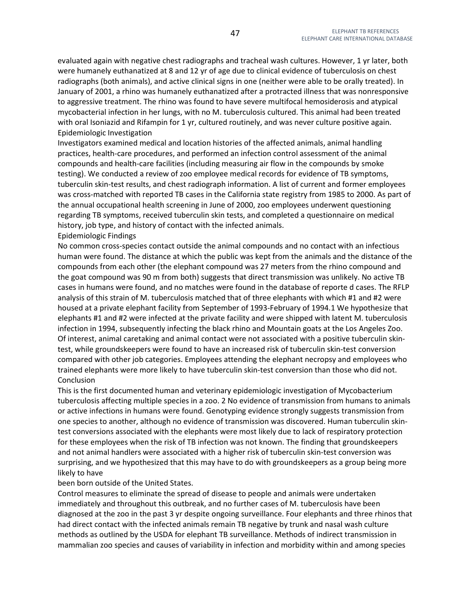evaluated again with negative chest radiographs and tracheal wash cultures. However, 1 yr later, both were humanely euthanatized at 8 and 12 yr of age due to clinical evidence of tuberculosis on chest radiographs (both animals), and active clinical signs in one (neither were able to be orally treated). In January of 2001, a rhino was humanely euthanatized after a protracted illness that was nonresponsive to aggressive treatment. The rhino was found to have severe multifocal hemosiderosis and atypical mycobacterial infection in her lungs, with no M. tuberculosis cultured. This animal had been treated with oral Isoniazid and Rifampin for 1 yr, cultured routinely, and was never culture positive again. Epidemiologic Investigation

Investigators examined medical and location histories of the affected animals, animal handling practices, health-care procedures, and performed an infection control assessment of the animal compounds and health-care facilities (including measuring air flow in the compounds by smoke testing). We conducted a review of zoo employee medical records for evidence of TB symptoms, tuberculin skin-test results, and chest radiograph information. A list of current and former employees was cross-matched with reported TB cases in the California state registry from 1985 to 2000. As part of the annual occupational health screening in June of 2000, zoo employees underwent questioning regarding TB symptoms, received tuberculin skin tests, and completed a questionnaire on medical history, job type, and history of contact with the infected animals. Epidemiologic Findings

No common cross-species contact outside the animal compounds and no contact with an infectious human were found. The distance at which the public was kept from the animals and the distance of the compounds from each other (the elephant compound was 27 meters from the rhino compound and the goat compound was 90 m from both) suggests that direct transmission was unlikely. No active TB cases in humans were found, and no matches were found in the database of reporte d cases. The RFLP analysis of this strain of M. tuberculosis matched that of three elephants with which #1 and #2 were housed at a private elephant facility from September of 1993-February of 1994.1 We hypothesize that elephants #1 and #2 were infected at the private facility and were shipped with latent M. tuberculosis infection in 1994, subsequently infecting the black rhino and Mountain goats at the Los Angeles Zoo. Of interest, animal caretaking and animal contact were not associated with a positive tuberculin skintest, while groundskeepers were found to have an increased risk of tuberculin skin-test conversion compared with other job categories. Employees attending the elephant necropsy and employees who trained elephants were more likely to have tuberculin skin-test conversion than those who did not. Conclusion

This is the first documented human and veterinary epidemiologic investigation of Mycobacterium tuberculosis affecting multiple species in a zoo. 2 No evidence of transmission from humans to animals or active infections in humans were found. Genotyping evidence strongly suggests transmission from one species to another, although no evidence of transmission was discovered. Human tuberculin skintest conversions associated with the elephants were most likely due to lack of respiratory protection for these employees when the risk of TB infection was not known. The finding that groundskeepers and not animal handlers were associated with a higher risk of tuberculin skin-test conversion was surprising, and we hypothesized that this may have to do with groundskeepers as a group being more likely to have

# been born outside of the United States.

Control measures to eliminate the spread of disease to people and animals were undertaken immediately and throughout this outbreak, and no further cases of M. tuberculosis have been diagnosed at the zoo in the past 3 yr despite ongoing surveillance. Four elephants and three rhinos that had direct contact with the infected animals remain TB negative by trunk and nasal wash culture methods as outlined by the USDA for elephant TB surveillance. Methods of indirect transmission in mammalian zoo species and causes of variability in infection and morbidity within and among species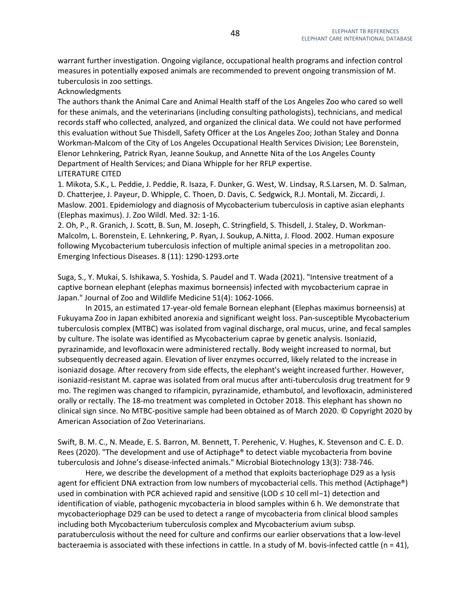warrant further investigation. Ongoing vigilance, occupational health programs and infection control measures in potentially exposed animals are recommended to prevent ongoing transmission of M. tuberculosis in zoo settings.

Acknowledgments

The authors thank the Animal Care and Animal Health staff of the Los Angeles Zoo who cared so well for these animals, and the veterinarians (including consulting pathologists), technicians, and medical records staff who collected, analyzed, and organized the clinical data. We could not have performed this evaluation without Sue Thisdell, Safety Officer at the Los Angeles Zoo; Jothan Staley and Donna Workman-Malcom of the City of Los Angeles Occupational Health Services Division; Lee Borenstein, Elenor Lehnkering, Patrick Ryan, Jeanne Soukup, and Annette Nita of the Los Angeles County Department of Health Services; and Diana Whipple for her RFLP expertise. LITERATURE CITED

1. Mikota, S.K., L. Peddie, J. Peddie, R. Isaza, F. Dunker, G. West, W. Lindsay, R.S.Larsen, M. D. Salman, D. Chatterjee, J. Payeur, D. Whipple, C. Thoen, D. Davis, C. Sedgwick, R.J. Montali, M. Ziccardi, J. Maslow. 2001. Epidemiology and diagnosis of Mycobacterium tuberculosis in captive asian elephants (Elephas maximus). J. Zoo Wildl. Med. 32: 1-16.

2. Oh, P., R. Granich, J. Scott, B. Sun, M. Joseph, C. Stringfield, S. Thisdell, J. Staley, D. Workman-Malcolm, L. Borenstein, E. Lehnkering, P. Ryan, J. Soukup, A.Nitta, J. Flood. 2002. Human exposure following Mycobacterium tuberculosis infection of multiple animal species in a metropolitan zoo. Emerging Infectious Diseases. 8 (11): 1290-1293.orte

Suga, S., Y. Mukai, S. Ishikawa, S. Yoshida, S. Paudel and T. Wada (2021). "Intensive treatment of a captive bornean elephant (elephas maximus borneensis) infected with mycobacterium caprae in Japan." Journal of Zoo and Wildlife Medicine 51(4): 1062-1066.

 In 2015, an estimated 17-year-old female Bornean elephant (Elephas maximus borneensis) at Fukuyama Zoo in Japan exhibited anorexia and significant weight loss. Pan-susceptible Mycobacterium tuberculosis complex (MTBC) was isolated from vaginal discharge, oral mucus, urine, and fecal samples by culture. The isolate was identified as Mycobacterium caprae by genetic analysis. Isoniazid, pyrazinamide, and levofloxacin were administered rectally. Body weight increased to normal, but subsequently decreased again. Elevation of liver enzymes occurred, likely related to the increase in isoniazid dosage. After recovery from side effects, the elephant's weight increased further. However, isoniazid-resistant M. caprae was isolated from oral mucus after anti-tuberculosis drug treatment for 9 mo. The regimen was changed to rifampicin, pyrazinamide, ethambutol, and levofloxacin, administered orally or rectally. The 18-mo treatment was completed in October 2018. This elephant has shown no clinical sign since. No MTBC-positive sample had been obtained as of March 2020. © Copyright 2020 by American Association of Zoo Veterinarians.

Swift, B. M. C., N. Meade, E. S. Barron, M. Bennett, T. Perehenic, V. Hughes, K. Stevenson and C. E. D. Rees (2020). "The development and use of Actiphage® to detect viable mycobacteria from bovine tuberculosis and Johne's disease-infected animals." Microbial Biotechnology 13(3): 738-746.

 Here, we describe the development of a method that exploits bacteriophage D29 as a lysis agent for efficient DNA extraction from low numbers of mycobacterial cells. This method (Actiphage®) used in combination with PCR achieved rapid and sensitive (LOD ≤ 10 cell ml-1) detection and identification of viable, pathogenic mycobacteria in blood samples within 6 h. We demonstrate that mycobacteriophage D29 can be used to detect a range of mycobacteria from clinical blood samples including both Mycobacterium tuberculosis complex and Mycobacterium avium subsp. paratuberculosis without the need for culture and confirms our earlier observations that a low-level bacteraemia is associated with these infections in cattle. In a study of M. bovis-infected cattle (n = 41),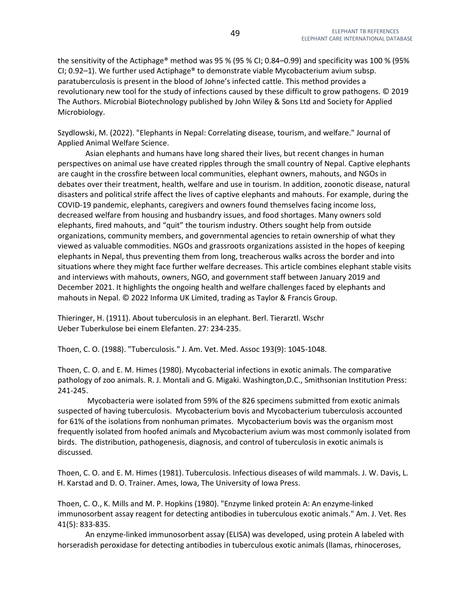the sensitivity of the Actiphage® method was 95 % (95 % CI; 0.84–0.99) and specificity was 100 % (95% CI; 0.92-1). We further used Actiphage<sup>®</sup> to demonstrate viable Mycobacterium avium subsp. paratuberculosis is present in the blood of Johne's infected cattle. This method provides a revolutionary new tool for the study of infections caused by these difficult to grow pathogens. © 2019 The Authors. Microbial Biotechnology published by John Wiley & Sons Ltd and Society for Applied Microbiology.

Szydlowski, M. (2022). "Elephants in Nepal: Correlating disease, tourism, and welfare." Journal of Applied Animal Welfare Science.

 Asian elephants and humans have long shared their lives, but recent changes in human perspectives on animal use have created ripples through the small country of Nepal. Captive elephants are caught in the crossfire between local communities, elephant owners, mahouts, and NGOs in debates over their treatment, health, welfare and use in tourism. In addition, zoonotic disease, natural disasters and political strife affect the lives of captive elephants and mahouts. For example, during the COVID-19 pandemic, elephants, caregivers and owners found themselves facing income loss, decreased welfare from housing and husbandry issues, and food shortages. Many owners sold elephants, fired mahouts, and "quit" the tourism industry. Others sought help from outside organizations, community members, and governmental agencies to retain ownership of what they viewed as valuable commodities. NGOs and grassroots organizations assisted in the hopes of keeping elephants in Nepal, thus preventing them from long, treacherous walks across the border and into situations where they might face further welfare decreases. This article combines elephant stable visits and interviews with mahouts, owners, NGO, and government staff between January 2019 and December 2021. It highlights the ongoing health and welfare challenges faced by elephants and mahouts in Nepal. © 2022 Informa UK Limited, trading as Taylor & Francis Group.

Thieringer, H. (1911). About tuberculosis in an elephant. Berl. Tierarztl. Wschr Ueber Tuberkulose bei einem Elefanten. 27: 234-235.

Thoen, C. O. (1988). "Tuberculosis." J. Am. Vet. Med. Assoc 193(9): 1045-1048.

Thoen, C. O. and E. M. Himes (1980). Mycobacterial infections in exotic animals. The comparative pathology of zoo animals. R. J. Montali and G. Migaki. Washington,D.C., Smithsonian Institution Press: 241-245.

 Mycobacteria were isolated from 59% of the 826 specimens submitted from exotic animals suspected of having tuberculosis. Mycobacterium bovis and Mycobacterium tuberculosis accounted for 61% of the isolations from nonhuman primates. Mycobacterium bovis was the organism most frequently isolated from hoofed animals and Mycobacterium avium was most commonly isolated from birds. The distribution, pathogenesis, diagnosis, and control of tuberculosis in exotic animals is discussed.

Thoen, C. O. and E. M. Himes (1981). Tuberculosis. Infectious diseases of wild mammals. J. W. Davis, L. H. Karstad and D. O. Trainer. Ames, Iowa, The University of Iowa Press.

Thoen, C. O., K. Mills and M. P. Hopkins (1980). "Enzyme linked protein A: An enzyme-linked immunosorbent assay reagent for detecting antibodies in tuberculous exotic animals." Am. J. Vet. Res 41(5): 833-835.

 An enzyme-linked immunosorbent assay (ELISA) was developed, using protein A labeled with horseradish peroxidase for detecting antibodies in tuberculous exotic animals (llamas, rhinoceroses,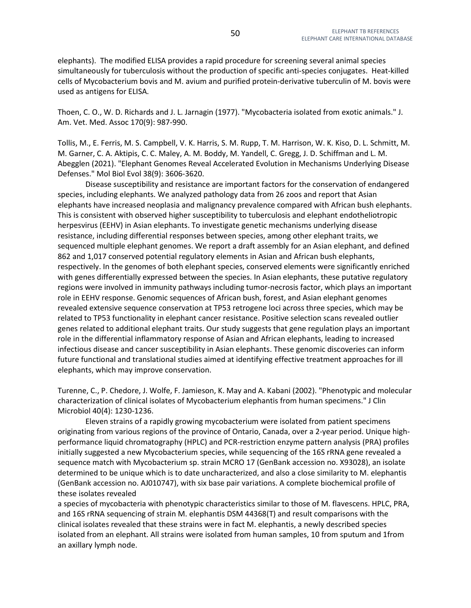elephants). The modified ELISA provides a rapid procedure for screening several animal species simultaneously for tuberculosis without the production of specific anti-species conjugates. Heat-killed cells of Mycobacterium bovis and M. avium and purified protein-derivative tuberculin of M. bovis were used as antigens for ELISA.

Thoen, C. O., W. D. Richards and J. L. Jarnagin (1977). "Mycobacteria isolated from exotic animals." J. Am. Vet. Med. Assoc 170(9): 987-990.

Tollis, M., E. Ferris, M. S. Campbell, V. K. Harris, S. M. Rupp, T. M. Harrison, W. K. Kiso, D. L. Schmitt, M. M. Garner, C. A. Aktipis, C. C. Maley, A. M. Boddy, M. Yandell, C. Gregg, J. D. Schiffman and L. M. Abegglen (2021). "Elephant Genomes Reveal Accelerated Evolution in Mechanisms Underlying Disease Defenses." Mol Biol Evol 38(9): 3606-3620.

 Disease susceptibility and resistance are important factors for the conservation of endangered species, including elephants. We analyzed pathology data from 26 zoos and report that Asian elephants have increased neoplasia and malignancy prevalence compared with African bush elephants. This is consistent with observed higher susceptibility to tuberculosis and elephant endotheliotropic herpesvirus (EEHV) in Asian elephants. To investigate genetic mechanisms underlying disease resistance, including differential responses between species, among other elephant traits, we sequenced multiple elephant genomes. We report a draft assembly for an Asian elephant, and defined 862 and 1,017 conserved potential regulatory elements in Asian and African bush elephants, respectively. In the genomes of both elephant species, conserved elements were significantly enriched with genes differentially expressed between the species. In Asian elephants, these putative regulatory regions were involved in immunity pathways including tumor-necrosis factor, which plays an important role in EEHV response. Genomic sequences of African bush, forest, and Asian elephant genomes revealed extensive sequence conservation at TP53 retrogene loci across three species, which may be related to TP53 functionality in elephant cancer resistance. Positive selection scans revealed outlier genes related to additional elephant traits. Our study suggests that gene regulation plays an important role in the differential inflammatory response of Asian and African elephants, leading to increased infectious disease and cancer susceptibility in Asian elephants. These genomic discoveries can inform future functional and translational studies aimed at identifying effective treatment approaches for ill elephants, which may improve conservation.

Turenne, C., P. Chedore, J. Wolfe, F. Jamieson, K. May and A. Kabani (2002). "Phenotypic and molecular characterization of clinical isolates of Mycobacterium elephantis from human specimens." J Clin Microbiol 40(4): 1230-1236.

 Eleven strains of a rapidly growing mycobacterium were isolated from patient specimens originating from various regions of the province of Ontario, Canada, over a 2-year period. Unique highperformance liquid chromatography (HPLC) and PCR-restriction enzyme pattern analysis (PRA) profiles initially suggested a new Mycobacterium species, while sequencing of the 16S rRNA gene revealed a sequence match with Mycobacterium sp. strain MCRO 17 (GenBank accession no. X93028), an isolate determined to be unique which is to date uncharacterized, and also a close similarity to M. elephantis (GenBank accession no. AJ010747), with six base pair variations. A complete biochemical profile of these isolates revealed

a species of mycobacteria with phenotypic characteristics similar to those of M. flavescens. HPLC, PRA, and 16S rRNA sequencing of strain M. elephantis DSM 44368(T) and result comparisons with the clinical isolates revealed that these strains were in fact M. elephantis, a newly described species isolated from an elephant. All strains were isolated from human samples, 10 from sputum and 1from an axillary lymph node.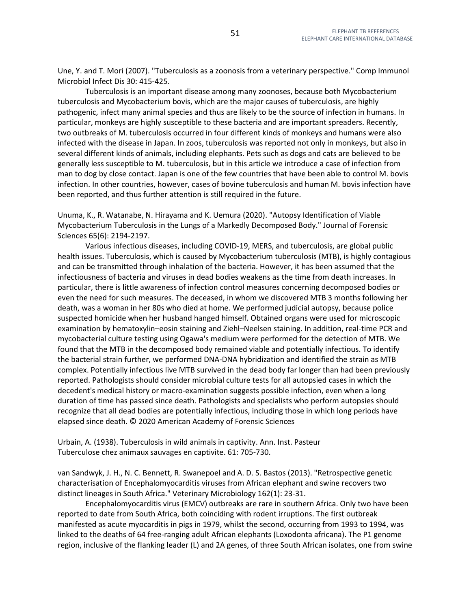Une, Y. and T. Mori (2007). "Tuberculosis as a zoonosis from a veterinary perspective." Comp Immunol Microbiol Infect Dis 30: 415-425.

 Tuberculosis is an important disease among many zoonoses, because both Mycobacterium tuberculosis and Mycobacterium bovis, which are the major causes of tuberculosis, are highly pathogenic, infect many animal species and thus are likely to be the source of infection in humans. In particular, monkeys are highly susceptible to these bacteria and are important spreaders. Recently, two outbreaks of M. tuberculosis occurred in four different kinds of monkeys and humans were also infected with the disease in Japan. In zoos, tuberculosis was reported not only in monkeys, but also in several different kinds of animals, including elephants. Pets such as dogs and cats are believed to be generally less susceptible to M. tuberculosis, but in this article we introduce a case of infection from man to dog by close contact. Japan is one of the few countries that have been able to control M. bovis infection. In other countries, however, cases of bovine tuberculosis and human M. bovis infection have been reported, and thus further attention is still required in the future.

Unuma, K., R. Watanabe, N. Hirayama and K. Uemura (2020). "Autopsy Identification of Viable Mycobacterium Tuberculosis in the Lungs of a Markedly Decomposed Body." Journal of Forensic Sciences 65(6): 2194-2197.

 Various infectious diseases, including COVID-19, MERS, and tuberculosis, are global public health issues. Tuberculosis, which is caused by Mycobacterium tuberculosis (MTB), is highly contagious and can be transmitted through inhalation of the bacteria. However, it has been assumed that the infectiousness of bacteria and viruses in dead bodies weakens as the time from death increases. In particular, there is little awareness of infection control measures concerning decomposed bodies or even the need for such measures. The deceased, in whom we discovered MTB 3 months following her death, was a woman in her 80s who died at home. We performed judicial autopsy, because police suspected homicide when her husband hanged himself. Obtained organs were used for microscopic examination by hematoxylin–eosin staining and Ziehl–Neelsen staining. In addition, real-time PCR and mycobacterial culture testing using Ogawa's medium were performed for the detection of MTB. We found that the MTB in the decomposed body remained viable and potentially infectious. To identify the bacterial strain further, we performed DNA-DNA hybridization and identified the strain as MTB complex. Potentially infectious live MTB survived in the dead body far longer than had been previously reported. Pathologists should consider microbial culture tests for all autopsied cases in which the decedent's medical history or macro-examination suggests possible infection, even when a long duration of time has passed since death. Pathologists and specialists who perform autopsies should recognize that all dead bodies are potentially infectious, including those in which long periods have elapsed since death. © 2020 American Academy of Forensic Sciences

Urbain, A. (1938). Tuberculosis in wild animals in captivity. Ann. Inst. Pasteur Tuberculose chez animaux sauvages en captivite. 61: 705-730.

van Sandwyk, J. H., N. C. Bennett, R. Swanepoel and A. D. S. Bastos (2013). "Retrospective genetic characterisation of Encephalomyocarditis viruses from African elephant and swine recovers two distinct lineages in South Africa." Veterinary Microbiology 162(1): 23-31.

 Encephalomyocarditis virus (EMCV) outbreaks are rare in southern Africa. Only two have been reported to date from South Africa, both coinciding with rodent irruptions. The first outbreak manifested as acute myocarditis in pigs in 1979, whilst the second, occurring from 1993 to 1994, was linked to the deaths of 64 free-ranging adult African elephants (Loxodonta africana). The P1 genome region, inclusive of the flanking leader (L) and 2A genes, of three South African isolates, one from swine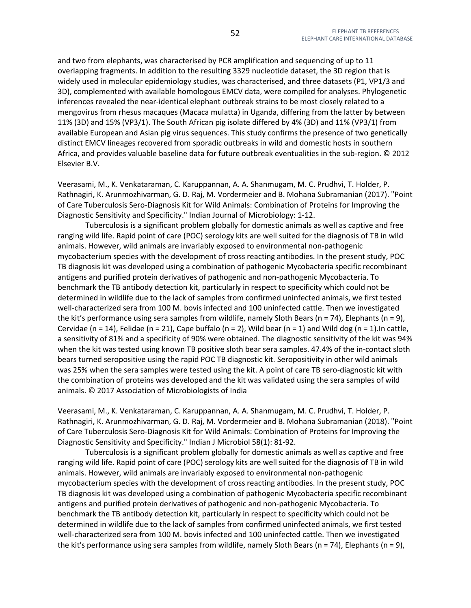and two from elephants, was characterised by PCR amplification and sequencing of up to 11 overlapping fragments. In addition to the resulting 3329 nucleotide dataset, the 3D region that is widely used in molecular epidemiology studies, was characterised, and three datasets (P1, VP1/3 and 3D), complemented with available homologous EMCV data, were compiled for analyses. Phylogenetic inferences revealed the near-identical elephant outbreak strains to be most closely related to a mengovirus from rhesus macaques (Macaca mulatta) in Uganda, differing from the latter by between 11% (3D) and 15% (VP3/1). The South African pig isolate differed by 4% (3D) and 11% (VP3/1) from available European and Asian pig virus sequences. This study confirms the presence of two genetically distinct EMCV lineages recovered from sporadic outbreaks in wild and domestic hosts in southern Africa, and provides valuable baseline data for future outbreak eventualities in the sub-region. © 2012 Elsevier B.V.

Veerasami, M., K. Venkataraman, C. Karuppannan, A. A. Shanmugam, M. C. Prudhvi, T. Holder, P. Rathnagiri, K. Arunmozhivarman, G. D. Raj, M. Vordermeier and B. Mohana Subramanian (2017). "Point of Care Tuberculosis Sero-Diagnosis Kit for Wild Animals: Combination of Proteins for Improving the Diagnostic Sensitivity and Specificity." Indian Journal of Microbiology: 1-12.

 Tuberculosis is a significant problem globally for domestic animals as well as captive and free ranging wild life. Rapid point of care (POC) serology kits are well suited for the diagnosis of TB in wild animals. However, wild animals are invariably exposed to environmental non-pathogenic mycobacterium species with the development of cross reacting antibodies. In the present study, POC TB diagnosis kit was developed using a combination of pathogenic Mycobacteria specific recombinant antigens and purified protein derivatives of pathogenic and non-pathogenic Mycobacteria. To benchmark the TB antibody detection kit, particularly in respect to specificity which could not be determined in wildlife due to the lack of samples from confirmed uninfected animals, we first tested well-characterized sera from 100 M. bovis infected and 100 uninfected cattle. Then we investigated the kit's performance using sera samples from wildlife, namely Sloth Bears (n = 74), Elephants (n = 9), Cervidae (n = 14), Felidae (n = 21), Cape buffalo (n = 2), Wild bear (n = 1) and Wild dog (n = 1). In cattle, a sensitivity of 81% and a specificity of 90% were obtained. The diagnostic sensitivity of the kit was 94% when the kit was tested using known TB positive sloth bear sera samples. 47.4% of the in-contact sloth bears turned seropositive using the rapid POC TB diagnostic kit. Seropositivity in other wild animals was 25% when the sera samples were tested using the kit. A point of care TB sero-diagnostic kit with the combination of proteins was developed and the kit was validated using the sera samples of wild animals. © 2017 Association of Microbiologists of India

Veerasami, M., K. Venkataraman, C. Karuppannan, A. A. Shanmugam, M. C. Prudhvi, T. Holder, P. Rathnagiri, K. Arunmozhivarman, G. D. Raj, M. Vordermeier and B. Mohana Subramanian (2018). "Point of Care Tuberculosis Sero-Diagnosis Kit for Wild Animals: Combination of Proteins for Improving the Diagnostic Sensitivity and Specificity." Indian J Microbiol 58(1): 81-92.

 Tuberculosis is a significant problem globally for domestic animals as well as captive and free ranging wild life. Rapid point of care (POC) serology kits are well suited for the diagnosis of TB in wild animals. However, wild animals are invariably exposed to environmental non-pathogenic mycobacterium species with the development of cross reacting antibodies. In the present study, POC TB diagnosis kit was developed using a combination of pathogenic Mycobacteria specific recombinant antigens and purified protein derivatives of pathogenic and non-pathogenic Mycobacteria. To benchmark the TB antibody detection kit, particularly in respect to specificity which could not be determined in wildlife due to the lack of samples from confirmed uninfected animals, we first tested well-characterized sera from 100 M. bovis infected and 100 uninfected cattle. Then we investigated the kit's performance using sera samples from wildlife, namely Sloth Bears (n = 74), Elephants (n = 9),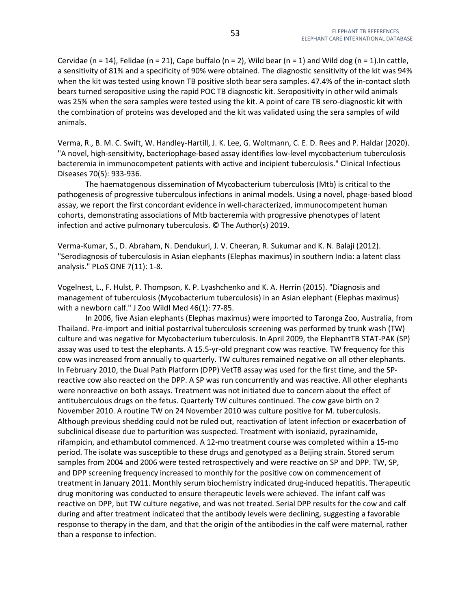Cervidae (n = 14), Felidae (n = 21), Cape buffalo (n = 2), Wild bear (n = 1) and Wild dog (n = 1). In cattle, a sensitivity of 81% and a specificity of 90% were obtained. The diagnostic sensitivity of the kit was 94% when the kit was tested using known TB positive sloth bear sera samples. 47.4% of the in-contact sloth bears turned seropositive using the rapid POC TB diagnostic kit. Seropositivity in other wild animals was 25% when the sera samples were tested using the kit. A point of care TB sero-diagnostic kit with the combination of proteins was developed and the kit was validated using the sera samples of wild animals.

Verma, R., B. M. C. Swift, W. Handley-Hartill, J. K. Lee, G. Woltmann, C. E. D. Rees and P. Haldar (2020). "A novel, high-sensitivity, bacteriophage-based assay identifies low-level mycobacterium tuberculosis bacteremia in immunocompetent patients with active and incipient tuberculosis." Clinical Infectious Diseases 70(5): 933-936.

 The haematogenous dissemination of Mycobacterium tuberculosis (Mtb) is critical to the pathogenesis of progressive tuberculous infections in animal models. Using a novel, phage-based blood assay, we report the first concordant evidence in well-characterized, immunocompetent human cohorts, demonstrating associations of Mtb bacteremia with progressive phenotypes of latent infection and active pulmonary tuberculosis. © The Author(s) 2019.

Verma-Kumar, S., D. Abraham, N. Dendukuri, J. V. Cheeran, R. Sukumar and K. N. Balaji (2012). "Serodiagnosis of tuberculosis in Asian elephants (Elephas maximus) in southern India: a latent class analysis." PLoS ONE 7(11): 1-8.

Vogelnest, L., F. Hulst, P. Thompson, K. P. Lyashchenko and K. A. Herrin (2015). "Diagnosis and management of tuberculosis (Mycobacterium tuberculosis) in an Asian elephant (Elephas maximus) with a newborn calf." J Zoo Wildl Med 46(1): 77-85.

 In 2006, five Asian elephants (Elephas maximus) were imported to Taronga Zoo, Australia, from Thailand. Pre-import and initial postarrival tuberculosis screening was performed by trunk wash (TW) culture and was negative for Mycobacterium tuberculosis. In April 2009, the ElephantTB STAT-PAK (SP) assay was used to test the elephants. A 15.5-yr-old pregnant cow was reactive. TW frequency for this cow was increased from annually to quarterly. TW cultures remained negative on all other elephants. In February 2010, the Dual Path Platform (DPP) VetTB assay was used for the first time, and the SPreactive cow also reacted on the DPP. A SP was run concurrently and was reactive. All other elephants were nonreactive on both assays. Treatment was not initiated due to concern about the effect of antituberculous drugs on the fetus. Quarterly TW cultures continued. The cow gave birth on 2 November 2010. A routine TW on 24 November 2010 was culture positive for M. tuberculosis. Although previous shedding could not be ruled out, reactivation of latent infection or exacerbation of subclinical disease due to parturition was suspected. Treatment with isoniazid, pyrazinamide, rifampicin, and ethambutol commenced. A 12-mo treatment course was completed within a 15-mo period. The isolate was susceptible to these drugs and genotyped as a Beijing strain. Stored serum samples from 2004 and 2006 were tested retrospectively and were reactive on SP and DPP. TW, SP, and DPP screening frequency increased to monthly for the positive cow on commencement of treatment in January 2011. Monthly serum biochemistry indicated drug-induced hepatitis. Therapeutic drug monitoring was conducted to ensure therapeutic levels were achieved. The infant calf was reactive on DPP, but TW culture negative, and was not treated. Serial DPP results for the cow and calf during and after treatment indicated that the antibody levels were declining, suggesting a favorable response to therapy in the dam, and that the origin of the antibodies in the calf were maternal, rather than a response to infection.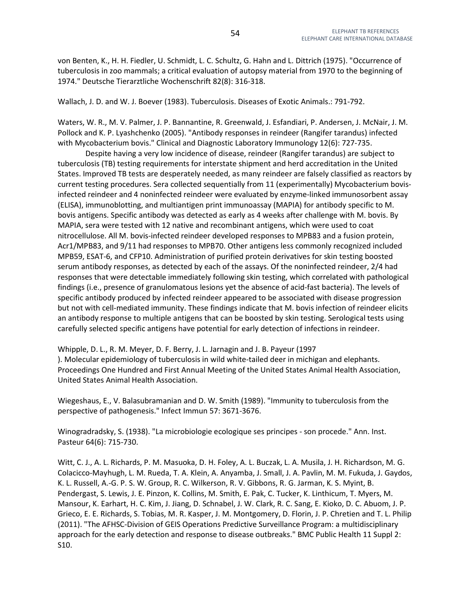von Benten, K., H. H. Fiedler, U. Schmidt, L. C. Schultz, G. Hahn and L. Dittrich (1975). "Occurrence of tuberculosis in zoo mammals; a critical evaluation of autopsy material from 1970 to the beginning of 1974." Deutsche Tierarztliche Wochenschrift 82(8): 316-318.

Wallach, J. D. and W. J. Boever (1983). Tuberculosis. Diseases of Exotic Animals.: 791-792.

Waters, W. R., M. V. Palmer, J. P. Bannantine, R. Greenwald, J. Esfandiari, P. Andersen, J. McNair, J. M. Pollock and K. P. Lyashchenko (2005). "Antibody responses in reindeer (Rangifer tarandus) infected with Mycobacterium bovis." Clinical and Diagnostic Laboratory Immunology 12(6): 727-735.

 Despite having a very low incidence of disease, reindeer (Rangifer tarandus) are subject to tuberculosis (TB) testing requirements for interstate shipment and herd accreditation in the United States. Improved TB tests are desperately needed, as many reindeer are falsely classified as reactors by current testing procedures. Sera collected sequentially from 11 (experimentally) Mycobacterium bovisinfected reindeer and 4 noninfected reindeer were evaluated by enzyme-linked immunosorbent assay (ELISA), immunoblotting, and multiantigen print immunoassay (MAPIA) for antibody specific to M. bovis antigens. Specific antibody was detected as early as 4 weeks after challenge with M. bovis. By MAPIA, sera were tested with 12 native and recombinant antigens, which were used to coat nitrocellulose. All M. bovis-infected reindeer developed responses to MPB83 and a fusion protein, Acr1/MPB83, and 9/11 had responses to MPB70. Other antigens less commonly recognized included MPB59, ESAT-6, and CFP10. Administration of purified protein derivatives for skin testing boosted serum antibody responses, as detected by each of the assays. Of the noninfected reindeer, 2/4 had responses that were detectable immediately following skin testing, which correlated with pathological findings (i.e., presence of granulomatous lesions yet the absence of acid-fast bacteria). The levels of specific antibody produced by infected reindeer appeared to be associated with disease progression but not with cell-mediated immunity. These findings indicate that M. bovis infection of reindeer elicits an antibody response to multiple antigens that can be boosted by skin testing. Serological tests using carefully selected specific antigens have potential for early detection of infections in reindeer.

Whipple, D. L., R. M. Meyer, D. F. Berry, J. L. Jarnagin and J. B. Payeur (1997 ). Molecular epidemiology of tuberculosis in wild white-tailed deer in michigan and elephants. Proceedings One Hundred and First Annual Meeting of the United States Animal Health Association, United States Animal Health Association.

Wiegeshaus, E., V. Balasubramanian and D. W. Smith (1989). "Immunity to tuberculosis from the perspective of pathogenesis." Infect Immun 57: 3671-3676.

Winogradradsky, S. (1938). "La microbiologie ecologique ses principes - son procede." Ann. Inst. Pasteur 64(6): 715-730.

Witt, C. J., A. L. Richards, P. M. Masuoka, D. H. Foley, A. L. Buczak, L. A. Musila, J. H. Richardson, M. G. Colacicco-Mayhugh, L. M. Rueda, T. A. Klein, A. Anyamba, J. Small, J. A. Pavlin, M. M. Fukuda, J. Gaydos, K. L. Russell, A.-G. P. S. W. Group, R. C. Wilkerson, R. V. Gibbons, R. G. Jarman, K. S. Myint, B. Pendergast, S. Lewis, J. E. Pinzon, K. Collins, M. Smith, E. Pak, C. Tucker, K. Linthicum, T. Myers, M. Mansour, K. Earhart, H. C. Kim, J. Jiang, D. Schnabel, J. W. Clark, R. C. Sang, E. Kioko, D. C. Abuom, J. P. Grieco, E. E. Richards, S. Tobias, M. R. Kasper, J. M. Montgomery, D. Florin, J. P. Chretien and T. L. Philip (2011). "The AFHSC-Division of GEIS Operations Predictive Surveillance Program: a multidisciplinary approach for the early detection and response to disease outbreaks." BMC Public Health 11 Suppl 2: S10.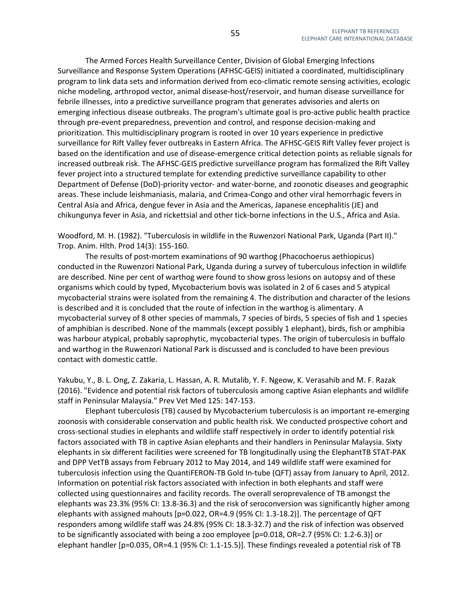The Armed Forces Health Surveillance Center, Division of Global Emerging Infections Surveillance and Response System Operations (AFHSC-GEIS) initiated a coordinated, multidisciplinary program to link data sets and information derived from eco-climatic remote sensing activities, ecologic niche modeling, arthropod vector, animal disease-host/reservoir, and human disease surveillance for febrile illnesses, into a predictive surveillance program that generates advisories and alerts on emerging infectious disease outbreaks. The program's ultimate goal is pro-active public health practice through pre-event preparedness, prevention and control, and response decision-making and prioritization. This multidisciplinary program is rooted in over 10 years experience in predictive surveillance for Rift Valley fever outbreaks in Eastern Africa. The AFHSC-GEIS Rift Valley fever project is based on the identification and use of disease-emergence critical detection points as reliable signals for increased outbreak risk. The AFHSC-GEIS predictive surveillance program has formalized the Rift Valley fever project into a structured template for extending predictive surveillance capability to other Department of Defense (DoD)-priority vector- and water-borne, and zoonotic diseases and geographic areas. These include leishmaniasis, malaria, and Crimea-Congo and other viral hemorrhagic fevers in Central Asia and Africa, dengue fever in Asia and the Americas, Japanese encephalitis (JE) and chikungunya fever in Asia, and rickettsial and other tick-borne infections in the U.S., Africa and Asia.

Woodford, M. H. (1982). "Tuberculosis in wildlife in the Ruwenzori National Park, Uganda (Part II)." Trop. Anim. Hlth. Prod 14(3): 155-160.

 The results of post-mortem examinations of 90 warthog (Phacochoerus aethiopicus) conducted in the Ruwenzori National Park, Uganda during a survey of tuberculous infection in wildlife are described. Nine per cent of warthog were found to show gross lesions on autopsy and of these organisms which could by typed, Mycobacterium bovis was isolated in 2 of 6 cases and 5 atypical mycobacterial strains were isolated from the remaining 4. The distribution and character of the lesions is described and it is concluded that the route of infection in the warthog is alimentary. A mycobacterial survey of 8 other species of mammals, 7 species of birds, 5 species of fish and 1 species of amphibian is described. None of the mammals (except possibly 1 elephant), birds, fish or amphibia was harbour atypical, probably saprophytic, mycobacterial types. The origin of tuberculosis in buffalo and warthog in the Ruwenzori National Park is discussed and is concluded to have been previous contact with domestic cattle.

Yakubu, Y., B. L. Ong, Z. Zakaria, L. Hassan, A. R. Mutalib, Y. F. Ngeow, K. Verasahib and M. F. Razak (2016). "Evidence and potential risk factors of tuberculosis among captive Asian elephants and wildlife staff in Peninsular Malaysia." Prev Vet Med 125: 147-153.

 Elephant tuberculosis (TB) caused by Mycobacterium tuberculosis is an important re-emerging zoonosis with considerable conservation and public health risk. We conducted prospective cohort and cross-sectional studies in elephants and wildlife staff respectively in order to identify potential risk factors associated with TB in captive Asian elephants and their handlers in Peninsular Malaysia. Sixty elephants in six different facilities were screened for TB longitudinally using the ElephantTB STAT-PAK and DPP VetTB assays from February 2012 to May 2014, and 149 wildlife staff were examined for tuberculosis infection using the QuantiFERON-TB Gold In-tube (QFT) assay from January to April, 2012. Information on potential risk factors associated with infection in both elephants and staff were collected using questionnaires and facility records. The overall seroprevalence of TB amongst the elephants was 23.3% (95% CI: 13.8-36.3) and the risk of seroconversion was significantly higher among elephants with assigned mahouts [p=0.022, OR=4.9 (95% CI: 1.3-18.2)]. The percentage of QFT responders among wildlife staff was 24.8% (95% CI: 18.3-32.7) and the risk of infection was observed to be significantly associated with being a zoo employee [p=0.018, OR=2.7 (95% CI: 1.2-6.3)] or elephant handler [p=0.035, OR=4.1 (95% CI: 1.1-15.5)]. These findings revealed a potential risk of TB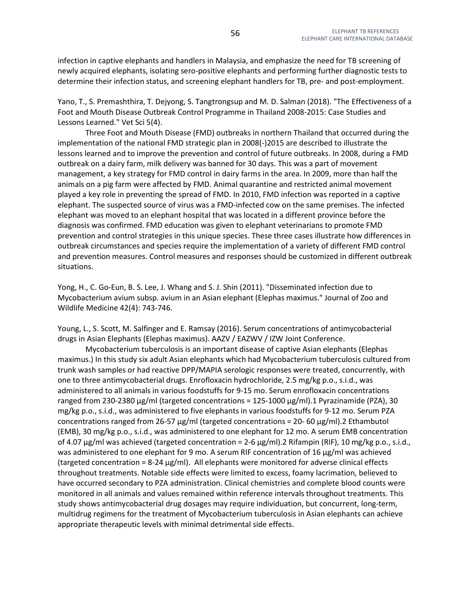infection in captive elephants and handlers in Malaysia, and emphasize the need for TB screening of newly acquired elephants, isolating sero-positive elephants and performing further diagnostic tests to determine their infection status, and screening elephant handlers for TB, pre- and post-employment.

Yano, T., S. Premashthira, T. Dejyong, S. Tangtrongsup and M. D. Salman (2018). "The Effectiveness of a Foot and Mouth Disease Outbreak Control Programme in Thailand 2008-2015: Case Studies and Lessons Learned." Vet Sci 5(4).

 Three Foot and Mouth Disease (FMD) outbreaks in northern Thailand that occurred during the implementation of the national FMD strategic plan in 2008(-)2015 are described to illustrate the lessons learned and to improve the prevention and control of future outbreaks. In 2008, during a FMD outbreak on a dairy farm, milk delivery was banned for 30 days. This was a part of movement management, a key strategy for FMD control in dairy farms in the area. In 2009, more than half the animals on a pig farm were affected by FMD. Animal quarantine and restricted animal movement played a key role in preventing the spread of FMD. In 2010, FMD infection was reported in a captive elephant. The suspected source of virus was a FMD-infected cow on the same premises. The infected elephant was moved to an elephant hospital that was located in a different province before the diagnosis was confirmed. FMD education was given to elephant veterinarians to promote FMD prevention and control strategies in this unique species. These three cases illustrate how differences in outbreak circumstances and species require the implementation of a variety of different FMD control and prevention measures. Control measures and responses should be customized in different outbreak situations.

Yong, H., C. Go-Eun, B. S. Lee, J. Whang and S. J. Shin (2011). "Disseminated infection due to Mycobacterium avium subsp. avium in an Asian elephant (Elephas maximus." Journal of Zoo and Wildlife Medicine 42(4): 743-746.

Young, L., S. Scott, M. Salfinger and E. Ramsay (2016). Serum concentrations of antimycobacterial drugs in Asian Elephants (Elephas maximus). AAZV / EAZWV / IZW Joint Conference.

 Mycobacterium tuberculosis is an important disease of captive Asian elephants (Elephas maximus.) In this study six adult Asian elephants which had Mycobacterium tuberculosis cultured from trunk wash samples or had reactive DPP/MAPIA serologic responses were treated, concurrently, with one to three antimycobacterial drugs. Enrofloxacin hydrochloride, 2.5 mg/kg p.o., s.i.d., was administered to all animals in various foodstuffs for 9-15 mo. Serum enrofloxacin concentrations ranged from 230-2380 μg/ml (targeted concentrations = 125-1000 μg/ml).1 Pyrazinamide (PZA), 30 mg/kg p.o., s.i.d., was administered to five elephants in various foodstuffs for 9-12 mo. Serum PZA concentrations ranged from 26-57 μg/ml (targeted concentrations = 20- 60 μg/ml).2 Ethambutol (EMB), 30 mg/kg p.o., s.i.d., was administered to one elephant for 12 mo. A serum EMB concentration of 4.07 μg/ml was achieved (targeted concentration = 2-6 μg/ml).2 Rifampin (RIF), 10 mg/kg p.o., s.i.d., was administered to one elephant for 9 mo. A serum RIF concentration of 16 μg/ml was achieved (targeted concentration = 8-24 μg/ml). All elephants were monitored for adverse clinical effects throughout treatments. Notable side effects were limited to excess, foamy lacrimation, believed to have occurred secondary to PZA administration. Clinical chemistries and complete blood counts were monitored in all animals and values remained within reference intervals throughout treatments. This study shows antimycobacterial drug dosages may require individuation, but concurrent, long-term, multidrug regimens for the treatment of Mycobacterium tuberculosis in Asian elephants can achieve appropriate therapeutic levels with minimal detrimental side effects.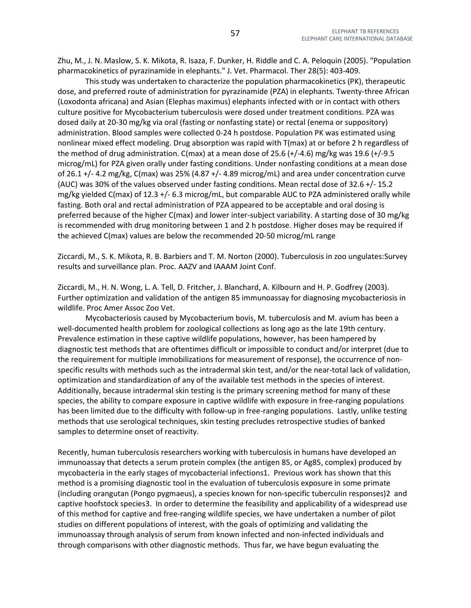Zhu, M., J. N. Maslow, S. K. Mikota, R. Isaza, F. Dunker, H. Riddle and C. A. Peloquin (2005). "Population pharmacokinetics of pyrazinamide in elephants." J. Vet. Pharmacol. Ther 28(5): 403-409.

 This study was undertaken to characterize the population pharmacokinetics (PK), therapeutic dose, and preferred route of administration for pyrazinamide (PZA) in elephants. Twenty-three African (Loxodonta africana) and Asian (Elephas maximus) elephants infected with or in contact with others culture positive for Mycobacterium tuberculosis were dosed under treatment conditions. PZA was dosed daily at 20-30 mg/kg via oral (fasting or nonfasting state) or rectal (enema or suppository) administration. Blood samples were collected 0-24 h postdose. Population PK was estimated using nonlinear mixed effect modeling. Drug absorption was rapid with T(max) at or before 2 h regardless of the method of drug administration. C(max) at a mean dose of 25.6 (+/-4.6) mg/kg was 19.6 (+/-9.5 microg/mL) for PZA given orally under fasting conditions. Under nonfasting conditions at a mean dose of 26.1 +/- 4.2 mg/kg, C(max) was 25% (4.87 +/- 4.89 microg/mL) and area under concentration curve (AUC) was 30% of the values observed under fasting conditions. Mean rectal dose of 32.6 +/- 15.2 mg/kg yielded C(max) of 12.3 +/- 6.3 microg/mL, but comparable AUC to PZA administered orally while fasting. Both oral and rectal administration of PZA appeared to be acceptable and oral dosing is preferred because of the higher C(max) and lower inter-subject variability. A starting dose of 30 mg/kg is recommended with drug monitoring between 1 and 2 h postdose. Higher doses may be required if the achieved C(max) values are below the recommended 20-50 microg/mL range

Ziccardi, M., S. K. Mikota, R. B. Barbiers and T. M. Norton (2000). Tuberculosis in zoo ungulates:Survey results and surveillance plan. Proc. AAZV and IAAAM Joint Conf.

Ziccardi, M., H. N. Wong, L. A. Tell, D. Fritcher, J. Blanchard, A. Kilbourn and H. P. Godfrey (2003). Further optimization and validation of the antigen 85 immunoassay for diagnosing mycobacteriosis in wildlife. Proc Amer Assoc Zoo Vet.

 Mycobacteriosis caused by Mycobacterium bovis, M. tuberculosis and M. avium has been a well-documented health problem for zoological collections as long ago as the late 19th century. Prevalence estimation in these captive wildlife populations, however, has been hampered by diagnostic test methods that are oftentimes difficult or impossible to conduct and/or interpret (due to the requirement for multiple immobilizations for measurement of response), the occurrence of nonspecific results with methods such as the intradermal skin test, and/or the near-total lack of validation, optimization and standardization of any of the available test methods in the species of interest. Additionally, because intradermal skin testing is the primary screening method for many of these species, the ability to compare exposure in captive wildlife with exposure in free-ranging populations has been limited due to the difficulty with follow-up in free-ranging populations. Lastly, unlike testing methods that use serological techniques, skin testing precludes retrospective studies of banked samples to determine onset of reactivity.

Recently, human tuberculosis researchers working with tuberculosis in humans have developed an immunoassay that detects a serum protein complex (the antigen 85, or Ag85, complex) produced by mycobacteria in the early stages of mycobacterial infections1. Previous work has shown that this method is a promising diagnostic tool in the evaluation of tuberculosis exposure in some primate (including orangutan (Pongo pygmaeus), a species known for non-specific tuberculin responses)2 and captive hoofstock species3. In order to determine the feasibility and applicability of a widespread use of this method for captive and free-ranging wildlife species, we have undertaken a number of pilot studies on different populations of interest, with the goals of optimizing and validating the immunoassay through analysis of serum from known infected and non-infected individuals and through comparisons with other diagnostic methods. Thus far, we have begun evaluating the